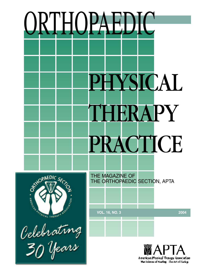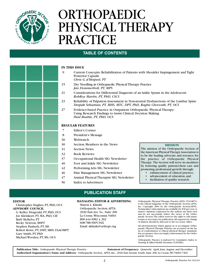

# ORTHOPAEDIC PHYSICAL THERAPY PRACTICE

#### **TABLE OF CONTENTS**

#### **IN THIS ISSUE**

- 9 Current Concepts: Rehabilitation of Patients with Shoulder Impingement and Tight Posterior Capsule
	- *Chris G. d'Hespeel, PT*
- 15 Dry Needling in Orthopaedic Physical Therapy Practice *Jan Dommerholt, PT, MPS*
- 21 Considerations for Differential Diagnosis of an Ankle Sprain in the Adolescent *RobRoy Martin, PT, PhD, CSCS*
- 23 Reliability of Palpation Assessment in Non-neutral Dysfunctions of the Lumbar Spine *Deepak Sebastian, PT, MHS, MTC, DPT, PhD, Raghu Chovvath, PT, OCS*
- 27 Evidence-based Practice in Outpatient Orthopaedic Physical Therapy: Using Research Findings to Assist Clinical Decision Making *Paul Beattie, PT, PhD, OCS*

#### **REGULAR FEATURES**

- 7 Editor's Corner
- 8 President's Message
- 30 Webwatch
- 30 Section Members in the News
- 31 Section News
- 32 Book Reviews
- 37 Occupational Health SIG Newsletter
- 40 Foot and Ankle SIG Newsletter
- 42 Performing Arts SIG Newsletter
- 46 Pain Management SIG Newsletter
- 47 Animal Physical Therapist SIG Newsletter
- 56 Index to Advertisers

#### **PUBLICATION STAFF**

#### **MANAGING EDITOR & ADVERTISING**

Sharon L. Klinski Orthopaedic Section,APTA 2920 East Ave. So., Suite 200 La Crosse,Wisconsin 54601 800-444-3982 x 202 608-788-3965 FAX Email:sklinski@orthopt.org

*Orthopaedic Physical Therapy Practice* (ISSN 1532-0871) is the official magazine of the Orthopaedic Section,APTA, Inc. Copyright 2004 by the Orthopaedic Section/APTA. Nonmember subscriptions are available for \$30 per year (4 issues). Opinions expressed by the authors are their own and do not necessarily reflect the views of the Orthopaedic Section.The editor reserves the right to edit manuscripts as necessary for publication.All requests for change of address should be directed to the La Crosse Office.

All advertisements which appear in or accompany *Orthopaedic Physical Therapy Practice* are accepted on the basis of conformation to ethical physical therapy standards, but acceptance does not imply endorsement by the Orthopaedic Section.

Orthopaedic Practice is indexed by Cumulative Index to Nursing & Allied Health Literature (CINAHL).

**Publication Title:** *Orthopaedic Physical Therapy Practice* **Statement of Frequency:** Quarterly; April, June,August, and December **Authorized Organization's Name and Address:** Orthopaedic Section, APTA, Inc., 2920 East Avenue South, Suite 200, La Crosse,WI 54601-7202

#### **MISSION**

The mission of the Orthopaedic Section of the American Physical Therapy Association is to be the leading advocate and resource for the practice of Orthopaedic Physical Therapy. The Section will serve its members by fostering quality patient/client care and promoting professional growth through:

- enhancement of clinical practice,
- advancement of education, and
- facilitation of quality research.

**EDITOR**

Christopher Hughes, PT, PhD, OCS **ADVISORY COUNCIL** G. Kelley Fitzgerald, PT, PhD, OCS Joe Kleinkort, PT, MA, PhD, CIE

Barb McKelvy, PT Becky Newton, MSPT Stephen Paulseth, PT, MS Robert Rowe, PT, DMT, MHS, FAAOMPT Gary Smith, PT, PhD Michael Wooden, PT, MS, OCS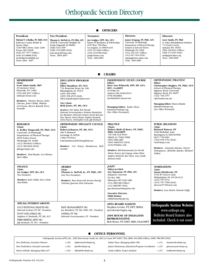## Orthopaedic Section Directory

**OFFICERS** 

| President:                                                                                                                                                                                                                                    | <b>Vice President:</b>                                                                                                                                                                  | <b>Treasurer:</b>                                                                                                                                                                                               | Director:                                                                                                                                                                                                                                          | Director:                                                                                                                                                                                            |
|-----------------------------------------------------------------------------------------------------------------------------------------------------------------------------------------------------------------------------------------------|-----------------------------------------------------------------------------------------------------------------------------------------------------------------------------------------|-----------------------------------------------------------------------------------------------------------------------------------------------------------------------------------------------------------------|----------------------------------------------------------------------------------------------------------------------------------------------------------------------------------------------------------------------------------------------------|------------------------------------------------------------------------------------------------------------------------------------------------------------------------------------------------------|
| Michael T. Cibulka, PT. MHS, OCS<br>Jefferson County Rehab &<br>Sports Clinic<br>1330 YMCA Drive, Suite 1200<br><b>Festus, MO 63028</b><br>$(636)$ 937-7677 (Office)<br>$(636)$ 931-8808 (FAX)<br>mcibulka@earthlink.net<br>Term: 2004 - 2007 | Thomas G. McPoil, Jr., PT, PhD, ATC<br>1630 W University Heights Dr<br>South Flagstaff, AZ 86001<br>$(928)$ 523-1499<br>$(928)$ 523-9289 (FAX)<br>tom.mcpoil@nau.edu<br>Term: 2004-2007 | Joe Godges, DPT, MA, OCS<br>Kaiser PT Residency & Fellowships<br>6107 West 75th Place<br>Los Angeles, CA 90045-1633<br>$(310)$ 215-3664 (Office)<br>$(310)$ 215-0780 (FAX)<br>godges@msn.com<br>Term: 2002-2005 | James Irrgang, PT, PhD, ATC<br>University of Pittsburgh<br>Department of Physical Therapy<br>Sennett at Atwood Streets<br>Pittsburgh, PA 15260<br>$(412)$ 432-1237 (Office)<br>$(412)$ 647-1454 (FAX)<br>irrgangjj@msx.upmc.edu<br>Term: 2003-2006 | Gary Smith, PT, PhD<br>St. Lukes Rehabilitation Institute<br>711 South Cowley<br>Spokane, WA 99202<br>$(509)$ 220-5923 (Office)<br>$(509)$ 473-5535 (FAX)<br>smithgj@st-lukes.org<br>Term: 2002-2005 |

n **CHAIRS**

#### **APTA BOARD LIAISON** Stephen Levine, PT, DPT, MSHA stevelevine@apta.org **2005 HOUSE OF DELEGATES REPRESENTATIVE** Bob Rowe, PT, DMT, MHS, FAAOMPT **MEMBERSHIP Chair: Scott Adam Smith, MPT** 29 Lawrence Street Hicksville, NY 11801 (516) 681-5647 (Office) smittypt14@aol.com *Members: Hunter Bowie, Julia Chevan, John Childs, Melissa Corriveau, Byron Russell, Terry* **Managing Editor:** Kathy Olson kmolson@orthopt.org (See Office Personnel) **AWARDS Chair: Thomas G. McPoil, Jr., PT, PhD, ATC** (See Vice President) *Members: Mari Bosworth, Jerome Danoff, Nicholas Quarrier, Kim Schoensee* **EDUCATION PROGRAM Chair: Ellen Hamilton, PT, OCS** 724 Montclair Road, Ste 100 Birmingham,AL 35213 (205) 599-4500 (205) 599-4535 (FAX) ellen.hamiltonpt@charter.net **Vice Chair: Beth Jones, PT, MS, OCS** *Members: Dee Daley, Bob Duvall, Deborah Gross-Saunders, Kristinn Heindrichs, Joe Kleinkort, Deborah Lechner, David McCune, Tara Manal, Cheryl Mauer, Stephen Paulseth, Chris Powers, Christopher Scott, Jeff Stenbach* **INDEPENDENT STUDY COURSE Editor: Mary Ann Wilmarth, DPT, MS, OCS, MTC, CertMDT** 10 Nollet Dr Andover, MA 01810-6312 (978) 682-8802 mwilmarth@comcast.net *ORTHOPAEDIC PRACTICE* **Editor: Christopher Hughes, PT, PhD, OCS** School of Physical Therapy Slippery Rock University Slippery Rock, PA 16057 (724) 738 2757 cjh@nauticom.net **Managing Editor:** Sharon Klinski sklinski@orthopt.org (See Office Personnel) **RESEARCH Chair: G. Kelley Fitzgerald, PT, PhD, OCS** University of Pittsburgh Department of Physical Therapy 6035 Forbes Tower Pittsburgh, PA 16260 (412) 383-6643 (Office) (412) 383-6629 (FAX) kfitzger@pitt.edu *Members: Paul Beattie, Lori Michen, Sheri Silfies* **ORTHOPAEDIC SPECIALTY COUNCIL Chair: Robert Johnson, PT, MS, OCS** 406 N Brainerd LaGrange, IL 60526 (708) 579-0423 robertjohnson406@sbcglobal.net *Members: Col. Nancy Henderson, Rob Landel* **PRACTICE Chair: Robert (Bob) H Rowe, PT, DMT, MHS, FAAOMPT** 126 Oak Leaf Drive Slidell, LA 70461-5006 (504) 568-4285 (504) 568-6552 (FAX) rrowe@lsuhsc.edu *Members: Bill Boissonnault, Joe Farrell, Helene Fearon, Jay Irrgang, Aimee Klein, Stephen McDavitt, Ken Olson, Gary Smith, Richard Smith* **PUBLIC RELATIONS Chair: Richard Watson, PT** 1266 Berkshire Lane Barrington, IL 60010-6508 (847) 726-9181 (703) 935-4754 (FAX) rick@mrpt.com *Members: Amanda Adams, Cheryl Dimapasoc, Michelle Spicka, Michael Tollan* **FINANCE Chair: Joe Godges, DPT, MA, OCS** (See Treasurer) *Members: John Childs, Steve Clark, Pam White JOSPT* **Editor-in-Chief: Guy Simoneau, PT, PhD, ATC** Marquette University P.O. Box 1881 Milwaukee,WI 53201-1881 (414) 288-3380 (Office) (414) 288-5987 (FAX) guy.simoneau@marquette.edu **Executive Director: Edith Holmes** *edithholmes@jospt.org* **SPECIAL INTEREST GROUPS** OCCUPATIONAL HEALTH SIG *Deborah Lechner, PT, MS - President* FOOT AND ANKLE SIG *Stephen G Paulseth, PT, MS, SCS* PERFORMING ARTS SIG *Jeff Stenbach, PT, OCS - President* **NOMINATIONS Chair: Susan Michlovitz, PT** 515A W Gravers Lane Philadelphia, PA 19118-4132 (215) 707-5733 (215) 707-7500 (FAX) drsoose5749@aol.com *Members: Leza Hatch, Pamela Duffy* PAIN MANAGEMENT SIG *Joe Kleinkort, PT, MA, PhD, CIE - President* ANIMAL PT SIG *Deborah Gross-Saunders, PT - President* **Orthopaedic Section Website:** www.orthopt.org Bulletin Board feature also included. Check it out soon!

#### **OFFICE PERSONNEL**

| Orthopaedic Section, APTA, Inc., 2920 East Avenue South, Ste. 200, La Crosse, WI 54601-7202, (800) 444-3982 (Office), (608) 788-3965 (FAX) |       |                        |                                                       |          |                        |  |  |
|--------------------------------------------------------------------------------------------------------------------------------------------|-------|------------------------|-------------------------------------------------------|----------|------------------------|--|--|
| Terri DeFlorian, Executive Director                                                                                                        | x 204 | tdeflorian@ortbopt.org | Kathy Olson, Managing Editor HSC                      | $x\,213$ | kmolson@ortbopt.org    |  |  |
| Tara Fredrickson, Executive Associate                                                                                                      | x 203 | tfred@ortbopt.org      | Jessica Hemenway, Education/Program Coordinator x 216 |          | jjbemenway@ortbopt.org |  |  |
| Sharon Klinski, Managing Editor J/N                                                                                                        | x 202 | sklinski@ortbopt.org   | Linda Calkins, Project Assistant                      | $x\,215$ | lcalkins@ortbopt.org   |  |  |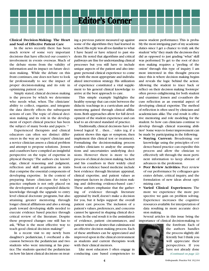

#### **Clinical Decision-Making: The Heart and Soul of Effective Patient Care**

In the news recently there has been much review of some very important decisions that have effected our country's involvement in events overseas. Much of the debate stems from the validity of information and its impact on future decision making. While the debate on this front continues,one does not have to look far professionally to see the impact of proper decision-making and its role in optimizing patient care.

Simply stated, clinical decision making is the process by which we determine who needs what, when. The clinicians' ability to collect, organize, and integrate the data directly effects the subsequent actions of care.The topic of clinical decision making and its role in the development of expert clinical practice has been the subject of many books and papers.<sup>13</sup>

Experienced therapists and clinical educators can often see distinct differences in the way an 'expert' clinician and a novice clinician assess a clinical problem and attempt to propose solutions. Jensen and coauthors have compiled an insightful perspective on the topic of expertise in physical therapy. <sup>1</sup> The authors cite knowledge, clinical reasoning and judgment, reflection and skill acquisition as traits that comprise the essential components of developing expertise. In the context of preparing future clinicians for today's practice emphasis is not only placed on the development of an expanded didactic knowledge through the upgrade to entry level clinical doctorate programs, but also attaining greater mentoring through longer clinical affiliations and also a strong push toward developing skills needed to execute evidence based practice through critical review of the literature. Despite these proposed changes one still has to ask, "What is the most effective way to teach good clinical decision making?"

In a recent visit to my newly born daughter's pediatrician, I overheard a discussion between the pediatrician and two students who were interning at his practice.The students queried the pediatrician on how his latest clinical decisions on treating a previous patient measured up against some of the algorithms they had learned in school.His reply was all too familiar to what I have heard or have relayed to past students.He noted that algorithms and critical pathways are fine for understanding clinical processes but you still have to include unique aspects of the patient and also integrate personal clinical experience to come up with the most appropriate and individualized intervention strategy. His utilization of experience constituted a vital supplement to his general clinical knowledge to arrive at the best approach to care.

This simple example highlights the healthy synergy that can exist between the didactic teachings in a curriculum and the mentoring gained through clinical affiliations. Both approaches allow for full development of the student experience and can lead to an elevated standard of practice.

Traditionally, clinical decisions have followed logical 'if... then...' rules (eg, if a patient shows this sign or symptom, then implement this clinical test or treatment). Formalizing the decision-making process enables clinicians to analyze the assumptions and uncertainties underlying decisions. However there is more to the process of clinical decision making.Sackett and his coauthors in their widely cited book on evidence based medicine include best evidence through literature appraisal, clinical expertise, and patient values as important factors in clinical decision making and delivering evidence-based care.<sup>2</sup> These authors emphasize that the gathering of evidence through literature appraisal by itself, doesn't make a decision for you, but it helps support the overall patient care process. The inclusion of a patient's values, preferences, and concerns cannot be ignored in shaping clinical decisions.In the end result it is the assimilation of evidence, patient circumstances, and patient wishes or desires that culminates in an effective decision making process. Each of these attributes can be appreciated and improved upon in the clinical environment as students and current therapists work with their clinical mentors.

Like most educators I often engage in conducting case based competencies to assess student performance. This is probably the most intriguing part of my academic duties since I get a chance to truly ask the student "why"they made the decisions they did as opposed to just grading "what" skill was performed.To get to the root of decision making requires a "peeling of the onion" through this type of inquiry. I am most interested in this thought process since this is where decision making begins and reveals the logic behind the action. Allowing the student to trace back or reflect on their decision making 'footsteps' often proves enlightening for both student and examiner. Jensen and co-authors discuss reflection as an essential aspect of developing clinical expertise. The method of reflection is often used by clinicians and academicians alike.The end result is effective mentoring and role modeling for the student. So how can clinicians continue to develop through clinical reasoning abilities? Some ways to foster improvement can be made by participating in the following:

- **• Staying Current:** Broadening our knowledge using the principles of evidence-based practice can expedite this process and allow the clinician to effectively sift through the most pertinent information to keep abreast of advances in the profession.
- **Peer Review Activities:** Peer review of our performance by colleagues generates debate, critical inquiry, and the formulation of new ideas about optimizing care.
- **Varied Clinical Experiences:** The more we experience the more perspective we gain on problem solving. Experience increases the cognitive resources available for interpretation of data resulting in more accurate decision making.

Several articles in this issue bring the importance of clinical decision-making to



the forefront. Each of the authors handles the process slightly differently but I think you will appreciate their perspectives. If you have not already done *(Continued on page 32)*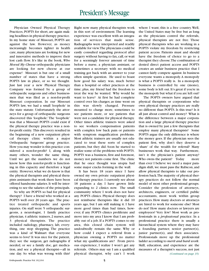## President's Message

Physician Owned Physical Therapy Practices, POPTS for short, are again making headlines in physical therapy practice. In my home state of Missouri, POPTS are against the law. However, as money increasingly becomes tighter in health care, many physicians are looking for new and innovative methods to improve their lost cash flow. It's like in the book, *Who Moved My Cheese* orthopaedic physicians are looking for new cheese at our expense! Missouri is but one of a small number of states that have a strong POPTS law in place, or so we thought. Just last year a new Physical Therapy Company was formed by a group of orthopaedic surgeons and other businessmen that was filed as a non-for-profit Missouri corporation. In our Missouri POPTS law, we had a small 'loophole' in the state statute. Unfortunately the attorneys for a group of orthopaedic surgeons discovered this 'loophole.' The 'loophole' was that a Missouri POPTS could exist if the physical therapy practice was a nonfor-profit entity. This discovery resulted in the beginning of a new outpatient physical therapy clinic within a major Orthopaedic Surgeons' group practice. How you may wonder is this practice considered a non-for-profit? I, along with many others, wonder the same thing. Until we get the numbers we do not know how this non-for-profit is functioning in this capacity and therefore a legal entity. However, what we do know is that the physical therapists and physical therapists assistants that work there have been offered handsome salaries. It will be interesting to see the salaries of the principals.

So why are POPTS so bad for physical therapy? I have a friend who worked at a POPTS well over 20 years ago. The practice treated orthopaedic and sports injuries. On staff were 5 orthopaedic surgeons, a neurologist, 1 family practice physician,4 athletic trainers,2 nurses,and 3 physical therapists. The practice included radiology, pharmacy, lab, everything, one stop shopping. The practice was a kind of Walmart that everyone seems to love! It was nice for the patient, they see the surgeon, get radiographs if needed, or see a family doc, get medication, and see a physical therapist—all in one day. So what was wrong with this?

Right now many physical therapists work in this sort of environment. The learning experience was excellent with an integration of services that made sense. Radiographs were interpreted and readily available for view.The physicians could be easily consulted regarding protocol after surgery without having to fax, call, or wait for a seemingly forever amount of time before a nurse, a physician assistant, or sometimes a secretary with no medical training got back with an answer to your often simple question. He used to boast how good his salary was, much better than a hospital or other practices at the time; plus, my friend had the freedom to treat the way he wanted. Why would he want to leave? At first he had complete control over his charges; as time went on this was slowly changed. Pressure mounted to charge more, sometimes to see patients more, or see patients that were not a candidate for physical therapy. Other times athletic trainers were asked to see workers compensation patients with complex low back pain or patients with symptom magnification problems. Most athletic trainers are usually not educated to treat these sorts of complex patients, but they did. Soon he started to realize some of the problems with POPTS. POPTS was a business, first and foremost, money not patients come first. The clinic that he once thought was utopia had some major cracks forming in the wall.

It has been 18 years since I have owned my own private outpatient physical therapy practice. I currently see about 18 patients a day. I have grown little expanding to 2 clinics now. The small community where I work does not have any POPTS clinics. Physical therapy does not reimburse therapists like it did 10 years ago, but I am still making it. I have more good times than bad times, however, if any POPTS clinics proliferate and move into my area I know that I am probably out of a job. If a POPTS comes to my area, this closed chain system will undoubtedly remain the same. Why or how could I expect a referral from a physician owning a POPTS no matter what my qualifications are? From previous experience, I realize I won't get any referrals. Others may say I am a qualified physical therapist, why can't I work where I want; this is a free country.Well, the United States may be free but as long as the physicians control the referrals, physical therapists are not free. Those physical therapists who are working in a POPTS violate my freedom by restricting patient access. Patients must and should have the freedom of choice to go to a therapist they choose.The combination of denied direct patient access and POPTS creates an unfair business practice that I cannot fairly compete against. In business everyone wants a monopoly.A monopoly is what a POPTS really is. In a monopoly business is controlled by one (mono), some body is left out. It's great if you're in the monopoly but what if you are left out?

The POPTS owners have argued that physical therapists or corporations who own physical therapy practices are really no different than POPTS. Is this true? Is it all just about control and money? What is the difference between a major corporation and a large physical therapy practice that is owned by just a few therapists that employ many physical therapists? Some POPTS argue the only difference is where the money goes. If the physician sees the patient first, why don't they deserve a 'share' of the wealth for referral? Many businesses work that way. Furthermore, isn't it the physician's patient anyway? Who owns the patient? Today more than ever I believe we need a major paradigm shift, we must pass the Rubicon, and allow physical therapists to take our profession back.The majority of physical therapy practices do not follow the normal model of most other professional groups. Consider the profession of attorneys, architects, engineers, or certified public accountants, most work within group practices. How many doctors or attorneys are hired to work for someone else? Most do not! How many doctors or lawyers are employees? Very few! Most work as professionals in a *professional* practice. In a professional practice there is usually a hierarchical system where they may have a founding partner, senior partner(s), junior partner(s), and then associates. Professionals move up the professional ladder according to *merit and hard work*. Skill, education, and experience are the measures of a therapist's success, not just *(Continued on page 35)*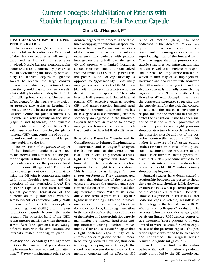## Current Concepts: Rehabilitation of Patients with Shoulder Impingement and Tight Posterior Capsule

#### **Chris G. d'Hespeel, PT**

#### **FUNCTIONAL ANATOMY OF THE POS-TERIOR SHOULDER**

The glenohumeral (GH) joint is the most mobile in the entire body.Movement of the shoulder requires a delicate synchronized action of all structures involved. Muscle balance, neuromuscular  $control<sub>i</sub>$  and joint congruency play a vital role in coordinating this mobility with stability. The labrum deepens the glenoid socket to receive the large convex humeral head which is 3 to 4 times larger than the glenoid fossa radius.<sup>2</sup> As a result, joint stability is enhanced despite the lack of stabilizing bony contours. The vacuum effect created by the negative intra-articular pressure also assists in keeping the joint stable.<sup>3</sup> Still, because of its anatomical architecture, the joint is intrinsically unstable and relies heavily on the static (capsule and ligaments) and dynamic (contractile structures) stabilizers. The soft tissue envelope covering the glenohumeral (GH) joint, consisting of both static and dynamic structures, provides primary stability to the joint.

The structures of the *posterior* aspect of the shoulder include muscles, ligaments, nerves, and soft tissues.<sup>4</sup> The posterior capsule is thin and has no capsular ligaments except for the posterior band of the inferior GH ligament.<sup>1</sup> The role of the capsuloligamentous complex in stabilizing the GH joint is complex and varies with both shoulder position and the direction of the translation force.<sup>1</sup> The posterior capsule is the main restraint against posterior translation of the humerus on the glenoid fossa with the arm below  $90^\circ$  of abduction (ABD).<sup>5</sup> With the arm at 90° of ABD the inferior glenohumeral ligament (IGHL) and the posteroinferior capsule become the main restraint.The posterior band of the IGHL resists inferior translation when the arm is at 90° of ABD.The ligament also shows significant strain with the arm elevated and internally rotated in the sagittal plane.<sup>6</sup>

#### **Primary and Secondary Impingement**

Over the past several years shoulder impingement has received significant attention.7-11 *Primary* impingement refers to the intrinsic degenerative process in the structures occupying the subacromial space due to micro trauma and/or anatomic variations of the acromion.7 It has been the author's experience that patients with primary impingement are typically over the age of 40 and present with limited horizontal adduction (as compared to the uninvolved site) and limited IR  $(< 50^{\circ}$ ). The general clinical picture is one of *hypo*-mobility as opposed to *hyper*-mobility. *Secondary* impingement is a result of subtle GH instability often times seen in athletes who participate in overhead sports.<sup>9,12-16</sup> These athletes typically present with limited internal rotation (IR), excessive external rotation (ER), and antero-superior humeral head migration.7 Posterior capsule tightness has been suggested as a contributing factor to secondary impingement in the thrower.<sup>17</sup> Capsular tightness in relation to primary impingement however has received much less attention in the rehabilitation literature.

#### **Role of the Posterior Capsule and Its Contribution to Primary Impingement**

Harryman and colleagues<sup>18</sup> analyzed the biomechanics of the glenohumeral (GH) joint in vitro.They theorized that a tight shoulder capsule will force the humeral head to translate in a direction opposite to the tight tissue constraint. This is referred to as the *capsular constraint mechanism.* They demonstrated in vitro that tightening of the posterior capsule increases the anterior and superior translation of the humeral head during forward flexion. Wilk et al<sup>17</sup> introduced the term 'asymmetrical capsular tightness' describing a situation in which one portion of the capsule is tighter than the other portions, inhibiting translation in the direction of the tightness.Tightness of the inferior and posteroinferior capsule may inhibit the humeral head from gliding inferiorly during overhead movements.<sup>8</sup> Tyler and associates<sup>4</sup> suggest that a tight posterior capsule may cause antero-superior migration of the humeral head during forward elevation, thus contributing to impingement. Although the correlation between the GH capsulo-ligamentous complex and its effect on GH range of motion (ROM) has been addressed in the literature, $1,19-21$  one may question the exclusive role of the posterior capsule in causing excessive anterosuperior migration of the humeral head. One may argue that the posterior contractile structures (eg, infraspinatus) may be tight as well and therefore be responsible for the lack of posterior translation, which in turn may cause impingement. Harryman and coauthors<sup>18</sup> state however, that GH translation during active and passive movement is primarily controlled by *capsular* tension. This is confirmed by Howell et al<sup>21</sup> who downplay the role of the contractile structures suggesting that the capsule (and/or the articular congruencies), not the muscular envelope is responsible for the mechanism that generates the translation. It also has been suggested that the surgical procedure of choice in patients with tight posterior shoulder structures is selective release of the posterior capsule and not of the posterior contractile structures.19,22 This author is unaware of soft tissue cutting studies (in vitro or in vivo) of the posterior musculotendinous structures of the shoulder, or literature that supports the claim that such a procedure would be an appropriate intervention to address limitations of shoulder ROM and/or primary shoulder impingement.

Surgical studies have demonstrated a relationship between the posterior shoulder capsule and shoulder ROM, showing an increase in IR when posterior portions of the capsule are released.<sup>19</sup> Bennett<sup>22</sup> showed a significant increase in IR after posterior capsule release, regardless of the etiology of the limited passive ROM. Warner and colleagues $23$  evaluated 18 patients following shoulder surgery, with persistent limited ROM despite conservative treatment. Those patients with only limited IR were selected for arthroscopic release of the posterior capsule.The posterior capsule was found to be thickened and contracted. The surgical release resulted in significant gains in IR.

Based on these findings, the author believes that GH translation is predominantly controlled by the GH capsulo-liga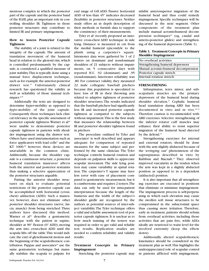mentous complex in which the posterior part of the capsule and the posterior band of the IGHL play an important role in controlling shoulder IR. Tightness in those posterior structures may contribute to limited IR and primary impingement**.**

#### **How to Assess Posterior Capsule Tightness**

The stability of a joint is related to the integrity of the capsule. The amount of translation movement of the humeral head in relation to the glenoid rim, which is controlled predominantly by the capsule, is considered a qualified measure of joint stability.This is typically done using a manual force displacement technique, such as for example the anterior-posterior drawer test.<sup>24</sup> Unfortunately clinical research has questioned the validity as well as reliability of those manual techniques.8,25

Additionally the tests are designed to determine *hyper*-mobility as opposed to *hypo***-**mobility of the joint capsule. Consequently those techniques lack clinical relevancy in the specific assessment of posterior capsule tightness. Warner et al<sup>26</sup> were unable to demonstrate posterior capsule tightness in patients with shoulder impingement using the drawer test. Others have used instrumentation such as force applicators with load cells $27$  and the KT 1000;<sup>28</sup> however, these devices are unavailable in the common clinic. Additionally, because the shoulder capsule is a continuous structure, a posterior humeral translation maneuver affects both the anterior and posterior restraints thus making a selective appreciation of the posterior structures arguable.

Putting the anterior shoulder structures on slack to evaluate potential restrictions of the posterior capsule can be accomplished with horizontal (crosschest) adduction (ADD). Such a maneuver, however, does not eliminate other posterior shoulder structures (nerve, fascia, muscle) from being stretched. Three authors have discussed this method. Warner et al<sup>26</sup> describe a goniometric technique with the patient in supine, shoulder at 90° flexion (0° ADD), moving the arm into cross-chest ADD until the scapula lifts off the table.This would indicate the end of glenohumeral motion and the beginning of the scapulothoracic contribution. Pappas and associates $29$  use the same goniometric technique but manually stabilize the scapula to palpate for

end range of GH ADD. Passive horizontal ADD of less than 45° indicates decreased flexibility in posterior structures. Neither study offers an in depth description of their methods or furnish data to support the consistency of their measurements.

Tyler et al<sup>4</sup> recently proposed an innovative cross-chest ADD technique in side lying. Distance is measured in cm from the medial humeral epicondyle to the plinth using a carpenter's square. Intratester data were gathered by 1 of 2 testers on dominant and nondominant shoulders of 21 subjects without impairments, on 5 consecutive days with reported ICC .92 (dominant) and .95 (nondominant). Intertester reliability was .80. For construct validity, they measured 22 male collegiate baseball pitchers because this population is speculated to have loss of IR in their throwing arm related to adaptive tightness of posterior shoulder structures.The results indicated that the baseball pitchers had significantly less IR and increased posterior capsule tightness as compared to the subjects without impairment.This is the first study that measures the relationship between IR and posterior shoulder tightness found in pitchers.

The procedure outlined by Tyler and associates<sup>4</sup> is well described and appears adequate for comparison of repeated measures for the same subject and performed by the same clinician. The Tyler technique controls humeral rotation and depends on palpation skills to appreciate scapular movement. The side lying position may cause variability in spinal rotation. The carpenter's T square may have less error with ease of placement compared to goniometric measurement, but it is cumbersome and requires 2 testers.The data can only be used for intra-patient interpretation because the length of the humerus and the width of the subject's shoulder girdle are recognized by the authors as potential sources of inter-subject variability.The Tyler technique offers a valid and reliable assessment tool of posterior capsule tightness. It is unclear as to how much training of the testers was required in order to get valid and reliable test results. Replication studies are needed to confirm reliability and validity results.

#### **Treatment Concepts in Primary Impingement**

Stretching the posterior capsule may

inhibit anterosuperior migration of the humeral head and thus could remedy impingement. Specific techniques will be discussed in the next segment. Other components of the treatment plan include manual acromiohumeral decompression techniques<sup>30</sup> (eg, caudal and anterio-posterior glides) and strengthening of the humeral depressors (Table 1).

#### **Table 1. Treatment Concepts in Primary Shoulder Impingement**

| No overhead activities               |
|--------------------------------------|
| Strengthening humeral depressors     |
| Manual acromio-humeral decompression |
| Posterior capsule stretch            |
| Internal rotation stretch            |

#### **STRENGTHENING**

Infraspinatus, teres minor, and subscapularis muscles are the primary depressors of the humeral head during shoulder elevation.<sup>31</sup> Cephalic humeral head translation during ABD has been documented in vitro and in vivo.<sup>16,32</sup> Therefore caution is recommended with ABD exercises. Selective strengthening of the inferior rotator cuff muscles may enhance their ability to resist superior migration of the humeral head directed by the deltoid.<sup>33</sup>

Strengthening exercises for internal and external rotators, should be done with the arm slightly abducted because of the '*wringing out'* phenomenon of the supraspinatus described in vitro by Rathbun and Macnab.<sup>34</sup> They observed improved vascularity in the tendon when the arm was kept in a slightly abducted position as opposed to in a dependent (adducted) position.

It is also important that all strengthening exercises are executed in positions that eliminate or minimize impingement. The impingement process is self-perpetuating in which each elevation may cause the swollen soft tissue structures to be compromised in the subacromial space thus causing more irritation. Therefore, early in treatment, patients should refrain from overhead activities, including those activities that are pain free, while ADLs ideally are restricted to waist level for the involved extremity (keep the elbow down).

Additionally, altered scapulothoracic kinematics should be considered in the treatment plan as well.This highlights the underappreciated role of scapular control in patients afflicted with impingement.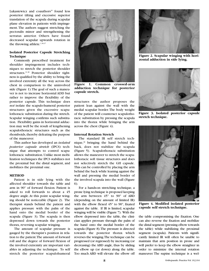Lukasiewicz and coauthors<sup>35</sup> found less posterior tilting and excessive superior translation of the scapula during scapular plane elevation in patients with impingement.The authors suggest stretching the pectoralis minor and strengthening the serratus anterior. Others have found decreased scapular upwards rotation in the throwing athlete.<sup>1,36,37</sup>

#### **Isolated Posterior Capsule Stretching Technique**

Commonly prescribed treatment for shoulder impingement includes techniques to stretch the posterior shoulder structures. 31,38 Posterior shoulder tightness is qualified by the ability to bring the involved extremity all the way across the chest in comparison to the uninvolved side (Figure 1).The goal of such a maneuver is not to increase horizontal ADD but rather to improve the flexibility of the posterior capsule. This technique does *not* isolate the scapulo-humeral posterior structures given the excessive scapulothoracic substitution during the stretch. Scapular winging confirms such substitution. Flexibility gains in horizontal adduction may well be the result of lengthening scapulothoracic structures such as the rhomboids, thereby defeating the purpose of the maneuver.

This author has developed an *isolated posterior capsule stretch* (IPCS) technique that attempts to control scapulothoracic substitution.Unlike most mobilization techniques the IPCS stabilizes not the proximal but the distal segment, and mobilizes the proximal one.

#### **METHOD**

Patient is in side lying with the affected shoulder towards the table and arm in 90° of forward flexion. Patient is asked to roll forwards to about a 45 degree angle.At this point scapular winging should be noticeable (Figure 2). The therapist stands behind the patient and applies pressure with the palm of the hand onto the medial border of the scapula (Figure 3). The scapula is then depressed down towards the posterior thorax, reversing scapular winging.

The amount of scapular pressure is gauged by the therapist's position in relation to the patient.The amount of forward roll and the degree of forward flexion of the involved extremity are important variables in adjusting the technique. To self stretch the posterior scapulohumeral



**Figure 1. Common crossed-arm adduction technique for posterior capsule stretch.**

structures the author proposes the patient lean against the wall with the medial scapular border. The body weight of the patient will counteract scapulothoracic substitution by pressing the scapula into the thorax while bringing the arm across the chest (Figure 4).

#### **Internal Rotation Stretch**

The standard IR self stretch technique,38 bringing the hand behind the back, does not stabilize the scapula (Figure 5). Scapulothoracic substitution allows the maneuver to stretch the scapulothoracic soft tissue structures and does not selectively stretch the GH capsule. This can be controlled by placing the arm behind the back while leaning against the wall and pressing the medial border of the involved scapula into the wall (Figure 6).

For a hands-on stretching technique, a prone lying technique is proposed keeping the arm between 45° to 90° of ABD (depending on the amount of limited IR) with the elbow flexed 45° to 90°, fixated against the table. If IR is limited, scapular winging will be visible (Figure 7). With the elbow depressed into the table, the clinician applies pressure through the palm of the hand onto the medial border of the scapula (Figure 8).The pressure is directed towards the posterior thorax which reverses the winging.The technique can be progressed (or regressed) by increasing (or decreasing) the ABD angle, thus by sliding the elbow up (or down) along the table. Too much ABD will elevate the elbow off



**Figure 2. Scapular winging with horizontal adduction in side lying.**



**Figure 3. Isolated posterior capsule stretch technique.**



**Figure 4. Modified isolated posterior capsule self stretch technique.**

the table compromising the fixation. One can also reverse the fixation and mobilize the distal segment (pressing elbow towards the table) while stabilizing the proximal segment (scapula). Patients with significantly limited IR will often be unable to maintain that arm position in prone and will prefer to keep the elbow straighter in order to minimize the internal rotation maneuver. The supine technique is a wel-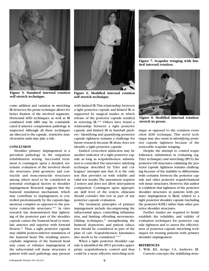

**Figure 5. Standard internal rotation self stretch technique.**

come addition and variation in stretching IR;however,the prone technique allows for better fixation of the involved segments. Horizontal ADD techniques, as well as IR combined with ABD may be contraindicated if anterior compression pathology is suspected. Although all these techniques are directed to the capsule, restrictive muscle-tendon units may play a role.

#### **CONCLUSION**

Shoulder primary impingement is a prevalent pathology in the outpatient rehabilitation setting. Successful treatment is contingent upon a detailed, systematic evaluation of the involved shoulder structures. Joint geometry and contractile and noncontractile structures among others need to be considered as potential etiological factors in shoulder impingement. Research suggests that the humeral translation mechanism, which may contribute to impingement, is controlled predominantly by the capsulo-ligamentous complex as opposed to the posterior contractile structures.<sup>18,21</sup> In vitro research has demonstrated that tightening of the posterior part of the shoulder capsule causes the humeral head to translate anterior and superior with forward flexion.<sup>18</sup> Thus, a tight posterior capsule may inhibit postero-inferior translation of the humeral head. The resulting anterocephalic migration of the humeral head may cause or enhance impingement of the subacromial soft tissue structures. A patient with such pathology may present



**Figure 6. Modified internal rotation self stretch technique.**

with limited IR. This relationship, between a tight posterior capsule and limited IR, is supported by surgical studies in which release of the posterior capsule resulted in restoring IR.22,23 Others have found a relationship between a tight posterior capsule and limited IR in baseball pitchers.4 Identifying and quantifying posterior capsule tightness remains a challenge for future research because IR alone does not identify a tight posterior capsule.

Limited cross-chest adduction may be another indicator of a tight posterior capsule as long as scapulothoracic substitution is controlled.The innovative sidelying technique described by Tyler and colleagues<sup>4</sup> attempts just that. It is the only test that provides us with reliable and valid test results.The assessment requires 2 testers and does not allow inter-patient comparison. Contingent upon appropriate skill level of the testers, clinicians should consider this test as part of any posterior capsule evaluation.

The treatment principles of primary impingement include decompressing the subacromial space, controlling inflammation, and limiting offending movements. Gliding techniques, $30$  strengthening the humeral depressors, and patient education should be considered as part of the plan of care. Scapulothoracic kinematics also needs to be considered.<sup>1,35-37</sup>

When a tight posterior shoulder capsule is identified the IPCS provides appropriate scapulothoracic control and thus could be a more effective stretching tech-



**Figure 7. Scapular winging with limited internal rotation.**



**Figure 8. Modified internal rotation stretch in prone.**

nique as opposed to the common crosschest ADD technique. This novel technique may also assist in *identifying* posterior capsule tightness because of the noticeable scapular winging.

Despite the attempt to control scapulothoracic substitution in evaluating (eg, Tyler technique) and stretching (IPCS) the posterior GH structures, validating the posterior capsule tightness remains challenging because of the inability to differentiate with certainty between the posterior capsule and other posterior scapulo-humeral soft tissue structures. However, this author is confident that tightness of the posterior shoulder structures in patients with primary impingement is likely related to a tight posterior shoulder capsule (including the posterior IGHL) rather than other posterior shoulder structures.

Further studies are required to firmly establish the reliability and validity of evaluation techniques for posterior capsule tightness and to assess the effectiveness of posterior capsule stretching techniques for treating patients with primary shoulder impingement.

#### **REFERENCES**

1. Wilk KE, Arrigo CA, Andrews JR. Current concepts: the stabilizing struc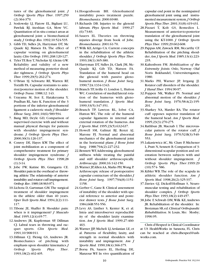tures of the glenohumeral joint. *J Orthop Sports Phys Ther*. 1997;259 (2):364-379.

- 2. Soslowsky LJ, Flatow EL, Bigliani LU, Pawluk RJ, Ateshian GA, Mow VC. Quantitation of in situ contact areas at glenohumeral joint: a biomechanical study.*J Orthop Res*. 1992;10:524-535.
- 3. Gibb TD, Sidles JA, Harryman DT, Mc Quade KJ, Matsen FA. The effect of capsular venting on glenohumeral laxity.*Clin Orthop*.1991;268:120-127.
- 4. Tyler TF, Roy T, Nicholas SJ, Gleim GW. Reliability and validity of a new method of measuring posterior shoulder tightness. *J Orthop Sports Phys Ther.* 1999;29(5):262-274.
- 5. O'Brian SJ, Schwartz RE, Warren RF, Torzilli PA. Capsular restraints to anterior/posterior motion of the shoulder. *Orthop Trans*. 1988;12: 143.
- 6. Urayama M, Itoi E, Hatakeyama Y, Pradhan RL, Sato K. Function of the 3 portions of the inferior glenohumeral ligament: a cadaveric study.*J Shoulder Elbow Surg*. 2001;10(6):589-594.
- 7. Bang MD, Deyle GD, Comparison of supervised exercise with and without manual physical therapy for patients with shoulder impingement syndrome. *J Orthop Sports Phys Ther*. 2000;30(3):126-137.
- 8. Conroy DE, Hayes KW. The effect of joint mobilization as a component of comprehensive treatment for primary shoulder impingement syndrome. *J Orthop Sports Phys Ther.* 1998;28  $(1):3-14.$
- 9. Jobe FW, Kutine RS, Grangarra CE. Shoulder pain in the overhead or throwing athlete:The relationship of anterior instability and rotator cuff impingement. *Orthop Rev*.1989;18:963-971.
- 10.Lichota D, Gartsman GM.The surgical treatment of shoulder impingement in the athlete older than 40 years. *Oper Tech Sports Med*. 1994;2(2):111- 117.
- 11.Tibone JE, Shaffer B. Shoulder pain: when is it impingement? *J Musculo Med*. 1995;12(4):65-77.
- 12.Andrews JR, Kupferman SP, Dillman CJ. Labral tears in throwing and racquet sports. *Clin Sports Med*. 1991;10:908-911.
- 13.Dillman CJ, Fleisig GS, Andrews JR. Biomechanics of pitching with emphasis upon shoulder kinematics.*J Orthop Sports Phys Ther*. 1993;18(2):402-405.
- 14.Hoogenboom BH. Glenohumeral instability poses treatment puzzle. *Biomechanics*. 2000:69-80.
- 15.Richards DB. Injuries to the glenoid labrum. *Phys Sports Med*. 1999;27 (6):73-83.
- 16.Sauers EL. Theories on throwing injuries diverge from book of Jobe. *Biomechanics*. 2001:61-70.
- 17.Wilk KE,Arrigo CA. Current concepts in the rehabilitation of the athletic shoulder. *J Orthop Sports Phys Ther*. 1993;18(1):365-380.
- 18.Harryman DT, Sidles JA, Clark JM, Mc-Quade KJ, Gib TD, Matsen FA. Translation of the humeral head on the glenoid with passive glenohumeral motion. *J Bone Joint Surg*. 1990;72A:1334-1343.
- 19.Branch TP, Avilla O, London L, Hutton WC.Correlation of medial/lateral rotation of the humerus with glenohumeral translation. *J Sports Med*. 1999;33(5):347-351.
- 20.Branch TP, Lawton RL, Iobst CA, Hutton WC. The role of the humeral capsular ligaments in internal and external rotation of the humerus. *Am J Sports Med*. 1995;23(5):632-637.
- 21.Howell SM, Galinat BJ, Renzi AJ, Marone PJ. Normal and abnormal mechanics of the glenohumeral joint in the horizontal plane. *J Bone Joint Surg*. 1988;79A(2):227-232.
- 22.Bennett WF,Addressing glenohumeral stiffness while treating the painful and stiff shoulder arthroscopically. *Arthroscopy*. 2000;16:142-150.
- 23.Warner JP,Allen AA, Marks PH,Wong P. Arthroscopic release of postoperative capsular contracture of the shoulder.*J Bone Joint Surg*. 1997;79A(8):1151- 1158.
- 24.Gerber C, Ganz R. Clinical assessment of instability of the shoulder with special reference to anterior and posterior drawer tests. *J Bone Joint Surg*. 1984;66B:551-556.
- 25.Levy AS, Linther S, Kenter K, et al. Intra- and interobserver reproducibility of the shoulder laxity examination. *Am J Sports Med*. 1999;27:460- 463.
- 26.Warner JJP, Micheli LJ,Arslanian LE, et al. Patterns of flexibility, laxity, and strength in normal shoulders with instability and impingement. *Am J Sports Med.* 1990;18(4):366-375.
- 27.Borsa PA, Sauers EL, Herling DE, Manzour WF. In vivo quantification of

capsular end point in the nonimpaired glenohumeral joint using and instrumented measurement system.*J Orthop Sports Phys Ther*. 2001;31(8):419-431.

- 28.Pizzari T, Kolt GS, Remedios L. Measurement of anterior-to-posterior translation of the glenohumeral joint using the KT-1000. *J Orthop Sports Phys Ther*. 1999;29:602-608.
- 29.Pappas AM, Zawack RM, Mccarthy CF. Rehabilitation of the pitching shoulder.*Am J Sports Med*.1985;13(4):223- 235.
- 30.Kaltenborn FM. *Mobilization of the Extremity Joints*. Oslo, Norway: Olaf Noris Bokhandel, Universitetsgaten; 1980.
- 31.Marks PH, Warner JP, Irrgang JJ. Rotator cuff disorders of the shoulder. *J Hand Ther*. 1994:90-97.
- 32.Poppen NK, Walker PS. Normal and abnormal motion of the shoulder. *J Bone Joint Surg.* 1976;58-A(2):195- 201.
- 33.Sharkey NA, Marder RA. The rotator cuff opposes superior translation of the humeral head. *Am J Sports Med*. 1995;23(3):270-275.
- 34.Rathbun JB, Macnab I. The microvascular pattern of the rotator cuff. *J Bone Joint Surg*. 1970;52-B(3):540- 553.
- 35.Lukasiewicz AC, Mc Clure P, Michener L, Pratt N, Sennett B.Comparison of 3 dimensional scapular position and orientation between subjects with and without shoulder impingement. *J Orthop Sports Phys Ther*.1999:29 (10):574- 586.
- 36.Kibler WB.The role of the scapula in athletic shoulder function. *Am J Sports Med.* 1998;26(2):325-337.
- 37.Davies GJ, Dickoff-Hoffman S, Neuromuscular testing and rehabilitation of shoulder complex. *J Orthop Sports Phys Ther*. 1993;18(2):449-457.
- 38.Jobe F, Schwab DM,Wilk KE,Andrews JR. Rehabilitation of the shoulder. In: Brotzman SB,ed.*Clinical Orthopaedic Rehabilitation*. St Louis, Mo: Mosby; 1996:95.

Chris d'Hespeel is Clinical Coordinator at US HealthWorks in Sarasota, FL. Chris can be reached at chris.dhespeel@ushworks.com.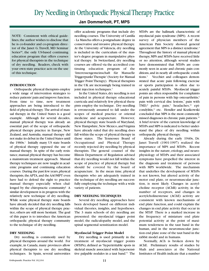## Dry Needling in Orthopaedic Physical Therapy Practice

#### **Jan Dommerholt, PT, MPS**

NOTE: Consistent with ethical guidelines,the author wishes to disclose that he is co-founder and co-program director of the Janet G.Travell, MD Seminar Series<sup>SM</sup>, the only US-based continuing education program that offers courses for physical therapists in the technique of dry needling. Readers, check with your own state practice acts on the use of this technique.

#### **INTRODUCTION**

Orthopaedic physical therapists employ a wide range of intervention strategies to reduce patients'pain and improve function. From time to time, new treatment approaches are being introduced to the field of physical therapy. The arrival of manual therapy in the United States is a good example. Although for several decades, manual physical therapy was already an essential part of the scope of orthopaedic physical therapy practice in Europe, New Zealand, and Australia, manual therapy did not make its debut in the United States until the  $1960s$ .<sup>1</sup> Initially many US state boards of physical therapy opposed the use of manual therapy. In spite of the early resistance,manual physical therapy has become a mainstream treatment approach. Manual therapy techniques are now taught in academic programs and continuing education courses. During the past few years,physical therapists, the APTA, and the AAOMPT even have had to defend the right to practice manual therapy especially when challenged by the chiropractic community! A similar development is in progress with the relatively new technique of dry needling. While some physical therapy state boards have already decided that dry needling falls within the scope of physical therapy practice, others are still more hesitant. The goal of this paper is to introduce the American orthopaedic physical therapy community to the technique of dry needling.

#### **DRY NEEDLING**

Dry needling is commonly used by physical therapists around the world. For example, in Canada, many provinces allow physical therapists to use dry needling techniques. In Spain, several universities

offer academic programs that include dry needling courses. The University of Castilla - La Mancha offers a postgraduate degree in conservative and invasive physical therapy. At the University of Valencia, dry needling is included in the curriculum of the master's degree program in manipulative physical therapy. In Switzerland, dry needling courses are offered via the accredited continuing education program of the 'Interessengemeinschaft für Manuelle Triggerpunkt Therapie' (Society for Manual Trigger Point Therapy). Physical therapists in the UK are increasingly being trained in joint injection techniques.<sup>2</sup>

In the United States,dry needling is not included in physical therapy educational curricula and relatively few physical therapists employ the technique. Dry needling is erroneously assumed to fall under the scopes of medical practice or oriental medicine and acupuncture. However, physical therapy state boards of Maryland, New Hampshire, New Mexico, and Virginia have already ruled that dry needling does fall within the scope of physical therapy in those states. The Tennessee Board of Occupational and Physical Therapy recently rejected dry needling by physical therapists. The general counsel of the Illinois Department of Regulation advised that dry needling would not fall within the scope of practice of physical therapy but should be covered by the board of acupuncture. In the mean time, physical therapists who are adequately trained in the technique of dry needling are successfully employing the technique with a wide variety of patients.

#### **DRY NEEDLING TECHNIQUES**

Several dry needling approaches have been developed based on different individual theories, insights, and hypotheses. The 3 main schools of dry needling are presented: the myofascial trigger point model, the radiculopathy model, and the spinal segmental sensitization model.

#### **Myofascial Trigger Point Model**

Dry needling is used primarily in the treatment of myofascial trigger points (MTrPs), defined as "hyperirritable spots in skeletal muscle associated with hypersensitive palpable nodules in a taut band."3 The MTrPs are the hallmark characteristic of myofascial pain syndrome (MPS). A recent survey of physician members of the American Pain Society showed general agreement that MPS is a distinct syndrome.<sup>4</sup> Throughout the history of manual physical therapy,MPS and MTrPs have received little or no attention, although several studies have demonstrated that MTrPs are commonly seen in acute and chronic pain conditions,and in nearly all orthopaedic conditions.<sup>5</sup> Vecchiet and colleagues demonstrated that acute pain following exercise or sports participation is often due to acutely painful MTrPs. Myofascial trigger points are often responsible for complaints of pain in persons with hip osteoarthritis,<sup>6</sup> pain with cervical disc lesions,<sup>7</sup> pain with TMD,<sup>8</sup> pelvic pain,<sup>9</sup> headaches,<sup>10</sup> epicondylitis,<sup>11</sup> etc. Hendler and Kozikowski concluded that MPS is the most commonly missed diagnoses in chronic pain patients.<sup>12</sup> A brief review of the current knowledge of MTrPs and MPS is indicated to better understand the place of dry needling within orthopaedic physical therapy.

Already during the early 1940s, Dr. Janet Travell (1901-1997) realized the importance of MPS and MTrPs. Recent insights in the nature, etiology, and neurophysiology of MTrPs and their associated symptoms have propelled the interest in the diagnosis and treatment of persons with MPS worldwide. The mechanism that underlies the development of MTrPs is not known, but altered activity of the motor end plate, or neuromuscular junction, is most likely. Changes in acetylcholine receptor (AChR) activity, in the number of receptors, and changes in acetylcholinesterase (AChE) activity are consistent with known mechanisms of end plate function, and could explain the changes in end plate activity that occur in the MTrP. There is a marked increase in the frequency of miniature end plate potential activity at the point of maximum tenderness in the taut band in the human, and in the neuromuscular junction end plate zone of the taut band in the rabbit model and in humans.

Normally, ACh is broken down by AChE. Preliminary results of studies by Shah and associates at the National Institutes of Health indicate that a number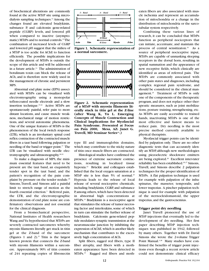of biochemical alterations are commonly found at the active MTrP site using microdialysis sampling techniques.13 Among the changes found are elevated bradykinin, substance P, and calcitonin gene-related peptide (CGRP) levels, and lowered pH when compared to inactive (asymptomatic) MTrPs and to normal controls.13The combination of increased levels of CGRP and lowered pH suggest that the milieu of a MTrP is too acidic for AChE to function efficiently. The possible implications for the development of MTrPs is outside the scope of this article and will be addressed in a future article.<sup>14</sup> The administration of botulinum toxin can block the release of ACh, and is therefore now widely used in the management of chronic and persistent MPS.

Abnormal end plate noise (EPN) associated with MTrPs can be visualized with electromyography using a monopolar teflon-coated needle electrode and a slow insertion technique.15,16 Active MTrPs are spontaneously painful, refer pain to more distant locations, and cause muscle weakness, mechanical range of motion restrictions, and several autonomic phenomena. One of the unique features of MTrPs is the phenomenon of the local twitch response (LTR), which is an involuntary spinal cord reflex contraction of the contracted muscle fibers in a taut band following palpation or needling of the band or trigger point.<sup>17</sup> The LTR can be visualized with needle electromyography and ultrasonography.18,19

To make a diagnosis of MPS, the minimum essential features that need to be present are the taut band, an exquisitely tender spot in the taut band, and the patient's recognition of the pain complaint by pressure on the tender nodule.20 Simons,Travell, and Simons add a painful limit to stretch range of motion as the fourth essential criterion.3 Referred pain, the LTR, and the electromyographic demonstration of end plate noise are confirmatory observations and not essential for the clinical diagnosis.

From a biomechanical perspective, National Institutes of Health researchers Wang and Yu hypothesized that MTrPs are severely contracted sarcomeres whereby myosin filaments literally get stuck in titin gel at the Z-band of the sarcomere (Figures 1 and 2).<sup>21</sup> Titin is the largest known protein that connects the Z-band with myosin filaments within a sarcomere. Approximately 90% of titin consists of 244 repeating copies of fibronectin



**Figure 1. Schematic representation of a normal sarcomere.**



**Figure 2. Schematic representation of a MTrP with myosin filaments literally stuck in titin gel at the Z-line (after Wang K, Yu L. Emerging Concepts of Muscle Contraction and Clinical Implications for Myofascial Pain Syndrome. Presented at Focus on Pain 2000, Mesa, AZ: Janet G. Travell, MD Seminar Series**sm**.)**

type III and immunoglobin domains, which may contribute to the sticky nature of titin once muscle fibers are contracted.

Histological studies have confirmed the presence of extreme sacromere contractions, resulting in localized tissue hypoxia.<sup>22</sup> Brückle and colleagues established that the local oxygen saturation at a MTrP site is less than 5% of normal.<sup>23</sup> Hypoxia leads to the release of local release of several nociceptive chemicals, including bradykinin, CGRP, and substance P,among others,which have been detected in abnormal high concentrations at MTrPs.13 Bradykinin is a nociceptive agent that stimulates the release of tumor necrosing factor and interleukins, some of which in turn can stimulate the further release of bradykinin. Calcitonin gene-related peptide modulates synaptic transmission at the neuromuscular junction by inhibiting the expression of AChE,which is another likely mechanism that contributes to the excessively high concentration of ACh.

Split fibers, ragged red fibers, type II fiber atrophy, and fibers with a motheaten appearance have been detected in MTrPs.<sup>22</sup> Ragged red fibers and motheaten fibers are also associated with muscle ischemia and represent an accumulation of mitochondria or a change in the distribution of mitochondria or the sarcotubular system respectively.

Combining these various lines of research, it can be concluded that MTrPs function as peripheral nociceptors that can initiate, accentuate, and maintain the process of central sensitizaton.<sup>24</sup> As a source of peripheral nociceptive input, MTrPs are capable of unmasking sleeping receptors in the dorsal horn, resulting in spatial summation and the appearance of new receptive fields, which clinically are identified as areas of referred pain. The MTrPs are commonly associated with other pain states and diagnoses, including complex regional pain syndrome, and should be considered in the clinical management.<sup>25</sup> Treatment of MTrPs is only one of the components of the therapeutic program, and does not replace other therapeutic measures, such as joint mobilizations, posture training, strengthening, etc. As MTrPs are easily accessible to trained hands, inactivating MTrPs is one of the most effective and fastest means to reduce pain. Dry needling is the most precise method currently available to physical therapists.

Myofascial trigger points can be identified by palpation only. There are no other diagnostic tests that can accurately identify an MTrP, although new methodologies using piezoelectric shockwave emitters are being explored.<sup>26</sup> Excellent inter-rater reliability has been established.<sup>20,27</sup> Simons, Travell, and Simons describe 2 palpation techniques for the proper identification of MTrPs. A flat palpation technique is used for example with palpation of the infraspinatus, the masseter, temporalis, and lower trapezius. A pincher palpation technique is used for example with palpation of the sternocleidomastoid, the upper trapezius, and the gastrocnemius.

#### **Trigger point dry needling**

Janet Travell pioneered the use of MTrP injections that eventually led to the development of dry needling. Her first paper describing MTrP injection techniques was published in 1942, followed by many others. Together with Dr. David Simons she wrote the 2-volume Trigger Point Manual.<sup>3,28</sup> Many studies have confirmed the benefits of trigger point injections even though a recent review article could not demonstrate clinical efficacy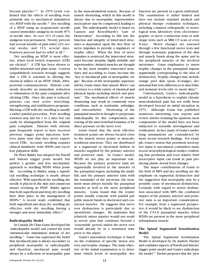beyond placebo.<sup>5,29</sup> In 1979 Lewit confirmed that the effects of needling were primarily due to mechanical stimulation of a MTrP with the needle.<sup>30</sup> Dry needling of a MTrP using an acupuncture needle caused immediate analgesia in nearly 87% of needle sites. In over 31% of cases, the analgesia was permanent. Twenty percent had several months of pain relief,22% several weeks, and 11% several days. Fourteen percent had no relief at all.<sup>30</sup>

Dry needling an MTrP is most effective, when local twitch responses (LTR) are elicited.31 A LTR has been shown to inhibit abnormal end plate noise. Current (unpublished) research strongly suggests that a LTR is essential in altering the chemical milieu of an MTrP (Shah, 2004, personal communication). Patients commonly describe an immediate reduction or elimination of the pain complaint after eliciting LTRs. Once the pain is reduced, patients can start active stretching, strengthening, and stabilization programs. Eliciting a LTR with dry needling is usually a rather painful procedure. Post- needling soreness may last for 1 to 2 days, but can easily be distinguished from the original pain complaint. Patients with chronic pain frequently report to have received previous trigger point injections; however, many state that they never experienced LTRs. Accurate needling requires clinical familiarity with MTrPs and excellent palpation skills.

Dr. Peter Baldry has adopted the Travell and Simons trigger point model, but prefers a gentler and less mechanistic approach to needling MTrPs when possible. According to Baldry, using a superficial needling technique is nearly always effective. With superficial dry needling, the needle is placed in the skin and cutaneous tissues overlying an MTrP. Baldry agrees that both superficial and deep dry needling have their place in the management of MTrPs.32 A recent study confirmed that both superficial and deep dry needling are effective with dry needling having a stronger and more immediate effect.<sup>33</sup>

#### **Radiculopathy Model**

In Canada,Dr.Chan Gunn developed his 'radiculopathy model' and coined the term 'intramuscular stimulation' instead of dry needling.34 Gunn has expressed the belief that myofascial pain is always secondary to peripheral neuropathy or radiculopathy and therefore, myofascial pain would always be a reflection of neuropathic pain

in the musculoskeletal system. Because of muscle shortening, which in this model is always due to neuropathy, 'supersensitive nociceptors' may be compressed, leading to pain. The radiculopathy model is based on Cannon and Rosenblueth's "Law of Denervation." According to this law, the function and integrity of innervated structures is dependent upon the free flow of nerve impulses to provide a regulatory or trophic effect. When the flow of nerve impulses is restricted, the innervated structures become atrophic, highly irritable, and supersensitive. Striated muscles are thought to be the most sensitive innervated structures and according to Gunn, become the "key to myofascial pain of neuropathic origin." Because of the neuropathic supersensitivity, Gunn states that muscle fibers "can overreact to a wide variety of chemical and physical inputs including stretch and pressure." The mechanical effects of muscle shortening may result in commonly seen conditions, such as tendonitis, arthralgia, and osteoarthritis. Shortening of the paraspinal muscles is thought to perpetuate radiculopathy by disc compression, narrowing of the intervertebral foramina,or by direct pressure on the nerve root.

Gunn found that the most effective treatment points are always located close to the muscle motor points or musculotendinous junctions. They are distributed in a segmental or myotomal fashion in muscles supplied by the primary anterior and posterior rami. In Gunn's model, MTrPs do not play an important role. Because the primary posterior rami are segmentally involved in the muscles of the paraspinal region, including the multifidi, and the primary anterior rami with the remainder of the myotome, the treatment must always include the paraspinal muscles as well as the more peripheral muscles. Gunn found that the tender points usually coincide with painful palpable muscle bands in shortened and contracted muscles. He suggests that nerve root dysfunction is particularly due to spondylotic changes. He maintains that relatively minor injuries would not result in severe pain that continues beyond a 'reasonable' period, unless the nerve root would already be in a sensitized state prior to the injury.

Gunn's assessment technique is based on the evaluation of specific motor, sensory,and trophic changes. The main objective of the initial examination is to determine which levels of neuropathic dysfunction are present in a given individual. The examination is rather limited and does not include standard medical and physical therapy evaluation techniques, including common orthopaedic or neurological tests, laboratory tests, electromyographic or nerve conduction tests or radiologic tests, such as MRI, CT scan, or even X-rays. Motor changes are assessed through a few functional motor tests and through systematic palpation of the skin and muscle bands along the spine and in the peripheral muscles of the involved myotomes. Gunn emphasizes to assess trophic changes in the paraspinal regions segmentally corresponding to the area of dysfunction. Trophic changes may include orange peel skin (peau d'orange), dermatomal hair loss, differences in skin folds, and moisture levels (dry vs. moist skin). $34$ 

Unfortunately, Gunn's radiculopathy model as a hypothesis to explain chronic musculoskeletal pain has not really been developed beyond its initial inception in 1973. Although Gunn has published numerous interesting case reports and review articles restating his opinions, most components of the model have not been subjected to scientific investigations and verification. In fact, many of Gunn's underlying assumptions are contradicted by more recent research findings. For example, Gunn's notion that persistent nociceptive input is uncommon contradicts many recent neurophysiological studies confirming that persistent and even relative brief nociceptive input can result in pain producing plastic dorsal horn changes.

The major contributions of Gunn to the field of MPS and dry needling are the emphasis on segmental dysfunction and the suggestion that neuropathy may be a possible cause of myofascial dysfunction. Certainly with regard to motor dysfunction associated with MPS, the combined impact of the primary anterior and posterior rami is an important consideration. For example, from a segmental perspective, it would be likely to see dysfunction of the C5-C6 paraspinal muscles when MTrPs are present in the more peripheral infraspinatus muscle.

#### **The Spinal Segmental Sensitization Model**

The Spinal Segmental Sensitization Model is developed by Dr.Andrew Fischer and combines aspects of Travell and Simons' trigger point model and Gunn's radiculopathy model.<sup>35</sup> Fischer proposes that the "pen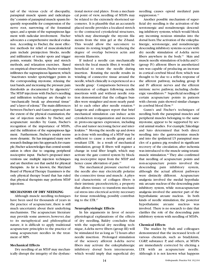tad of the vicious cycle of discopathy, paraspinal muscle spasm and radiculopathy"consists of paraspinal muscle spasm frequently responsible for compression of the nerve root, narrowing of the foraminal space,and a sprain of the supraspinous ligament with radicular involvement. Fischer advocates a comprehensive medical evaluation. According to Fischer, the most effective methods for relief of musculoskeletal pain include preinjection blocks, needle and infiltration of tender spots and trigger points, somatic blocks, spray and stretch methods, and relaxation exercises. Based on empirical observations,Fischer routinely infiltrates the supraspinous ligament, which "inactivates tender spots/trigger points in the corresponding myotome, relaxing the taut bands,and increasing the pressure pain thresholds as documented by algometry." The MTrP injections with Fischer's needling and infiltration technique are thought to "mechanically break up abnormal tissue" and "a layer of edema." The main differences between Fischer's and Gunn's approach are the extent of the physical examination, the use of injection needles by Fischer, and acupuncture needles by Gunn, Fischer's recognition of the importance of MTrPs, and the infiltration of the supraspinous ligament. Furthermore, Fischer's model seems more dynamic. He has integrated many new research findings into his approach; for example,Fischer acknowledges that central sensitization is often due to ongoing peripheral nociceptive input. Fischer's proposed interventions use multiple injection techniques and are therefore not that useful for physical therapists. As far is known, the Maryland Board of Physical Therapy Examiners is the only physical therapy board that has ruled that physical therapists may perform MTrP injections.

#### **MECHANISMS OF DRY NEEDLING**

Although muscle needling techniques have been used for thousands of years in the practice of acupuncture, there is still much uncertainty about their underlying mechanisms. The acupuncture literature may provide some answers, however, due to its metaphysical and philosophical nature, it is difficult to apply traditional acupuncture principles to the practice of using acupuncture needles in the treatment of MPS.

#### **Mechanical Effects**

Dry needling of an MTrP may mechanically disrupt the integrity of the dysfunctional motor end plates. From a mechanical point of view, needling of MTrPs may be related to the extremely shortened sarcomeres. It is plausible that an accurately placed needle provides a localized stretch to the contracted cytoskeletal structures, which may disentangle the myosin filaments from the titin gel at the Z-band. This would allow the sarcomere to resume its resting length by reducing the degree of overlap between actin and myosin filaments.

If indeed a needle can mechanically stretch the local muscle fiber, it would be beneficial to rotate the needle during insertion. Rotating the needle results in winding of connective tissue around the needle,which clinically is experienced as a 'needle grasp.' Comparisons between the orientation of collagen following needle insertions with and without needle rotation demonstrated that the collagen bundles were straighter and more nearly parallel to each other after needle rotation.<sup>36</sup> Langevin and colleagues report that brief mechanical stimulation can induce actin cytoskeleton reorganization and increases in proto-oncogenes expression, including cFos and tumor necrosing factor and interleukins.36 Moving the needle up and down as is done with needling of a MTrP may be sufficient to cause a needle grasp and a resultant LTR. As a result of mechanical stimulation, group II fibers will register a change in total fiber length, which may activate the gate control system by blocking nociceptive input from the MTrP and hence cause alleviation of pain.<sup>32</sup>

The mechanical pressure exerted via the needle also may electrically polarize the connective tissue and muscle. A physical characteristic of collagen fibers is their intrinsic piezoelectricity, a property that allows tissues to transform mechanical stress into electrical activity necessary for tissue remodeling, possibly contributing to the LTR.37

#### **Neurophysiologic Effects**

In his arguments in favor of neurophysiological explanations of the effects of dry needling, Baldry concludes that with the superficial dry needling technique, A-delta nerve fibers (group III) will be stimulated for as long as 72 hours after needle insertion. Prolonged stimulation of the sensory afferent A-delta nerve fibers may activate the enkephalinergic inhibitory dorsal horn interneurons, which would imply that superficial dry

needling causes opioid mediated pain suppression.<sup>32</sup>

Another possible mechanism of superficial dry needling is the activation of the serotonergic and noradrenergic descending inhibitory systems, which would block any incoming noxious stimulus into the dorsal horn.The activation of the enkephalinergic, serotonergic, and noradrenergic descending inhibitory systems occurs with dry needle stimulation of A-delta nerve fibers anywhere in the body.<sup>32</sup> Skin and muscle needle stimulation of A-delta and C- (group IV) afferent fibers in anesthetized rats was capable of producing an increase in cortical cerebral blood flow, which was thought to be due to a reflex response of the afferent pathway, including group II and IV afferent nerves and the efferent intrinsic nerve pathway, including cholinergic vasodilators.<sup>38</sup> Superficial needling of certain acupuncture points in patients with chronic pain showed similar changes in cerebral blood flow.39

Gunn's and Fischer's techniques of needling both the paraspinal muscles and peripheral muscles belonging to the same myotome, appear to be supported by several animal studies. For example,Takeshige and Sato determined that both direct needling into the gastrocnemius muscle and into the ipsilateral L5 paraspinal muscles of a guinea pig resulted in significant recovery of the circulation, after ischemia was introduced to the muscle using tetanic muscle stimulation.<sup>40</sup> They also confirmed that needling of acupuncture points and non-acupuncture points involved the descending pain inhibitory system, although the actual afferent pathways were distinctly different. Acupuncture analgesia involved the medial hypothalamic arcuate nucleus of the descending pain inhibitory system, while non-acupuncture analgesia involved the anterior part of the hypothalamic arcuate nucleus. In both kinds of needle stimulation, the posterior hypothalamic arcuate nucleus was involved. There is no research to date that clarifies the role of the descending pain inhibitory system with needling of MTrPs.

#### **Chemical Effects**

The studies by Shah and colleagues demonstrated that the increased levels of various chemicals, such as bradykinin, CGRP, substance P, and others, at MTrPs are immediately corrected by eliciting a LTR with an acupuncture needle. Although it is not known what happens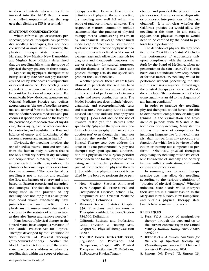to these chemicals when a needle is inserted into the MTrP, there is now strong albeit unpublished data that suggest that eliciting a LTR is essential.13

#### **STATUTORY CONSIDERATIONS**

Whether from a legal or statutory perspective, physical therapists can perform dry needling techniques, has not been considered in most states. However, the physical therapy state boards of Maryland, New Mexico, New Hampshire, and Virginia have officially determined that dry needling falls within the scope of physical therapy practice in those states.

Dry needling by physical therapists must be regulated by state boards of physical therapy and not by state boards of acupuncture or oriental medicine. Dry needling is not equivalent to acupuncture and should not be considered a form of acupuncture. For example, the New Mexico Acupuncture and Oriental Medicine Practice Act<sup>a</sup> defines acupuncture as "the use of needles inserted into and removed from the human body and the use of other devices, modalities and procedures at specific locations on the body for the prevention, cure or correction of any disease, illness, injury, pain, or other condition by controlling and regulating the flow and balance of energy and functioning of the person to restore and maintain health."

Obviously, dry needling involves the use of needles inserted into and removed from the human body; however, that is the only similarity between dry needling and acupuncture. Similarly, if a hammer is associated with carpenters, do plumbers become carpenters every time they use a hammer? The objective of dry needling is not to control and regulate the flow and balance of energy and is not based on Eastern esoteric and metaphysical concepts. The fact that needles are being used in the practice of dry needling does not imply that an acupuncture board would automatically have jurisdiction over such practice. If so, physicians and nurses would also need to conform to the statutes of acupuncture, as they also "insert and remove needles."

Many boards of physical therapy in the United States have adopted a variation of the "Model Practice Act for Physical Therapy" developed by the Federation of State Boards of Physical Therapy (http://www.fsbpt.org). Neither the Model Practice Act or any of the actual state practice acts address whether dry needling falls within the scope of physical

therapy practice. However, based on the definitions of physical therapy practice, dry needling may well fall within the scope of practice in nearly all states. The respective statutes commonly include statements like "the practice of physical therapy means administering treatment by mechanical devices," "mechanical modalities," or "mechanical stimulation." Exclusions to the practice of physical therapy are frequently defined as "the use of roentgen rays and radioactive materials for diagnosis and therapeutic purposes, the use of electricity for surgical purposes, and the diagnosis of disease." Most state physical therapy acts do not specifically prohibit the use of needles.

Whether physical therapists are legally allowed to penetrate the skin has been addressed in few statutes and usually only in the context of performing electromyography and nerve conduction tests. The Model Practice Act does include "electrodiagnostic and electrophysiologic tests and measures." For example, the Missouri Revised Statutes<sup>b</sup> indicate that "physical therapy [...] does not include the use of invasive tests," yet, the statutes state specifically "physical therapists may perform electromyography and nerve conduction test" even though they "may not interpret the results." The California Physical Therapy Act<sup>c</sup> does address the issue of "tissue penetration:" "A physical therapist may, upon specified authorization of a physician and surgeon, perform tissue penetration for the purpose of evaluating neuromuscular performance as part of the practice of physical therapy [...] provided the physical therapist is certified by the board to perform tissue pen-

- New Mexico Statutes Annotated 1978, Chapter 61, Professional and Occupational Licenses, Article 14A, Acupuncture and Oriental Medicine Practice, 3, Definitions
- Missouri Revised Statutes, Chapter 334, Physicians and Surgeons – Therapists – Athletic Trainers, Section 334.500, Definitions
- <sup>c</sup> California Business and Professions Code, Division 2, Healing Arts, Chapter 5.7, Physical Therapy, Section 2620.5
- The 2003 Florida Statutes, Title XXXII, Regulation of Professions and Occupations, Chapter 486, Physical Therapy Act, Section 486.021, Definitions, 11,Practice of Physical Therapy

etration and provided the physical therapist does not develop or make diagnostic or prognostic interpretations of the data obtained." It is not clear whether the California practice act would allow dry needling at this time. In any case, it appears that physical therapists would need to be certified by the board to perform tissue perforation.

The definition of physical therapy practice in the 2004 Florida Statutes<sup>d</sup> includes "the performance of acupuncture only upon compliance with the criteria set forth by the Board of Medicine, when no penetration of the skin occurs."The Florida board does not indicate how acupuncture or for that matter, dry needling, would be performed without penetrating the skin and this remains a mystery. Interestingly, the physical therapy practice act in Florida does include "the performance of electromyography as an aid to the diagnosis of any human condition."

In order to practice dry needling, physical therapists would have to be able to demonstrate competency or adequate training in the examination and treatment of persons with MPS and in the technique of dry needling. Many statutes address the issue of competency by including language like "a physical therapist shall not perform any procedure or function for which he is by virtue of education or training not competent to perform." Obviously, physical therapists employing dry needling must have excellent knowledge of anatomy and be very familiar with the indications, contraindications, and precautions.

In summary, most physical therapy practice acts may allow dry needling, according to the various definitions of "practice of physical therapy." Whether individual state boards would interpret their statutes in a similar fashion as the Maryland, New Mexico, New Hampshire, and Virginia physical therapy state boards have, remains to be seen.

#### **REFERENCES**

- 1. Paris SV. A history of manipulative therapy through the ages and up to the current controversy in the United States*. J Manual Manip Ther*. 2000;8 (2):66-77.
- 2. Baker R, et al. *A Clinical Guideline for the Use of Injection Therapy by Physiotherapists*.London:The Chartered Society of Physiotherapy;2001.
- 3. Simons DG, Travell JG, Simons LS.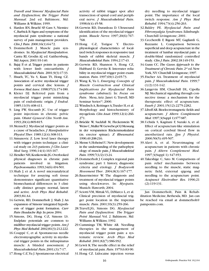*Travell and Simons' Myofascial Pain and Dysfunction; the Trigger Point Manual*. 2nd ed. Baltimore, Md: Williams & Wilkins; 1999.

- 4. Harden RN, Bruehl SP, Gass S, Niemiec C,Barbick B.Signs and symptoms of the myofascial pain syndrome: a national survey of pain management providers*. Clin J Pain*. 2000;16(1):64-72.
- 5. Dommerholt J. Muscle pain syndromes. In:*Myofascial Manipulation*. Cantu RI, Grodin AJ, ed. Gaithersburg, Md:Aspen; 2001:93-140.
- 6. Bajaj P, et al. Trigger points in patients with lower limb osteoarthritis*. J Musculoskeletal Pain.* 2001;9(3):17-33.
- 7. Hsueh, TC, Yu S, Kuan TS, Hong CZ. Association of active myofascial trigger points and cervical disc lesions*. J Formos Med Assoc*.1998;97(3):174-180.
- 8. Kleier DJ. Referred pain from a myofascial trigger point mimicking pain of endodontic origin*. J Endod*. 1985;11(9):408-411.
- 9. Ling FW, Slocumb JC. Use of trigger point injections in chronic pelvic pain*. Obstet Gynecol Clin North Am*. 1993;20(4):809-815.
- 10.Mennell J. Myofascial trigger points as a cause of headaches*. J Manipulative Physiol Ther*. 1989;12(4):308-313.
- 11.Simunovic Z. Low level laser therapy with trigger points technique: a clinical study on 243 patients*. J Clin Laser Med Surg.* 1996;14(4):163-167.
- 12.Hendler NH,Kozikowski JG.Overlooked physical diagnoses in chronic pain patients involved in litigation*. Psychosomatics*.1993;34(6):494-501.
- 13.Shah J, et al. A novel microanalytical technique for assaying soft tissue demonstrates significant quantitative biomechanical differences in 3 clinically distinct groups: normal, latent and active*. Arch Phys Med Rehabil*. 2003;84:A4.
- 14.Gerwin, RD, Dommerholt J, Shah J. An expansion of Simons'integrated hypothesis of trigger point formation*. Curr Pain Headache Rep*.In press 2004.
- 15.Simons, DG, Hong C-Z, Simons LS. Endplate potentials are common to midfiber myofascial trigger points*. Am J Phys Med Rehabil*.2002;81(3):212-222.
- 16.Couppé C, et al. Spontaneous needle electromyographic activity in myofascial trigger points in the infraspinatus muscle: A blinded assessment*. J Musculoskeletal Pain*.2001;(3):7-17.
- 17.Hong C-Z,Yu J. Spontaneous electrical

activity of rabbit trigger spot after transection of spinal cord and peripheral nerve*. J Musculoskeletal Pain*. 1998;6(4):45-58.

- 18.Gerwin RD, Duranleau D. Ultrasound identification of the myofascial trigger point*. Muscle Nerve*. 1997;20(6):767- 768.
- 19.Hong C-Z, Torigoe Y. Electrophysiological characteristics of localized twitch responses in responsive taut bands of rabbit skeletal muscle*. J Musculoskeletal Pain*.1994;2:17-43.
- 20.Gerwin RD, Shannon S, Hong CZ, Hubbard D, Gervitz R. Interrater reliability in myofascial trigger point examination*. Pain*. 1997;69(1-2):65-73.
- 21.Wang K,Yu L. *Emerging Concepts of Muscle Contraction and Clinical Implications for Myofascial Pain syndrome (abstract)*. In: *Focus on Pain*. Mesa, Ariz: Janet G.Travell, MD Seminar Seriessm; 2000.
- 22. Windisch A, Reitinger A, Traxler H, et al. Morphology and histochemistry of myogelosis*. Clin Anat*.1999;12(4):266- 271.
- 23.Brückle W, Suckfull M, Fleckenstein W, Weiss C,Muller W.Gewebe-pO2-Messung in der verspannten Rückenmuskulatur (m. erector spinae)*. Z Rheumatol.* 1990;49:208-216.
- 24.Mense S,Hoheisel U.New developments in the understanding of the pathophysiology of muscle pain*. J Musculoskeletal Pain*.1999;7(1/2):13-24.
- 25.Dommerholt J.Complex regional pain syndrome; part 1: history, diagnostic criteria and etiology*. J Bodywork Movement Ther*. 2004;8(3):167-177.
- 26.Bauermeister W. The diagnosis and treatment of myofascial trigger points using shockwaves. In: *Myopain.* Munich: Haworth; 2004.
- 27.Sciotti VM, Mittak VL, DiMarco L, et al. Clinical precision of myofascial trigger point location in the trapezius muscle*. Pain*. 2001;93(3):259-266.
- 28.Travell,JG, Simons DG. *Myofascial Pain and Dysfunction: The Trigger Point Manual*. Vol. 2. Baltimore, Md: Williams & Wilkins; 1992.
- 29.Cummings TM, White AR. Needling therapies in the management of myofascial trigger point pain: a systematic review*. Arch Phys Med Rehabil*. 2001;82(7):986-992.
- 30.Lewit K.The needle effect in the relief of myofascial pain*. Pain*.1979;6:83-90.
- 31.Hong CZ. Lidocaine injection versus

dry needling to myofascial trigger point. The importance of the local twitch response*. Am J Phys Med Rehabil*. 1994;73(4):256-263.

- 32.Baldry PE. *Myofascial Pain and Fibromyalgia Syndromes*.Edinburgh: Churchill Livingstone; 2001.
- 33.Ceccherelli F, Rigoni MT, Gagliardi G, Ruzzante L. Comparison between superficial and deep acupuncture in the treatment of lumbar myofascial pain: a double-blind randomized controlled study*. Clin J Pain*.2002;18:149-153.
- 34.Gunn CC. *The Gunn Approach to the Treatment of Chronic Pain*.2nd ed.New York, NY: Churchill Livingstone; 1997.
- 35.Fischer AA. Treatment of myofascial pain*. J Musculoskeletal Pain*. 1999;7 (1/2):131-142.
- 36.Langevin HM, Churchill DL, Cipolla MJ. Mechanical signaling through connective tissue: a mechanism for the therapeutic effect of acupuncture*. Faseb J*. 2001;15(12):2275-2282.
- 37.Liboff AR.Bioelectromagnetic fields and acupuncture*. J Altern Complement Med*.1997;3(Suppl 1):S77-S87.
- 38.Uchida S, Kagitani F, Suzuki A, et al. Effect of acupuncture-like stimulation on cortical cerebral blood flow in anesthetized rats*. Jpn J Physiol*. 2000;50(5):495-507.
- 39.Alavi A, et al. Neuroimaging of acupuncture in patients with chronic pain*. J Altern Complement Med*. 1997;3(Suppl 1): S47-S53.
- 40.Takeshige C, Sato M. Comparisons of pain relief mechanisms between needling to the muscle, static magnetic field, external qigong and needling to the acupuncture point*. Acupunct Electrother Res*. 1996;21 (2):119-131.

Jan Dommerholt, Pain & Rehabilitation Medicine, Bethesda, MD. Jan can be reached via email at dommerholt@ painpoints.com.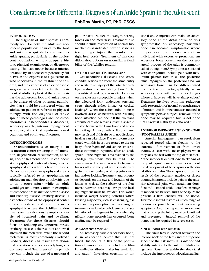**RobRoy Martin, PT, PhD, CSCS**

#### **INTRODUCTION**

The diagnosis of 'ankle sprain' is commonly seen for both the adult and adolescent populations. Injuries to the foot and ankle may quickly be dismissed as ankle sprains, particularly in the adolescent population, without adequate history, physical examination, or diagnostic testing. This can occur because injuries obtained by an adolescent potentially fall between the expertise of a pediatrician, who specializes in the treatment of children,and the expertise of an orthopaedic surgeon, who specializes in the treatment of adults. A physical therapist treating the adolescent foot and ankle needs to be aware of other potential pathologies that should be considered when an adolescent patient is referred to physical therapy with the diagnosis of 'ankle sprain.' These pathologies include osteochondrosis, osteochondritis dissecans, accessory ossicle, anterior impingement syndrome, sinus tarsi syndrome, tarsal coalition, and epiphyseal fractures.

#### **OSTEOCHONDROSIS**

Osteochondrosis is an injury to an ossification center resulting in inflammation, degeneration, recalcification, necrosis, and/or fragmentation.<sup>1</sup> It can occur at an epiphyseal center of a long bone or apophyseal area where a tendon inserts. Osteochondrosis at an apophyseal area is typically referred to as apophysitis. An adolescent may develop apophysitis due to an overuse injury while an adult would get tendonitis. Common examples of osteochondrosis include Sever disease and Freiberg disease. Freiberg disease is osteochondrosis of the epiphyseal center of the metatarsal, and Sever disease is apophysitis where the Achilles tendon inserts on the calcaneus.<sup>2</sup> Symptoms consist of localized pain and swelling. Treatment for these diseases should focus on reducing any abnormal stress. Freiberg disease is the result of abnormal stress on the metatarsal while the second metatarsal is most commonly involved.<sup>2</sup> Freiberg disease can result from abnormal pronation or an excessively long second metatarsal.Treatment of this pathology can include the use of a metatarsal

pad or bar to reduce the weight bearing forces on the metatarsal. Treatment also should include restoration of normal biomechanics as indicated. Sever disease is a traction type injury that results from tight heel cords.<sup>2</sup> Treatment of this condition should focus on normalizing flexibility of the Achilles tendon.

#### **OSTEOCHONDRITIS DISSECANS**

Osteochondritis dissecans and osteochondral lesions represent the same entity and relate to an injury of the articular cartilage and/or the underlying bone.<sup>3</sup> The anterolateral and posteromedial locations on the talus are susceptible to injury when the talocrural joint undergoes torsional stress, through either impact or cyclical loading.<sup>4,5</sup> When the subchondral bone is involved, avascular necrosis with resulting bone infarction can occur. If the overlying articular cartilage remains intact, a space is created between the living bone and articular cartilage.An in-growth of fibrous tissue may result and if this tissue in not displaced healing can take place.The symptoms associated with this injury are related to the stability of the fragment<sup>2</sup> and can be similar to those commonly reported after an ankle sprain. If the fragment is maintained by the cartilage, symptoms may be mild. The symptoms will be more severe if a fragment brakes off into the joint with sensations of giving way secondary to sharp pain, catching, and/or locking.Treatment and prognosis depends on the size and location of the lesion as well as the stability of the fragment.<sup>5</sup> Activities that may disrupt the healing fragment must be avoided.This would included weight bearing activities where twisting may occur, such as challenging balance and proprioceptive exercises.Surgical treatment can involve debridement and stabilization of the fragment.In cases when significant bone necrosis has occurred, bone grafting may be required.<sup>4,5</sup>

#### **ACCESSORY OSSICLE**

An accessory ossicle (accessory bone) is an ossification center that has not fused.This occurs in 10% of the population. Common locations include the fibular malleolus, tibular malleolus, navicular, and talus.<sup>4</sup> Inversion, eversion, or torsional ankle injuries can make an accessory bone at the distal fibula or tibia symptomatic. An accessory navicular bone can become symptomatic where the posterior tibial tendon attaches in an individual with excessive pronation. An accessory bone present on the posterolateral process of the talus is commonly called os trigonum.<sup>4</sup> Symptoms associated with os trigonum include pain with maximum plantar flexion as the posterior talus impinges on the posterior tibia. An accessory bone can be differentiated from a fracture radiographically as an accessory bone will have rounded edges where a fracture will have sharp edges.<sup>4</sup> Treatment involves symptom reduction with restoration of normal strength, range of motion,and biomechanics as needed.If symptoms persist, surgical removal of the bone may be required but is not done until skeletal maturity is achieved.<sup>4</sup>

#### **ANTERIOR IMPINGEMENT SYNDROME (FOOTBALLERS ANKLE)**

Anterior impingement can result from repeated forced plantar flexion to the extreme of movement or from direct trauma, as seen with soccer players when they kick the ball with the top of their foot.<sup>6</sup> At the anterior talocrural joint, thickening of the joint capsule can occur with or without the development of bone spurs on the distal tibia and talus.These spurs can be the result of the recurrent traction or direct trauma.Symptoms include pain in the anterior talocrural joint with maximum dorsiflexion.6,7 Limited ankle dorsiflexion range of motion can be seen,and if bone spurs are present, a hard end-feel will be noted. Treatment should restore as much range of motion as possible without increasing symptoms. Also, the repetitive movement that is causing the injury must be identified and prevented. Surgical removal of the bones may be required in severe cases.

#### **SINUS TARSI SYNDROME**

The sinus tarsi is located between the inferior neck of the talus and the superior aspect of the calcaneus. It is inferior and slightly anterior to the anterior talofibular ligament. Structures within the sinus tarsi include the interosseous talocalcaneal liga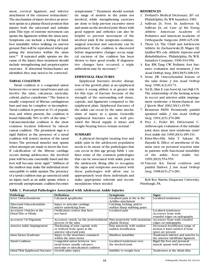ment, cervical ligament, and inferior attachment of the extensor retinaculum.<sup>8</sup> The mechanism of injury involves an inversion sprain in a plantar flexed position that injures both the talocrural and subtalar joint.This type of extreme movement can sprain the ligaments within the sinus tarsi. Symptoms can include a feeling of hindfoot instability when walking on uneven ground.Pain will be reproduced when palpating the structures within the sinus tarsi.8,9 If repeated ankle sprains are the cause of the injury, then treatment should include strengthening and proprioceptive exercises. If abnormal biomechanics are identified, they may need to be corrected.

#### **TARSAL COALITION**

Tarsal coalition is a congenital union between two or more tarsal bones and can involve the talus, calcaneus, navicular, cuboid, and/or cuneiforms.<sup>10</sup> The fusion is usually composed of fibrous cartilaginous bars and may be complete or incomplete. Tarsal coalition is present in 1% of population, and when present, the coalition is found bilaterally 50% to 60% of the time.10 Calcaneonavicular coalition is the most common location followed by talocalcaneal coalition. The prominent sign is a rigid flatfoot as the presence of a tarsal coalition will restrict motion of the tarsal bones. The peroneal muscles may spasm when attempts are made to invert the foot. If calcification of the fibrous cartilage occurs during adolescence, the involved joint will become essentially fused and the foot will become more rigid.10 Stiffness of the midfoot may make the individual more susceptible to ankle sprains.The presence of a tarsal coalition may go unnoticed until an injury, such as an ankle sprain, where a previously asymptomatic coalition becomes symptomatic.<sup>10</sup> Treatment should normalize range of motion in the joints not involved, while strengthening exercises are done to help prevent excessive stress and strain on the involved joint.Shoes with good support and orthotics can also be helpful to prevent movement of the involved joint. If the symptoms continue, surgical resection and osteotomy can be performed. If the coalition is discovered before degenerative changes occur, surgical excision of the coalition has been shown to have good results. If degenerative changes have occurred, a triple arthrodesis may be necessary.10

#### **EPIPHYSEAL FRACTURES**

Epiphyseal fractures involve disruption of the growth plate at an epiphyseal center. A young athlete is at greater risk for this type of fracture because of the strength of the surrounding soft tissue, capsule, and ligaments compared to the epiphyseal plate. Epiphyseal fractures of the ankle can occur by the same mechanism of injury as a sprain. Generally epiphsyeal fractures can do well provided the blood supply is intact and weight bearing forces remain normal.<sup>3</sup>

#### **SUMMARY**

A physical therapist treating foot and ankle pain in the adolescent population needs to be aware of the pathologies that can occur in this age group.Table 1 outlines some of the common pathologies that can be associated with ankle pain in the adolescent. Being able to recognize the signs and symptoms associated with these pathologies will allow one to appropriately treat these individuals and make appropriate referrals and recommendations when needed.

#### **REFERENCES**

- 1. Dorland's Medical Dictionary. 26th ed. Philadelphia, Pa:WB Saunders; 1981.
- 2. Sullivan JA. Foot. In: Anderson SJ, Sullivan JA, ed. *Care of the Young Athlete.* American Academy of Pediatrics and American Academy of Orthopaedic Surgeons; 2000:425-438.
- 3. Thein LA. The Child and Adolescent Athlete. In: Zachazewski JE, Magee DJ, Quillen WS, eds.*Athletic Injuries and Rehabilitation*. Philadelphia, Pa: W.B. Saunders Company; 1996:933-956.
- 4. Kay RM, Tang CW. Pediatric foot fractures: evaluation and treatment. *J Am Acad Orthop Surg*.2001;l9(5):308-319.
- 5. Stone JW. Osteochondral lesions of the talar dome. *J Am Acad Orthop Surg*. 1996;4(2):63-73.
- 6. Tol JL,Slim E,van Soest AJ,van Dijk CN. The relationship of the kicking action in soccer and anterior ankle impingement syndrome: a biomechanical. *Am J Sports Med*. 2002;30(1):45-50.
- 7. Renstrom PAFH. Persistently painful sprained ankle*. J Am Acad Orthop Surg*. 1994;2(5):270-280.
- 8. Frey C, Feder KS, DiGiovanni C. Arthroscopic evaluation of the subtalar joint: does sinus tarsi syndrome exist? *Foot Ankle Int*. 1999;20(3):185-191.
- 9. Khin-Myo-Hla Ishii T, Sakane M, Hayashi K. Effect of anesthesia of the sinus tarsi on peroneal reaction time in patients with functional instability of the ankle. *Foot Ankle Int.* 1999;20(9):554-559.
- 10.Vincent KA. Tarsal coalition and painful flatfoot. *J Am Acad Orthop Surg*. 1998;6(5):274-281.

Rob Roy Martin, Duquesne University, Pittsburgh, PA.

**Table 1. Potential Pathologies Associated with Adolescent Ankle Injuries**

| Pathology                         | <b>Definition</b>                          | <b>Symptoms</b>               | <b>Signs</b>                        |
|-----------------------------------|--------------------------------------------|-------------------------------|-------------------------------------|
| Sever Ostoechondrosis             | Calcaneal apophysitis                      | Localized pain at the at the  | Localized tenderness                |
|                                   |                                            | Achilles attachment           |                                     |
| Talocrural Osteochondritis        | Injury to articular cartilage              | Catching, locking, and/or     |                                     |
| <b>Dissecans</b>                  | and/or underlying bone                     | sudden sharp stabbing pains   |                                     |
| Accessory Ossicles at the         | Ossification centers that have             | Localized pain                | Localized tenderness                |
| Distal Tiba or Fibula             | not fused                                  |                               | Accessory bone with                 |
|                                   |                                            |                               | rounded edges on radiographs        |
| <b>Accessory Os Trigonum</b>      | Accessory ossicle on the posterior lateral | Pain posteriorly with maximum | Accessory bone with rounded         |
|                                   | process of the talus                       | plantar flexion               | edges on radiographs                |
| <b>Anterior Ankle Impingement</b> | Thickening of joint capsule with           | Pain anteriorly with sudden   | Decreased dorsiflexion range of     |
|                                   | or without bone spurs at the               | sudden dorsiflexion           | motion A hard end-feel if bone      |
|                                   | anterior talocrural joint                  |                               | spurs are present                   |
| Sinus Tarsus Syndrome             | Injury to the structures contained         | Hindfoot instability          | Tenderness inferior and anterior to |
|                                   | within the sinus tarsus                    |                               | the anterior talofibular ligament   |
| <b>Tarsal Coalition</b>           | Congenital union between two               | Localized tenderness over     | Rigid flat foot and peroneal        |
|                                   | tarsal bones: usually calcaneo-            | the involved joint            | muscle spasm with inversion         |
|                                   | navicular or talocalcaneal coalition       |                               |                                     |
| Distal Tibal Epiphyseal Fractures | Growth plate injury                        | Inability to weight bear      | Tenderness at the distal tibia      |
|                                   |                                            |                               |                                     |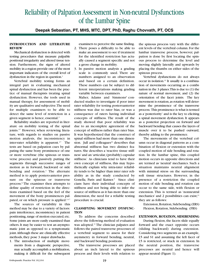## Reliability of Palpation Assessment in Non-neutral Dysfunctions of the Lumbar Spine

**Deepak Sebastian, PT, MHS, MTC, DPT, PhD, Raghu Chovvath, PT, OCS**

#### **INTRODUCTION AND LITERATURE REVIEW**

Mechanical dysfunction is detected with testing procedures that measure palpable positional irregularity and altered tissue tension. Furthermore, the signs of altered mobility in a region provide one of the most important indicators of the overall level of dysfunction in the region in question.<sup>1</sup>

Vertebral mobility testing forms an integral part in evaluating mechanical spinal dysfunction and has been the practice of manual therapists treating spinal dysfunction. However, the tools used in manual therapy, for assessment of mobility are qualitative and subjective.The need for multiple examiners to be able to detect the same level of restriction in a given segment is hence, essential.<sup>2</sup>

Reliability studies are reported in literature on mobility testing of the spinal joints.<sup>3-7</sup> However, when reviewing literature, with regards to studies on passive motion analysis, the inconsistency in inter-rater reliability is apparent.<sup>3-7</sup> The tests are based on palpation cues by palpating the same bony prominence of one or more vertebrae (the spinous or transverse process) and passively putting the segments through successive ranges of motion as in forward, backward or side bending and rotation.<sup>4</sup> The alternate method is to apply postero-anterior pressure on the spinous or transverse process.8 The examiner then attempts to define quality of restriction in the directions examined based on the feel of the movement of the bony prominences palpated, or on which pressure is applied.<sup>3,4,7</sup>

The sources of variability in this method may be due to a variety of factors: pain interference, inconsistency in patient positioning, range of motion executed, etc. Some joints are more easily examined than others. It may be easier to test an asymptomatic joint as opposed to a symptomatic joint.Although these are clinically effective methods, they pose 3 major drawbacks.

1. The introduction of multiple movements from a diagnostic perspective, may actually accomplish a mobilization, making it difficult for the subsequent examiners to perceive the same finding.

- 2. There poses a difficulty to be able to make an assessment to see if treatment for the identified restriction has actually caused a segment specific and not a gross change in mobility.
- 3. In passive motion analysis a grading scale is commonly used. There are numbers assigned to an observation and based on a certain definition. These numbers can be subject to different interpretations making grading variable between examiners.

Maher, Adams and Simmons<sup>9</sup> conducted studies to investigate if poor inter rater reliability for testing posteroanterior stiffness was due to rater bias, or was a consequence of raters having individual concepts of stiffness. The result of the study showed that poor reliability was due to an incomplete agreement of the concept of stiffness rather than rater bias. It was hypothesized that the construct of spinal stiffness had more than one dimension. Jull and colleagues $10$  describes that abnormal stiffness has two distinct features. She describes a 'reactive tissue stiffness' and an 'articular, (probably) capsular stiffness.' As clinicians tend to have their own concept of stiffness, this may hypothetically explain why intra-rater reliability tends to be higher than inter rater reliability as in the study conducted by Gonella, Paris and Kutner.<sup>4</sup> Since clinicians have their individual concepts of stiffness and not being able to infer the source of stiffness as it has more than one dimension, the need for a reliable testing procedure is crucial.

#### **CLASSIFYING MOVEMENT DYSFUNC-TION**

To address the concerns described above the following method of evaluation was adopted.<sup>11</sup> The clinician palpates and follows the paired transverse processes of a vertebral segment to assess for their asymmetry in forward bending, neutral, and backward bending positions.

The transverse processes are placed about an inch lateral to the spinous process and their levels with relation to the spinous process vary with the different levels of the vertebral column. For the lumbar transverse process, however, palpation is done by first locating the spinous process to determine the level and moving slightly laterally and upwards by placing the thumbs on either sides of the spinous process.

Vertebral dysfunctions do not always occur in isolation.12 It usually is a combination of movements occurring as a combination in the 3 planes.This is due to:(1) the nature of normal movement, and (2) the orientation of the facet joints. The key movement is rotation,as rotation will determine the prominence of the transverse process. This prominence is what is termed as a 'posteriority' and is the key to eliciting a spinal movement dysfunction. It appears as a posterior projection on forward and backward bending that causes the layers of muscle over it to be pushed outward, thereby adding to the prominence.

The movements of the vertebral column occur in diagonal patterns as a combination of flexion or extension with the coupled motion of side bending and rotation. In the lumbar spine, this coupled motion occurs in opposite directions and are termed as 'neutral' mechanics. Such a situation maintains neutral alignment with minimal stress on the surrounding soft tissue structures. However, in the presence of a restriction the coupled motion of side bending and rotation can occur to the same side, with flexion or extension. This is termed as 'nonneutral mechanics' and 2 possibilities can exist;<sup>11</sup> they are as follows:

Extension, Rotation, Sidebending (ERS) Flexion, Rotation, Sidebending (FRS)

#### **EXTENSION, ROTATION, SIDEBENDING**

During flexion, the facets slide equally forward and the exact opposite occurs (sliding backward) during extension. Considering two segments as an example, L5 and S1 and assuming the left facet of L5 is restricted, or stuck in extension. In the neutral position, the transverse processes are neutral and hence will appear neutral (Figure 1).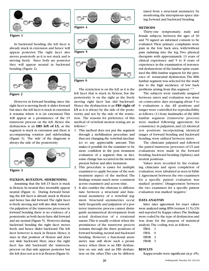



**Figure 4**

**Figure 1**

In backward bending, the left facet is already stuck in extension and hence will appear posterior. The right facet also moves posteriorly as it is not stuck and is moving freely. Since both are posterior they will appear neutral in backward bending (Figure 2).



**Figure 2**

However, in forward bending, since the right facet is moving freely it slides forward but since the left facet is stuck in extension it remains where it is (in extension) This will appear as a prominence of the L5 transverse process on the left. Hence the dysfunction is an **ERS left of L5,** as the segment is stuck in extension and there is accompanying rotation and sidebending (Figure 3). The 'side' of the diagnosis is always the side of the posteriority



**Figure 3**

#### **FLEXION, ROTATION, SIDEBENDING**

Assuming that the left L5 facet is stuck in flexion.In neutral they invariably appear neutral (Figure 4). During forward bending, the left facet is already stuck in flexion and hence has slid forward.The right facet is freely moving and will also slide forward. On palpation of the transverse processes in forward bending there is no evidence of a posteriority as both facets have slid forward and are neutral (Figure 5). However, during backward bending the right facet moves freely and hence slides backward.The left facet however is stuck in flexion. Hence, it stays in that position of flexion and does not slide backward. Here, since the right facet has slid backward the transverse process on that side appears posterior but the left does not as it is in flexion (Figure 6).



**Figure 5**



**Figure 6**

The restriction is on the left as it is the left facet that is stuck in flexion, but the posteriority is on the right as the freely moving right facet has slid backward. Hence the dysfunction is an **FRS right of L5** as it is always by the side of the posteriority and not by the side of the restriction. The reasons for preference of this method of vertebral motion testing are as follows:<sup>11</sup>

- 1. This method does not put the segment through a mobilization procedure and thus not changing the vertebral mechanics to any appreciable amount. This makes it possible for the examiner to be more confident in the post treatment evaluation of a segment that, in fact, some change has occurred in the motion present before and after treatment.
- 2. This procedure is easier for multiple examiners to apply because of the nontreatment aspect of the method. The findings remain much more consistent across examiners and across time.
- 3. It also enables the clinician to differentiate between a structural and functional asymmetry of a vertebral segment. Structural asymmetries occur fairly frequently and palpation of a posterior transverse process cannot distinguish asymmetrical development from actual dysfunction of a rotational nature.This is usually evident when the prominence of the transverse process remains through the three positions of forward bending,neutral and backward bending. However, a functional asymmetry may still show such a prominence when there is an ERS dysfunction on one side and an FRS dysfunction on the other.This can be differen-

tiated from a structural asymmetry by monitoring the interspinous space during forward and backward bending.

#### **METHODS**

Thirty-one symptomatic male and female subjects, between the ages of 30 and 70 signed an informed consent to be evaluated. Their primary complaints were pain in the low back area, with/without pain radiating into the leg. Two physical therapists with approximately 13 years of clinical experience and 5 to 8 years of experience in the examination of non-neutral dysfunctions of the lumbar spine examined the fifth lumbar segment for the presence of nonneutral dysfunction.The fifth lumbar segment was selected for the study due to the high incidence of low back problems arising from this segment.13,14

The subjects were randomly assigned between raters and evaluation was done on consecutive days averaging about 5 to 6 evaluations a day. All positions and ranges were controlled for reproducibility as follows: (1) bony landmarks of the fifth lumbar segment (transverse process) were marked following agreement, for consistency in palpation; and (2) identical test positions incorporating identical ranges of forward bending and backward bending, were utilized between raters.

The clinicians palpated and followed the paired transverse processes of L5 and evaluations were made in the forward bending, backward bending (Sphinx), and neutral positions.

Values were recorded by the evaluating clinicians and upon completion of evaluation,were tabulated as seen in Table 1.Agreement between the two examiners for a specific patient evaluation was marked 'positive.' Disagreement between the two examiners for a specific patient evaluation was marked 'negative.'

#### **DATA ANALYSIS**

Inter rater agreement for exact values were analyzed using SPSS (version 11.5) (19) and reported by Kappa values.The findings were coded by the type of dysfunction and was done for the purpose of statistical analysis.The coding was as follows.

- ERSL<sub>1</sub>
- FRSL 0
- ERSR 2
- FRSR<sub>3</sub>

#### **RESULTS**

Kappa results were significant (at p .05),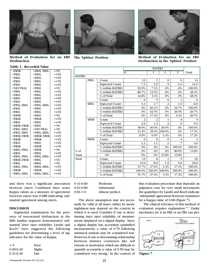

**Method of Evaluation for an ERS Dysfunction**

•ERSL, FRSL •FRSL •ERSL

•-VE  $+VE$  $+VE$ 





**The 'Sphinx' Position Method of Evaluation for an FRS Dysfunction in the 'Sphinx' Position**

|               |             |                       | RATER <sub>2</sub> |              |                 |          |        |
|---------------|-------------|-----------------------|--------------------|--------------|-----------------|----------|--------|
|               |             |                       | $\mathbf{0}$       | 1            | 2               | 3        | Total  |
| <b>RATER1</b> |             |                       |                    |              |                 |          |        |
|               | FRSL        | Count                 | 13                 | $\mathbf{1}$ | $\bf{0}$        | $\Omega$ |        |
|               |             | <b>Expected Count</b> | 7.2                | 3.9          | $\cdot$ 5       | 2.4      | 14.0   |
|               |             | % within RATER1       | 92.9%              | 7.1%         | .0%             | .0%      | 100.0% |
|               |             | % within RATER2       | 86.7%              | 12.5%        | $.0\%$          | .0%      | 48.3%  |
|               |             | % of Total            | 44.8%              | 3.4%         | .0%             | .0%      | 48.3%  |
|               |             | Count                 | $\Omega$           | 5            | $\Omega$        | 1        |        |
|               | <b>ERSL</b> | <b>Expected Count</b> | 3.1                | 1.7          | $\cdot$ 2       | 1.0      |        |
|               |             | % within RATER1       | .0%                | 83.3%        | $.0\%$          | 16.7%    | 100.0% |
|               |             | % within RATER2       | .0%                | 62.5%        | $.0\%$          | 20.0%    | 20.7%  |
|               |             | % of Total            | .0%                | 17.2%        | $.0\%$          | 3.4%     | 20.7%  |
|               | <b>ERSR</b> | Count                 | $\overline{2}$     | 2            | $\mathbf{1}$    | $\Omega$ |        |
|               |             | <b>Expected Count</b> | 2.6                | $1.4\,$      | $\overline{.2}$ | .9       |        |
|               |             | % within RATER1       | 40.0%              | 40.0%        | 20.0%           | .0%      | 100.0% |
|               |             | % within RATER2       | 13.3%              | 25.0%        | 100.0%          | .0%      | 17.2%  |
|               |             | % of Total            | 6.9%               | 6.9%         | 3.4%            | .0%      | 17.2%  |
|               | <b>FRSR</b> | Count                 | $\Omega$           | $\Omega$     | $\Omega$        | 4        |        |
|               |             | <b>Expected Count</b> | 2.1                | 1.1          | $\cdot$ 1       | .7       |        |
|               |             | % within RATER1       | .0%                | $.0\%$       | $.0\%$          | 100.0%   | 100.0% |
| $%$ of        |             | % within RATER2       | .0%                | $.0\%$       | .0%             | 80.0%    | 13.8%  |
| Total         |             | .0%                   | .0%                | .0%          | 13.8%           | 13.8%    |        |
| Total         |             | Count                 | 15                 | 8            | $\mathbf{1}$    | 5        |        |
|               |             | <b>Expected Count</b> | 15.0               | 8.0          | 1.0             | 5.0      | 29.0   |
|               |             | % within RATER1       | 51.7%              | 27.6%        | 3.4%            | 17.2%    | 100.0% |
|               |             | % within RATER2       | 100.0%             |              | 100.0% 100.0%   | 100.0%   | 100.0% |
|               |             | % of Total            | 51.7%              | 27.6%        | 3.4%            | 17.2%    | 100.0% |

•FRSL •FRSL •NEUTRAL •FRSL •FRSL •ERSL •FRSL •FRSL, ERSL •FRSL •FRSL •ERSR •FRSR •FRSL •ERSR, FRSR •FRSL, ERSL •FRSL, ERSL •ERSR, FRSR •FRSR •FRSL •FRSR •ERSL, FRSL •ERSL •ERSL, FRSL •ERSR, FRSR •FRSL •ERSL, FRSL •FRSR •FRSL, ERSL •FRSL •FRSL •FRSL •FRSL •FRSL •ERSL •FRSL •FRSL, ERSL •FRSL •FRSL •ERSL •FRSR •FRSL •FRSL •NEUTRAL •FRSL, ERSL •ERSR, FRSR •FRSR •FRSL •FRSR •FRSR •ERSL •FRSL, ERSL •FRSL •ERSL •ERSL, FRSL •FRSR •FRSL, ERSL •+VE •+VE •-VE  $+VE$  $+VE$ •+VE •+VE  $+VF$  $+VE$  $+VE$ •-VE  $+VE$ •+VE •-VE •-VE  $+VE$  $+VE$  $+VE$  $+VE$  $+VE$ •-VE  $+VE$  $+VE$ •-VE •-VE •+VE  $+VE$ •+VE

and there was a significant association between raters. Combined inter tester Kappa values as a measure of agreement between raters was 0.688 indicating 'substantial' agreement among raters.

#### **DISCUSSION**

Segmental examination for the presence of non-neutral dysfunction in the fifth lumbar segment demonstrated 'substantial' inter rater reliability. Landis and Koch<sup>16</sup> have suggested the following guidelines for determining a level of significance for the value of Kappa.

| < 0           | Poor   |
|---------------|--------|
| $0.00 - 0.20$ | Slight |
| $0.21 - 0.40$ | Fair   |

0.41-0.60 Moderate 0.61-0.80 Substantial 0.81-1.0 Almost perfect

The above assumption may not necessarily be valid at all times, rather its meaningfulness may depend on the context in which it is used. Consider, if one is determining inter rater reliability of measurements displayed on a digital display. Since a digital display has accurately quantified measurements, a value of 0.70 following statistical analysis may be considered low. However, if one is determining relationship between abstract constructs like self esteem or motivation which are difficult to quantify accurately, a value of 0.50 may be considered very strong.<sup>2</sup> In the context of

this evaluation procedure that depends on palpation cues for very small movements the guidelines by Landis and Koch indicate 'substantial'agreement between examiners for a Kappa value of 0.68 (Figure 7).

The clinical relevance of this method of evaluation requires explanation.<sup>11,17</sup> Faulty mechanics, be it an ERS or an FRS can pro-



**Figure 7**

## **Table 1. Recorded Value**

•ERSR •FRSL •ERSL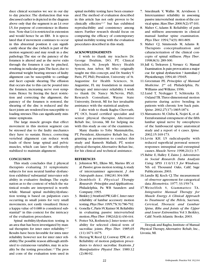duce clinical scenarios we see in our day to day practice.The dysfunction that was discussed earlier is depicted in the diagram above only that the segment is an L4 over L5, for purpose of convenience in illustration. Note that L4 is restricted in extension and would hence be an ERS. It is speculated that if movement continues to occur in this abnormal position it can significantly shear the disc (which is part of the motion segment) and may result in a disc pathology.The size or the patency of the foramen is altered and as the nerve exits through the foramen it can be pinched, resulting in radicular pain. The facet, due to abnormal weight bearing stresses of faulty alignment can be susceptible to cartilage and facet capsule shearing. The effusion that occurs due to this can be poured into the foramen, increasing nerve root symptoms. Hence by freeing the facet restriction and correcting the alignment, the patency of the foramen is restored, the shearing of the disc is reduced and the facet joints are rendered less susceptible to loading stresses.This can significantly minimize symptoms.

The large muscle groups that effect movement in this motion segment can be stressed due to the faulty mechanics they have to sustain. Hence, correcting vertebral alignment can reduce work loads of these large spinal and pelvic muscles, which can later be effectively stabilized to maintain alignment.

#### **CONCLUSION**

This study concludes that 2 physical therapists evaluating 31 symptomatic subjects for non neutral lumbar dysfunction exhibited 'substantial' inter-rater reliability in evaluative findings. The explanation as to the context of which the statistical results are interpreted is worthwhile. Manual spinal mobility/dysfunction testing is based on palpation cues occurring in small joints for very small movements, not easily visualized. Hence a kappa value of 0.688 is considered substantial<sup>16</sup> in this context for the intricacy of the evaluation procedures.

Spinal mobility/dysfunction testing is an area that has been investigated by manual therapists for inter rater reliability.<sup>3,4,7</sup> Results have been favorable for intra rater reliability however not for inter rater reliability.The possible reason although attributed to extraneous variables, may in actuality be the testing procedure.<sup>2,4</sup> The pros and cons of the evaluation tests used in

spinal mobility testing have been enumerated.The method of evaluation described in this article has not only proven to be clinically effective<sup>11,17</sup> but has exhibited reproducibility and consistency among raters. Further research should focus on comparing the efficacy of contemporary spinal mobility testing with the evaluation procedures described in this study.

#### **ACKNOWLEDGEMENTS**

I wish to thank my teachers Dr. George Ibrahim, DO, PT, Clinical Specialist, St. Joseph Mercy Health System, Ann Arbor, MI who originally taught me this concept, and Dr. Stanley V Paris, PT, PhD, President, University of St. Augustine for Health Sciences, St. Augustine, FL my foundation in manual therapy and inter-rater reliability. I wish to thank Dr. Nancy McNevin, PhD, Research Consultant, Wayne State University, Detroit, MI for her invaluable assistance with the statistical analysis.

I also wish to thank Raghu Chovvath, PT, OCS, board certified specialist and senior physical therapist, Alternative Rehab Inc, Livonia, MI for helping me with this study as one of the examiners.

Many thanks to Toby Manimalethu, PT, President, Alternative Rehab Inc, for granting us permission to conduct this study and Ramesh Malladi, PT, senior physical therapist,Alternative Rehan Inc, for his clinical and technical assistance.

#### **REFERENCES**

- 1. Johnston WL, Elkiss ML, Marino RV, et al.Passive gross motion testing.A study of interexaminer agreement. *J Am Osteopath Assoc*. 1982;81:304-308.
- 2. Dombholt E. *Physical Therapy Research: Principles and Applications*. Philadelphia, Pa: WB Saunders and Company;1993.
- 3. Binkley J,Stratford PW,Gill C.Inter rater reliability of lumbar accessory motion testing.*Phys Ther*.1995;75( 9):786-792.
- 4. Gonella C,Paris SV,Kutner M.Reliability in evaluating passive intervertebral motion.*Phys Ther*.1982;62(4):436-444.
- 5. Potter NA,Rothstein J.Inter tester reliability for selected clinical tests of sacroiliac joints. *Phys Ther*. 1985;65 (11):1671-1675.
- 6. Herzog W, Reed LJ, Conway PJW, et al. Reliability of motion palpation procedures to detect sacroiliac fixations. *J Manipulative Physiol Ther*. 1989;12 (2):86-92.
- 7. Smedmark V, Wallin M, Arvidsson I. Interexaminer reliability in assessing passive intervertebral motion of the cervical spine.*Man Ther*.2000;5(2):97-101.
- 8. Maher C, Adams R. Reliability of pain and stiffness assessments in clinical manual lumbar spine examination. *Phys Ther*. 1994;74(9): 801-809.
- 9. Maher CJ, Simmonds M, Adams R. Therapists conceptualization and caharacterization of the clinical concepts of spinal stiffness. *Phys Ther*. 1998;8(3): 289-300.
- 10.Jull G, Treleaven J, Versace G. Manual Examination.Is pain provocation a major cue for spinal dysfunction ? Australian J Physiotherapy.1994;40:159-65.
- 11.Greenman PE. *Principles of Manual Medicine*. 2nd ed. Philadelphia, Pa: Williams and Wilkins; 1996.
- 12.Lund T, Nydegger T, Schlenzka D, Oxland TR.Three-dimensional motion patterns during active bending in patients with chronic low back pain. *Spine*. 2002;27(17):1865-1874.
- 13.Matsumoto M, Chiba K, Nojiri K, et al. Extraforaminal entrapment of the fifth lumbar spinal nerve by osteophytes of the lumbosacral spine: anatomical study and a report of 4 cases. *Spine.* 2002;15:169-173.
- 14.Levin KH. L5 radiculopathy with reduced superficial peroneal sensory responses: intraspinal and extraspinal causes. *Muscle Nerve*. 1998;21(1): 3-7.
- 15.Babie E, Halley F, Zaino J. *Adventures in Social Research. Data Analysis Using SPSS 11.0/11.5 for Windows*. 5th ed. Thousand Oaks, Calif; Sage Publications; 2003.
- 16.Landis RJ, Koch CJ.The measurement of observer agreement for categorical data. *Biometrics.* 1977; 33:159-74.
- 17.Weiselfish S, Giammatteo TA. *Integrative Manual Therapy for Muscle Energy. A Clinical Approach to Treatment of the Pelvis, Sacrum, Cervical, Thoracic and Lumbar Spine, Ribs and Joints of the Upper and Lower Extremities.*Vol 3.Berkley, Calif: North Atlantic Books; 2003.

Deepak and Raghu, Institute of Manual Physical Therapy, Alternative Rehab, Inc., Livonia, MI.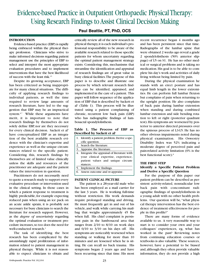## Evidence-based Practice in Outpatient Orthopaedic Physical Therapy: Using Research Findings to Assist Clinical Decision Making

#### **INTRODUCTION**

Evidence-based practice (EBP) is rapidly being embraced within the physical therapy profession. Clinicians who strive to make informed decisions regarding patient management use the principles of EBP to select and interpret the most appropriate evaluation procedures and to implement interventions that have the best likelihood of success with the least risk.1-5

Despite its growing acceptance, EBP has been criticized as being inappropriate for many clinical situations. The difficulty of applying research findings to individual patients, as well the time required to review large amounts of research literature, have led to the suggestion that EBP may be an impractical system.<sup>6,7</sup> While these arguments have merit, it is important to note that research findings by themselves do not solely define EBP, nor are they necessary for every clinical decision. Sackett et al<sup>3</sup> have conceptualized EBP as an integration of the best available research evidence with the clinician's expertise and experience as well as the unique circumstances related to the specific patient. Considering this, research findings by themselves are of limited value clinically unless the skills and resources of the practitioner are adequate and the patient values the intervention in question.

Practitioners do not necessarily need to quote a research study to support every evaluative procedure or intervention used in the clinical setting. In those cases in which a patient response to treatment is highly predictable, for example expecting reduced pain when using an ice pack on an acute ankle sprain, it is probably not necessary for busy clinicians to search the literature for research support. However, as the *degree of uncertainty* regarding the optimal evaluation or treatment procedure increases,so too does the need for well-conducted research.<sup>2</sup>

The task of identifying the best research has been complicated by the astonishingly rapid proliferation of information related to patient management in physical therapy. While it is not reasonable to expect clinicians to obtain and

#### **Paul Beattie, PT, PhD, OCS**

critically review all of the new research in physical therapy,it is each individual's professional responsibility to be aware of the available research related to those specific patients for whom uncertainty regarding the optimal patient management strategy exists. Considering this, mechanisms that streamline the identification and appraisal of research findings are of great value in busy clinical facilities.The purpose of this paper is to describe and illustrate one process by which relevant research findings can be identified, appraised, and implemented in the care of a patient. This paper will follow sequence of the application of EBP that is described by Sackett et  $a<sup>3</sup>$  (Table 1). This process will be illustrated using a patient complaining of chronic, recurrent low back pain (LBP) who has radiographic findings of lumbosacral spondylolisthesis.

#### **Table 1. The Process of EBP as Described by Sackett et al**3

| 1. Identify a patient problem. Derive a spe-  |
|-----------------------------------------------|
| cific question.                               |
| 2. Search the literature.                     |
| 3. Appraise the literature.                   |
| 4. Integrate the appraisal of literature with |
| your clinical expertise, experience,          |
| patient values and unique circum-             |
| stances.                                      |
| Implement the findings.                       |
| Assess outcome and re-appraise.               |
|                                               |

#### **PATIENT CLINICAL PICTURE**

The patient is a 28-year-old male who has been employed as a mail carrier for the last 3 years. He is working full-time without restriction. His work demands require prolonged standing and driving. He must frequently get in and out of his vehicle, and walk while carrying his mailbag that weighs approximately 45 lbs when full. His chief complaint is persistent pain in the lumbosacral area that ranges from 2/10 to 8/10 on work days and 0/10 to 3/10 on his days off. His symptoms are noticeably worsened when standing or walking for more than 10 minutes and are lessened when he is sitting. He can recall no back trauma. His symptoms began 2 years ago and have been recurring since that time. His most

recent recurrence began 4 months ago and has been persistent since that time. Radiographs of the lumbar spine that were obtained 2 weeks ago reveal a grade 2 spondylolisthesis (50% anterior slippage) of L5 on S1. He has no other medical or surgical problems and is taking no medication. His goal is to be able to complete his day's work and activities of daily living without being limited by pain.

During the physical examination he stands with an erect posture and has equal limb length in the lower extremities. He can perform full lumbar flexion but complains of pain when returning to the upright position. He also complains of back pain during lumbar extension when standing and during combined lumbar extension and side bending rotation to left or right (posterior quadrant test).His symptoms are worsened by posterior to anterior directed pressures over the spinous process of L3-L5. He has no other obvious impairments noted during physical examination. His Oswestry Disability Index was 52% indicating a moderate degree of perceived pain and pain-related activity limitation (0% is the best functional score).<sup>8</sup>

#### **THE FIRST STEP**

#### **Identify a Specific Patient Problem and Derive a Specific Question**

For the purpose of this paper our patient problem can be described as persistent activity-related, nonradicular low back pain with concomitant radiographic findings of spondylolisthesis in a young adult with no other health problems. Our question will be,"what physical therapy intervention has the best evidence of treatment effectiveness for people in this profile?"

There are many forms of evidence available to us. A very reasonable way to start is to consider your own and your colleagues' experiences, eg, what has worked in the past? Reviewing notes from continuing education courses or textbooks is also valuable. These sources, however, have a potential to be biased and,although they often provide valuable information, they do not provide a high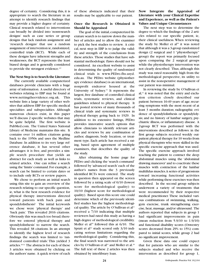degree of certainty. Considering this, it is appropriate to search the literature in an attempt to identify research findings that may provide a higher degree of certainty. Clinical research related to interventions can broadly be divided into 'nonresearch designs' such as case series or group designs that lack random assignment and 'research designs' that use a random assignment of intervention ie,randomized, controlled trials (RCT). While each of these designs have inherent strengths and weaknesses, the RCT represents the least biased design and is generally considered to provide the strongest evidence.<sup>2,9</sup>

#### **The Next Step is to Search the Literature**

The currently available computerized databases provide clinicians with a huge array of information. A useful directory of websites relating to EBP may be found at www.nettingtheevidence.org.uk. This website lists a large variety of other websites that address EBP for specific medical specialties and subspecialties. Although numerous choices exist, in this paper we'll discuss 2 specific websites that may be quite helpful. The first website is PubMed.com. The United States National Library of Medicine maintains this site. It contains over 14 million citations going back to the 1950s and uses the Medline Database. In addition to its very large reference database, it has several other advantages: it is free, and provides a simple search procedure that yields an abstract for each study as well as links to related articles. One can refine a search using the 'limits'command.For example,a search can be limited to certain dates or to include only RCTs or review papers.

We chose to perform an initial search using this site to gain an overview of the research relating to our specific question, ie, what is the best research evidence for physical therapy interventions directed toward patients with back pain and spondylolisthesis? The initial keywords we chose were 'physical therapy' and 'back pain.' This revealed 2016 citations. Obviously this was much too broad; therefore we entered 'physical therapy and spondylolisthesis' to narrow the search. This revealed 38 citations. In an attempt to identify the highest level of research findings the search was limited to 'randomized controlled trials.' This yielded 3 articles.10-12 The abstracts for each of these 3 articles were obtained by clicking on the authors'name. A quick review of each

of these abstracts indicated that their results may be applicable to our patient.

#### **Once the Research is Obtained it Should be Appraised**

The goal of the initial, computerized literature search is to narrow down the number of articles and to allow the examiner to pick the best studies to review. A critical, next step in EBP is to judge the validity and strength of the conclusions from these articles. Those studies that have substantial methodologic flaws should not be considered. An excellent website to assist in determining the quality of randomized clinical trials is www.PEDro.fhs.usyd. edu.au. The PEDro website (physiotherapy evidence database) is an international, nonprofit endeavor housed at the University of Sydney.13 It represents the largest, free database of controlled clinical trials, systematic reviews, and clinical guidelines related to physical therapy. It has posted reviews of many thousands of clinical trials and systematic reviews in physical therapy going back to 1929. In addition to its extensive listings, PEDro provides innovative search options that allow clinicians to identify relevant articles and reviews by any combination of author, diagnosis, body location, or treatment type. Each article has received a rating, based upon agreement of multiple examiners, that describes the quality of the study.

After obtaining the home page for PEDro and clicking the 'search command' followed by 'advanced search' each of the author's names from the 3 previously identified RCTs were entered. The study in question then appeared on the screen followed by a rating scale of 0/10 (lowest score for methodological quality) to 10/10 (highest score for methodological quality). Based upon this score one could determine which of the previously identified studies has the highest methodological quality. The article by O'Sullivan et al<sup>11</sup> received a 7/10 indicating that multiple reviewers had rated this study as having a high degree of methodological credibility. Moller et al<sup>10</sup> followed this at  $6/10$ . The Spratt et al<sup>12</sup> study scored only  $3/10$  indicating serious limitations regarding the methodological quality. Considering this, the final search was narrowed to the articles by O'Sullivan et al<sup>11</sup> and Moller et al.<sup>10</sup> The full text of these 2 articles was then obtained by interlibrary loan.

#### **Now Integrate the Appraisal of Literature with your Clinical Expertise and Experience, as well as the Patient's Values and Unique Circumstances**

The next step was to determine the degree to which the findings of the 2 articles related to our specific patient, ie, their clinical usefulness. When reviewing the study by Moller et al<sup>10</sup> it was noted that although it was a 3-group randomized design (2 surgical and 1 "physiotherapy" group) the report was primarily focused upon comparing the 2 surgical groups while the physiotherapy intervention was not clearly described. Thus, although this study was rated reasonably high from the methodological perspective, its utility to assist in the nonoperative management of our patient was minimal.

In reviewing the study by O'Sullivan et  $al$ ,<sup>11</sup> it was noted that the entry and exclusion criterion closely described our patient: between 16-49 years of age; recurring symptoms with the most recent of at least 3 months duration; radiographic evidence of spondylolisthesis or spondylolysis; and no history of lumbar surgery, psychiatric illness, or inflammatory disease. A 2-group RCT was performed with the interventions described as follows: in the first group subjects received weekly outpatient physical therapy for 10 weeks from physical therapists who were skilled in the specific exercise approach that was used. The specific exercise approach involved teaching the patient to contract the deep abdominal muscles using the 'abdominal drawing maneuver'and to coactivate these muscles with contraction of the lumbar multifidus muscles.A series of progressions toward increasing functional activities while performing these exercises was then described. In the second group subjects underwent a variety of treatments that were recommended by their respective medical practitioner. These included various combinations of swimming, walking, gym exercise, trunk strengthening exercise, heat, massage, and/or ultrasound. The authors reported that subjects in group 1 had significant improvements in pain (mean reduction from 5.9/10 to 1.9/10) and functional disability scores (Oswestry scores decreased from 29% to 15%) compared to initial scores, while group 2 had no significant improvement.

Given these data one could expect that for patients who are similar to the subjects studied and who receive the intervention as described for group 1,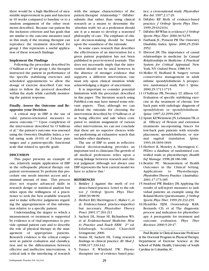there would be a high likelihood of measurable improvement in pain and function in 10 weeks compared to baseline or to a random assignment of the other treatments described. Because our patient fits the inclusion criterion and has goals that are similar to the outcome measures used in this study, if the treating therapist can reproduce the treatment described for group 1 this represents a useful application of these research findings.

#### **Implement the Findings**

Following the procedure described by O'Sullivan et al<sup>11</sup> for group 1, the therapist instructed the patient in performance of the specific stabilizing exercises and scheduled appointments to allow the dosage of exercise described. Care was taken to follow the protocol described within the study while carefully monitoring the patient response.

#### **Finally, Assess the Outcome and Reappraise your Decision**

A critical step in EBP is the use of valid, patient-orientated measures to assess outcome.14,15 Upon completion of the intervention described by O'Sullivan et al,<sup>11</sup> the patient's outcome was assessed using the Oswestry Disability Index, a verbal rating scale (0-10) of 24-hour pain ranges and a patient-specific functional scale that related to specific goals.

#### **DISCUSSION**

This paper presents an example of one, relatively simple application of EBP in the orthopaedic physical therapy outpatient environment.To perform this procedure one needs internet access and a minimal amount of time. This process does not require advanced skills in research design or statistical analysis but relies upon the willingness of a practitioner to seek the best available research and to make reflective judgments regarding the appropriateness of this information relative to a specific patient.

Understanding the degree to which a measurement or treatment is supported by evidence is of vital importance to provide optimal patient care and to describe the role of physical therapy in the management of appropriate patients. Research evidence is the critical component in patient evaluation and classification and in the differentiation between effective and ineffective interventions. A critical task is the interfacing of research with the unique characteristics of the patient:therapist relationship.<sup>16</sup> DiFabio<sup>7</sup> submits that rather than using clinical research as a means to determine the 'absolute truth' we as a profession should use it as a means to develop a reasoned philosophy of care. The emphasis of clinical decision-making should be based upon the soundness of the rationale.

In some cases research that describes the effectiveness of an intervention for a given patient population has not been published in peer-reviewed journals. This does not necessarily imply that the intervention should not be used; however, in the absence of stronger evidence that supports a different intervention, one must rely upon clinical intuition while acknowledging a degree of uncertainty.

It is important to consider potential limitations with the procedure described in this paper. The literature search using PubMed.com may have missed some relevant papers. Thus, although we can defend the rationale for choosing the intervention described by O'Sullivan et al as being effective and safe when compared to random assignment of various other interventions, we can not conclude that there are no superior choices without performing an exhaustive search that includes other databases.

The use of EBP to assist in reflective clinical decision-making provides an important tool to clinicians.The growth of all medical professions relies upon a strong linkage between research and clinical judgment. Although not always easy EBP represents the best current model we have to achieve this.<sup>2</sup>

#### **REFERENCES**

- 1. Binkley J. Against the myth of evidence-based practice. Letter to the editor. *J Orthop Sports Phys Ther*. 2000;30:98-99.
- 2. Herbert RD, Sherrington C, Maher C, et al. Evidence-based practice-imperfect but necessary. *Physiother Theory Pract*. 2001;17:201-211
- 3. Sackett DL, Straus SE, Richardson WS, et al. *Evidence-based Medicine: How to Practice and Teach EBM*. 2nd ed. Edinburgh, Scotland: Churchill Livingstone; 2000.
- 4. Straus SE, Sackett DL. Using research findings in clinical practice. *Br Med J*. 1998;317:339-342.
- 5. Turner P, Whitfield TW. Physiotherapists' use of evidence based prac-

tice: a cross-national study*. Physiother Res Int*. 1997;2:17-29.

- 6. DiFabio RP. Myth of evidence-based practice. *J Orthop Sports Phys Ther*. 1999;29:632-634.
- 7. DiFabio RP.What is evidence? *J Orthop Sports Phys Ther*. 2000;30:52-55.
- 8. Fairbank JC, Pynsent PB.The Oswestry Disability Index. *Spine*. 2000;25:2940- 2952.
- 9. Elwood JM. The importance of causal relationships in medicine. In: *Causal Relationships in Medicine: A Practical System for Critical Appraisal.* New York, NY: Oxford Press; 1988:3-9.
- 10.Moller H, Hedlund R. Surgery versus conservative management in adult isthmic spondylolisthesis: A prospective, randomized study. Part 1. *Spine*. 2000;25:1711-1715.
- 11.O'Sullivan PB, Twomey LT, Allison GT. Evaluation of specific stabilizing exercise in the treatment of chronic low back pain with radiologic diagnosis of spondylolysis or spondylolisthesis. *Spine*. 1997;22:2959-2967.
- 12.Spratt KF,Weinstein JN, Lehmann TR, et al. Efficacy of flexion and extension treatments incorporating braces for low-back pain patients with retrodisplacement, spondylolisthesis, or normal sagittal translation. *Spine*. 1993;18:1839-1849.
- 13.Herbert R, Moseley A, Sherrington C. PEDro: a database of randomised controlled trials in physiotherapy. *Health Inf Manage*. 1998;28:186-188.
- 14.Beattie PF. Measurement of Health Outcomes in the Clinical Setting: Applications to Physiotherapy*. Physiother Theory Practice (Australia)*. 2001;17:173-185.
- 15.Stratford PW, Binkley JM.Applying the results of self-report measures to individual patients: an example using the Roland-Morris Questionnaire.*J Orthop Sports Phys Ther*. 1999;29:232-239.
- 16.Hendriks HJM, Oostendorp RAB, Bernards CD, et al. The diagnostic process and indication for physiotherapy: A prerequisite for treatment and outcome evaluation. *Phys Ther Reviews*. 2000;5:29-47.

Paul Beattie is Clinical Associate Professor at the Doctoral Program in Physical Therapy, Department of Exercise Science at the School of Public Health, University of South Carolina in Columbia, SC.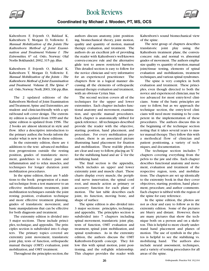

Book Reviews



**Coordinated by Michael J. Wooden, PT, MS, OCS**

Kaltenborn F, Evjenth O, Baldauf K, Kaltenborn T, Morgan D, Vollowitz E. *Manual Mobilization of the Joints: The Kaltenborn Method of Joint Examination and Treatment. Volume I: The Extremities.* 6<sup>th</sup> ed. Oslo, Norway: Olaf Norlis Bokhandel; 2002, 315 pp, illus.

Kaltenborn F, Evjenth O, Baldauf K, Kaltenborn T, Morgan D, Vollowitz E. *Manual Mobilization of the Joints – The Kaltenborn Method of Joint Examination and Treatment. Volume II, The Spine.*  $4<sup>th</sup>$ ed. Oslo, Norway: Norli; 2003, 336 pp, illus.

The 2 updated editions of the Kaltenborn Method of Joint Examination and Treatment, Spine and Extremities, are student- and clinician-friendly with a spiral-bound soft cover design. The extremity edition is updated from 1999 and the spine edition is updated from 1996. The 2 books are almost identical in style and flow. After a descriptive introduction to the primary author, the books inform the reader what is new in these editions.

In the extremity edition, there are 4 additions to the text: advanced mobilization progressions outside the resting position, grades of translatoric movement, guidelines to reduce pain and inflammation and to relax muscles, and techniques for longer duration joint mobilization procedures.

In the spine edition, there are 5 additions to the book: progression of a manual technique from a test maneuver to an effective mobilization treatment, joint mobilization techniques outside the joint resting position, evaluation technique and more effective treatment planning, grades of translatoric movement, and basic manipulations that can be effective for both diagnosis and treatment.

The extremity edition is divided into 3 major sections. These include principles, technique, and appendix. The principles section is subdivided into 6 chapters. The primary topics covered are extremity joint movement, translatoric joint play, tests of function, orthopaedic manual therapy (OMT) evaluation, joint mobilization, and OMT treatment.

Throughout the principles section, the

authors discuss anatomy, joint positioning, biomechanical theory, joint motion, quality and quantity of motion, manual therapy evaluation, and treatment. The authors do an excellent job of providing the reader with Kaltenborn's well-known convex-concave rule and the alternative glide test to assess restricted barriers. This detailed section is easy to follow for the novice clinician and very informative for an experienced practitioner. The chapters flow in a logical manner discussing all the elements of orthopaedic manual therapy evaluation and treatment, with an obvious Cyriax bias.

The second section covers all of the techniques for the upper and lower extremities. Each chapter includes functional anatomy and movement, examination, and specific manual procedures. Each chapter is anatomically tabbed for quick reference. All techniques described provide the reader with the objective, starting position, hand placement, and procedure. For every mobilization procedure, there is an associated picture illustrating hand placement for fixation and mobilization. These real-life photos are clear and easy to follow,placing an 'X' for the stabilizing hand and an  $\downarrow$  for the mobilizing hand.

The final section is the appendix, which includes an upper and lower extremity joint and muscle chart. These charts display every muscle, the peripheral nerve innervation, the spinal cord root, and muscle action as primary or accessory function for each plane of motion. The last table describes each joint, its function, moving bone, and shape of surface.

The spine edition is also divided into 3 major sections: principles, technique, and appendix. The principles section is subdivided into 7 chapters including spinal movement, translatoric joint play, tests of function, OMT evaluation and treatment, spinal joint mobilization, and spinal syndromes. As in the extremity edition, the authors discuss the OMT Kaltenborn-Evjenth concept. They follow this with spinal motion, joint positioning, and the roll-glide relationship. This chapter provides the reader with

Kaltenborn's sound biomechanical view of the spine.

The next group of chapters describes translatoric joint play using the Kaltenborn treatment plane, the convexconcave rule, and normal vs. abnormal grades of movement. The authors emphasize quality vs. quantity of motion, manual joint/tissue testing, elements of spinal evaluation and mobilizations, treatment techniques,and various spinal syndromes.

The spine is very complex in both evaluation and treatment. These principles, even though directed to both the novice and experienced clinician,may be too advanced for most entry-level clinicians. Some of the basic principles are easy to follow, but as we approach the technique section, the entry-level clinicians will need more training to be competent in the implementation of these procedures. The authors discuss this in the beginning of the technique section noting that it takes several years to master manual therapy. They follow this with a methodical flow of clinician and patient positioning, a variety of techniques, and documentation.

The technique section includes 7 chapters covering everything from the pelvis to the jaw and ribs. Each chapter describes functional anatomy and movement, evaluation and treatment of the respective region, tests, and mobilizations. The chapters are set up identically to the extremity book in that they cover objectives, starting position, hand placement, procedure, and author comments. Each chapter is tabbed with the region of the spine for easy reference.

In the spine edition, the photos are not as clear and easy to follow as in the extremity edition. Some of the pictures are blurry and distant. However, there are many pictures that show the technique both on a person and on a skeleton. This is helpful to more clearly understand hand placement and planes of motion. The use of symbols in the photos is helpful to see the stabilizing vs. mobilizing hand. The authors also include neural assessment, techniques, and a variety of testing procedures for all areas of the spine.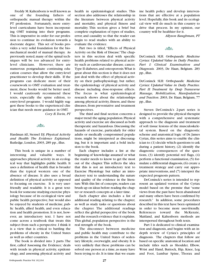Freddy M.Kaltenborn is well known as one of the founding fathers of orthopaedic manual therapy within the PT profession. Fortunately, more entrylevel curriculums have been incorporating OMT training into their programs. This is imperative in order for our profession to continue its evolution towards a doctorate degree. This set of books provides a very solid foundation for the biomechanical model of manual therapy. As previously noted, many of the spinal techniques will be too advanced for entrylevel clinicians. However, there are numerous postgraduate continuing education courses that allow the entry-level practitioner to develop their skills. If the programs can dedicate more of their coursework to OMT evaluation and treatment, these books would be better used. I would cautiously recommend these texts, especially the spine edition, to entry-level programs. I would highly suggest these books to the experienced clinician that needs more guidance in OMT. *Cory B.Tovin, PT*

#### o Solon

Hardman AE, Stensel DJ. *Physical Activity and Health: The Evidence Explained*. Rutledge, London, 2003, 289 pp., illus.

This book is unique in a number of interesting and valuable ways. It approaches physical activity in an ecological way that highlights public health. It uses a definition of health that is broader than the typical western one of the absence of disease. It also uses a broad definition of physical activity as opposed to focusing on exercise. It is very userfriendly and readable. It is a great textbook for someone studying exercise physiology because of its ecological view and public health perspective, but would also be enjoyed by students of medicine, public health, allied health, and even education and health promotion. It is not, however, an introductory text. I have not come across a textbook that treats this subject from such a perspective. I think it is a view that is critical to battling the problems of obesity in the United States as well as other countries.

The book is divided into 3 parts. The first, called 'Assessing the Evidence,' deals with trends in physical activity, epidemiology, and assessing physical activity and health in epidemiological studies. This section also addresses the relationship in the literature between physical activity and mortality, and physical fitness and mortality. This section gives a brief but complete explanation of types of studies, error, and causality so that the reader can begin to read studies with an ability to evaluate the evidence.

Part two is titled, "Effects of Physical Activity on the Risk of Disease."The chapters in this section deal with specific health problems related to physical activity such as cardiovascular disease, cancer, Type II diabetes,and osteoporosis.What is great about this section is that it does not just deal with the effect of physical activity on their pathophysiology, but rather, the epidemiology of physical activity and disease including dose-response effects. The focus is what epidemiological research shows about the relationships among physical activity, fitness, and these diseases, from preventative and treatment perspectives.

The third and final section concerns a major trend: the aging population. Physical activity and exercise are discussed as both therapeutic and hazardous. Discussing the hazards of exercise, particularly for older adults or medically compromised populations, might be interpreted as discouraging, but it is important and a bold inclusion to the book.

Each chapter includes a list at the beginning of 'knowledge assumed'or what the reader needs to know to get the most out of the chapter. This reflects the idea that this is not an introductory text to Exercise Physiology but rather an introductory text to understanding the nature and quality of the evidence in the literature.With this list of concepts, readers can brush up on ideas before reading the chapter or research concepts at a later time.

Each chapter also includes a list of additional reading relating to the chapter, as well as study tasks or questions about the chapter. The additional readings reflect the global perspective of the book and the research evidence that it explains. This global, population perspective is the real strength of the book.

The disconnect between medicine and public health may contribute to the problems in the United States of sedentary lifestyle, overweight, and obesity. It is very unlikely that these problems can be solved one person at a time, as many have been trying to do. It is time that we examine health policy and develop interventions that are effective at a population level. Hopefully, this book and its ecological view will do much in this country to drive that process. In my opinion, our country will be healthier for it.

*Allyson Baughman, PT*

#### $\mathcal{S}_{\alpha}$

DeConinck SLH. *Orthopaedic Medicine Cyriax: Updated Value in Daily Practice. Part I: Clinical Examination and Diagnosis.* 2003, De Haan, Belgium. 283 pp., illus.

DeConinck SLH*: Orthopaedic Medicine Cyriax: Updated Value in Daily Practice. Part II: Treatment by Deep Transverse Massage, Mobilization, Manipulation and Traction*. 2003, De Haan, Belgium, 77 pp., illus.

Steven DeConinck's 2-part series is designed to provide the physical therapist with a comprehensive and systematic approach to the diagnosis and treatment of soft tissue lesions of the musculoskeletal system. Based on the diagnostic scheme and anatomical logic of Dr. James Cyriax, this series aims to enable the clinician to:(1) decide which questions to ask during a patient history, (2) identify the diagnostic consequences of the questions, (3) identify potential red flags, (4) perform a functional examination,(5) formulate a differential diagnosis,(6) create a treatment strategy and carry out appropriate interventions, and (7) interpret the expected prognosis pattern.

DeConinck's series is intended to represent an updated version of the Cyriax model based on the premise that "some views from the past have been abandoned and many others have been confirmed by research." In addition, some procedures described in this text have been optimized in order to become more user-friendly. References toward the McKenzie, Maitland, and Kaltenborn methods are interspersed throughout both texts.

Part I is dedicated to clinical examination and diagnosis, and begins with an indepth review of Cyriax's principles of diagnosis. The chapters that follow are based on specific anatomical location and include titles such as Shoulder, Elbow, Wrist and Hand, Buttock, Hip, Knee, Leg and Foot, Lumbar Spine, Thorax and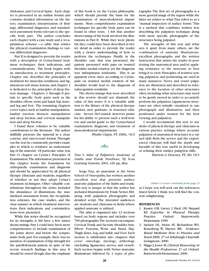Abdomen, and Cervical Spine. Each chapter is presented in an outline format and contains detailed information on the history, examination, interpretation of findings, differential diagnoses, and standardized assessment forms relevant to the specific body part. The author concludes each chapter with a case study and a 'recapitulation scheme'—a table that relates the physical examination findings to various differential diagnoses.

Part II is designed to provide the reader with a description of Cyriax-based treatment techniques, their indications, and contraindications. The book begins with an introduction to treatment principles. Chapter one describes the principles of treatment for muscular, tendinous, and ligamentous soft tissue lesions,and chapter 2 is dedicated to the principles of deep friction massage. Chapters 4 through 8 pertain to specific body parts such as the shoulder, elbow, wrist and hand, hip, knee, and leg and foot. The remaining chapters cover topics such as lumbar manipulation, lumbar traction, thoracic manipulation and deep friction, and cervical manipulation and deep friction.

I found these volumes to be valuable contributions to the literature. The author skillfully presents the material in a clear, concise, and easy-to-read format.Throughout the text he consistently provides examples in which to reinforce an understanding of the material. Of particular value was Part I's chapter on Cyriax's Principles of Examination.The information presented in this chapter forms the foundation for orthopaedic examination and diagnosis and should be appreciated by all physical therapy clinicians and students, regardless of whether or not they adopt Cyriax's treatment techniques. Other valuable contributions throughout the series included the abundance of illustrations, the standardized assessment forms, the recapitulation schemes, the case studies, and the clear manner in which treatment interventions, their indications, and contraindications were presented.

While this series should be recognized for its strengths, it did have a few minor shortcomings.Part I could have been more comprehensive to include examination of the joints above and below the symptomatic body part. For example, there was no mention of examination of hip strength for the patellofemoral patient, in spite of the recent research findings in this area. It should be noted though, that the emphasis

of this book is on the Cyriax philosophy, which should provide the basis for the examination of musculoskeletal impairments. More comprehensive examination techniques for specific body parts can be found in other texts. I felt that another shortcoming of the book involved the illustrations in Part II. While they were plentiful, they could have been described in better detail in order to provide the reader with a clearer understanding of how to perform the techniques. Finally, in the shoulder case that was presented, the patient presented with pain on resisted shoulder medial rotation, yet the diagnosis was infraspinatus tendonitis. This is an apparent error, since according to Cyriax, pain on resisted medial rotation of the shoulder would lead to the diagnosis of subscapularis tendinitis.

The shortcomings that were described in this review should not diminish the value of this series. It is a valuable addition to the library of the physical therapy student, new graduate, or seasoned clinician. Steven DeConinck deserves praise for his ability to present such a well-written and useful guide to the Cyriax-based examination, diagnosis, and treatment of musculoskeletal impairments.

*Phyllis Clapis, PT, DHSc, OCS*

#### $\frac{1}{2}$

Tixa S. *Atlas of Palpatory Anatomy of Limbs and Trunk*. Teterboro, NJ: Icon Learning Systems; 2003, 426 pp, illus.

Serge Tixa, an anatomist at the Swiss School of Osteopathy,has written another excellent text that presents surface anatomy palpation of the limbs and trunk. This text is unique in that the author has included illustrations by Frank Netter, MD, along with palpation photographs and detailed script. The intended audiences are students and clinicians in fields where applied anatomy is utilized.

The atlas is organized into 12 sections based on body regions and includes over 700 photographs.The sections encompass: Cervical,Trunk and Sacrum, Shoulder,Arm, Elbow Forearm, Wrist and Hand, Hip, Thigh, Knee, Leg, and Ankle and Foot. Each section is subdivided into chapters that cover osteology, myology, arthrology (including ligaments), nerves, and vessels. Each section begins with Netter anatomic illustrations followed by 2 types of photographs.The first set of photographs is a more general image of the region while the latter set relates to what Tixa refers to as a "manual inspection of surface forms."This is a method that combines written text describing the palpation technique along with more specific photographs of the structures being palpated.

The strengths of this text and what sets it apart from many others, are the combination of anatomy illustrations, excellent photographs, and the written instruction that assists the reader in positioning the anatomical area and/or applying resistance to the structure to best bring it to view.Principles of resistive testing, palpation, and positioning are used in many instances. Nerve and vessel palpation are illustrated and described in reference to the location of other structures often including what structures may need to be gently moved in order to accurately perform the palpation.Ligamentous structures are often initially visualized in one photograph and illustration, and then positioned under tension for the best viewing and palpation.

I would recommend this text to students of physical therapy and clinicians in various practice settings where accurate palpation of anatomical structures is a valued skill. Both the novice and the experienced clinician will find the depth and breadth of this text useful in developing or refining their surface palaption slills.

*Patricia A. Downey, PT, MS, OCS*

#### *(Editor's Corner continued from page 5)*

so I hope you will seek out the references listed below. I think you will find the content enlightening.

#### **REFERENCES**

- 1. Jensen GM, Gwyer J, Hack LM, Shepard KF. *Expertise in Physical Therapy Practice*. Oxford: Butterworth-Heinemann; 1999.
- 2. Sackett DL, Straus SE, Richardson WS, Rosenberg W, Haynes RB. *Evidence-Based Medicine: How to Practice and Teach EBM.* 2nd ed.Edinburgh:Churchill-Livingstone; 2000.
- 3. Higgs J,Jones M,*Clinical Reasoning in the Health Professions*. 2nd ed. Oxford: Butterworth-Heinemann; 2000.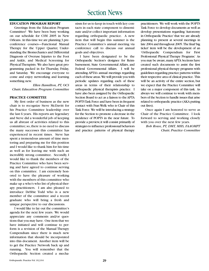## Section News

#### **EDUCATION PROGRAM REPORT**

Greetings from the Education Program Committee! We have been busy working on our schedule for CSM 2005 in New Orleans. At this time we are planning 3 preconference courses—Functional Manual Therapy for the Upper Quarter, Understanding the Biomechanics and Differential Diagnosis of Overuse Injuries to the Foot and Ankle, and Medical Screening for Physical Therapists. We also have great programming packed in for Thursday, Friday, and Saturday. We encourage everyone to come and enjoy networking and learning something new.

*Ellen Hamilton, PT, OCS Chair, Education Program Committee*

#### **PRACTICE COMMITTEE**

My first order of business as the new chair is to recognize Steve McDavitt for his Practice Committee leadership over the last 6 years. His reports are legendary and Steve did a wonderful job of keeping us all abreast of activities related to this committee; so,there is no need to discuss the many successes this committee has experienced in recent times. Steve has spent a tremendous amount of time mentoring and preparing me for this position and I would like to thank him for his time as well as for leaving me with such an incredibly strong committee. Secondly, I would like to thank the members of the Practice Committee who have been serving and have agreed to continue serving on this committee. I am extremely honored to have the pleasure of working with the members of this committee who make up a who's who list of physical therapy practitioners. I am also pleased to introduce Debbie Todd who is a new member of the committee and a recent graduate who will bring a fresh and unique perspective to our discussions.

I would like to lay out the committee's agenda for the next few years. We would appreciate any comments and/or questions that you may have. One item that we have initiated and will continue to perform is a revision of the Manual Therapy Compendium since there is much new information that should be incorporated into this document. Another item will be to get the Practice Network back up and running. You will remember that the Orthopaedic Section created a mechanism for us to keep in touch with key contacts in each state component to disseminate and/or collect important information regarding orthopaedic practice. A new item that will begin this summer is the Practice Committee's annual meeting via conference call to discuss our annual goals and objectives.

I have been designated to be the Orthopaedic Section's designee for Reimbursement, State Governmental Affairs, and Federal Governmental Affairs. I will be attending APTA's annual meetings regarding each of these areas.We will provide you with periodic updates regarding each of these areas in terms of their relationship to orthopaedic physical therapists practice. I have also been assigned by the Orthopaedic Section Board to act as a liaison to the APTA POPTS Task Force and have been in frequent contact with Fran Welk who is Chair of this Task Force. We will be introducing a strategy for the Section to promote a decrease in the incidence of POPTS in the near future. To provide a preview,it will consist primarily of strategies to influence professional behaviors and practice patterns of physical therapy practitioners. We will work with the POPTS Task Force to develop documents as well as develop presentations regarding 'Autonomy in Orthopaedic Practice' that we are already planning to present at several meetings in late 2004 and throughout 2005. The final 'big ticket' item will be the development of an 'Orthopaedic Compendium for First Professional Physical Therapy Programs.' As you may be aware, many APTA Sections have created such documents to assist the first professional physical therapy programs with guidelines regarding practice patterns within their respective area of clinical practice. This will be an activity of the entire section, but we expect that the Practice Committee will take on a major component of this task. As always we will continue to work with members of the Section to handle issues that arise related to orthopaedic practice (AKA putting out fires).

Once again I am honored to serve as Chair of the Practice Committee. I look forward to serving and working closely with you over the next few years.

*Bob Rowe, PT, DMT, MHS, FAAOMPT Chair, Practice Committee*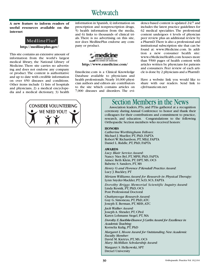## Webwatch

#### **A new feature to inform readers of useful resources available on the internet**

#### MedlinePlus®

**http://medlineplus.gov/**

This site contains an extensive amount of information from the world's largest medical library, the National Library of Medicine. There site carries no advertising and does not endorse any company or product. The content is authoritative and up to date with credible information on over 650 diseases and conditions. Other items include 1) lists of hospitals and physicians, 2) a medical encyclopedia and a medical dictionary, 3) health information in Spanish, 4) information on prescription and nonprescription drugs, 5) health information from the media, and 6) links to thousands of clinical trials. There is no advertising on this site, nor does MedlinePlus endorse any company or product.



Emedicine.com is a Clinical Knowledge Database available to physicians and health professionals. Nearly 10,000 physician authors and editors are contributors to the site which contains articles on 7,000 diseases and disorders. The evidence-based content is updated 24/7 and includes the latest practice guidelines for 62 medical specialties. The professional content undergoes 4 levels of physician peer review plus an additional review by a PharmD.There is also a professional and institutional subscription site that can be found at: www.iMedicine.com. In addition a new consumer health site: www.eMedicineHealth.com houses more than 5500 pages of health content with articles written by physicians for patients and consumers. Peer review of each article is done by 2 physicians and a PharmD.

Have a website link you would like to share with our readers. Send link to cjh@nauticom.net



## Section Members in the News

Association leaders, PTs, and PTAs gathered at a recognition ceremony during Annual Conference to honor and thank their colleagues for their contributions and commitment to practice, research, and education. Congratulations to the following Orthopaedic Section members who received honors:

#### **HONORS**

*Catherine Worthingham Fellows*: Michael J. Mueller, PT, PhD, FAPTA Robert W. Richardson, PT, MEd, FAPTA Daniel L. Riddle, PT, PhD, FAPTA

#### **AWARDS**

*Lucy Blair Service Award*: Nancy Nies Byl, PT, MPH, PhD, FAPTA Aimee Beth Klein, PT, DPT, MS, OCS Babette S. Sanders, PT, MS

*Henry O. and Florence P. Kendall Practice Award*: Lucy J. Buckley, PT

*Miriam Williams Award for Research in Physical Therapy*: Lynn Snyder-Mackler, PT, ScD, SCS, FAPTA

*Dorothy Briggs Memorial Scientific Inquiry Award:* Linda Resnik, PT, PhD, OCS Post Professional Doctoral

*Chattanooga Research Award:* Guy G. Simoneau, PT, PhD,ATC Joseph E. Berman, PT, MHS,ATC

*Jack Walker Award:* Joseph A. Shrader, PT, CPed Karen Lohmann Siegel, PT, MA

*Dorothy E.Baethke-Eleanor J.Carlin Award for Excellence in Academic Teaching*: Kornelia Kulig, PT, PhD

*Margaret L.Moore Award for Outstanding New Academic Faculty Member:* David M.Kietrys, PT, MS, OCS

*Mary McMillan Scholarship Award:* Margaret S. Helkowski, SPT

Drexel University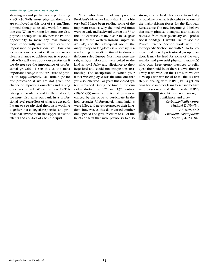#### President's Message (*Continued from page 6)*

showing up and perfunctorily performing a 9-5 job. Sadly, most physical therapists are employed in this sort of system.Thus, physical therapists usually work for someone else.When working for someone else, physical therapists usually never have the opportunity to make any 'real' money; more importantly many never learn the importance of professionalism. How can we serve our profession if we are never given a chance to achieve our true potential? Who will care about our profession if we do not see the importance of professional growth? I see this as the most important change in the structure of physical therapy. Currently, I see little hope for our profession if we are not given the chance of improving ourselves and raising ourselves in rank. While the new DPT is raising our academic and intellectual level, we must also raise our rank in a professional level regardless of what we get paid. I want to see physical therapists working together in a collegial, respectful, and professional environment that appreciates the talents and abilities of each therapist.

Most who have read my previous President's Messages know that I am a history buff. I have been reading some of the important reasons why the medieval times were so dark and backward during the 5<sup>th</sup> to the 14<sup>th</sup> centuries. Many historians suggest the fall of the Western Roman Empire (in 476 AD) and the subsequent rise of the many European kingdoms as a primary reason.During the medieval times kingdoms or fiefdoms ruled Europe. Most men were vassals, serfs, or helots and were yoked to the land in loyal fealty and allegiance to their liege lord and could not escape this relationship. The occupation in which your father was employed was the same one that you also inherited. For years this closed system remained. During the time of the crusades, during the  $12<sup>th</sup>$  and  $13<sup>th</sup>$  century (1095-1295) many of the feudal lords were enticed by the pope to participate in the holy crusades. Unfortunately many knights were killed and never returned to their kingdom; however, as this door closed another one opened and gave freedom to all of the helots or serfs that were previously tied so

strongly to the land.This release from fealty or bondage is what is thought to be one of the major driving forces for the European Renaissance.The new beginning! I believe that many physical therapists also must be released from their pecuniary and professional bondage. I would like to see the Private Practice Section work with the Orthopaedic Section and with APTA to promote un-fettered professional group practices. It may be hard for some of the very wealthy and powerful physical therapist(s) who own large group practices to relinquish their hold,but if there is a will there is a way. If we work on this I am sure we can develop a win-win for all.To me this is a first step in dealing with POPTS, let us get our own house in order, learn to act and behave as professionals, and then tackle POPTS

confidence,and unity. *Orthopaedically yours, Michael T. Cibulka, PT, MHS, OCS President, Orthopaedic*

*Section, APTA, Inc.*

straightaway with strength,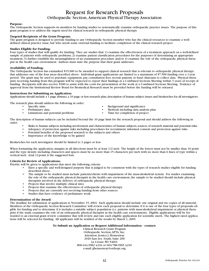#### Request for Research Proposals Orthopaedic Section,American Physical Therapy Association

#### **Purpose:**

The Orthopaedic Section supports its members by funding studies to systematically examine orthopaedic practice issues. The purpose of this grant program is to address the urgent need for clinical research in orthopaedic physical therapy.

#### **Targeted Recipients of the Grant Program:**

The grant program is designed to provide funding to any Orthopaedic Section member who has the clinical resources to examine a welldefined clinical practice issue, but who needs some external funding to facilitate completion of the clinical research project.

#### **Studies Eligible for Funding:**

Four types of studies that will qualify for funding. They are studies that: 1) examine the effectiveness of a treatment approach on a well-defined sample of patients with orthopaedic problems; 2) examine patient classification procedures for the purposes of determining an appropriate treatment; 3) further establish the meaningfulness of an examination procedure and/or 4) examine the role of the orthopaedic physical therapist in the health care environment. Authors must state the purpose that their grant addresses.

#### **Availability of Funding:**

The Orthopaedic Section has earmarked \$15,000 to be awarded to support clinical research that is relevant to orthopaedic physical therapy that addresses one of the four areas described above. Individual grant applications are limited to a maximum of \$7,500 funding over a 1-year period. The grant may be used to purchase equipment, pay consultation fees, recruit patients or fund clinicians to collect data. Physical therapists receiving funding from this program will be expected to report their findings at a Combined Sections Meeting within 3 years of receipt of funding. Recipients will also receive \$300 to assist with the costs for presentation of the work at a Combined Sections Meeting. Evidence of approval from the Institutional Review Board for Biomedical Research must be provided before the funding will be released.

#### **Instructions for Submitting an Application:**

Applications should include a 1 page abstract, a 10 page or less research plan, description of human subject issues and biosketches for all investigators.

The research plan should address the following in order:

- 
- 
- Limitations and potential problems
- Specific aims Background and significance
- Preliminary data *•* Methods including data analysis plan Limitations and potential problems Time for completion of project
	-

The description of human subjects can be included beyond the 10 page limit for the research proposal and should address the following in order:

- Risks to human subjects including involvement and characteristics of human subjects, sources of research material and potential risks
- Adequacy of protection against risks including procedures for recruitment, informed consent and protection against risks
- Potential benefits of the proposed research to the subjects and others
- Importance of the knowledge to be gained

Biosketches for each investigator should be limited to 3 pages or less.

When formatting the application, margins in all directions must be at least 1/2 inch. The height of the letters must not be smaller than 10 point and the type density including characters and spaces must be no more than 15 characters per inch with no more than 6 lines of type within a vertical inch. Arial 12-point is the suggested font.

#### **Criteria for Review of Applications:**

Priority will be given to applications that meet the following criteria:

- Have a specific and well-designed purpose that is judged to be consistent with the types of research studies eligible for funding described above.
- The sample to be studied must include patients/clients with impairment of the musculoskeletal system. For studies examining the role of the orthopaedic physical therapist in the health care environment, the sample to be studied should include physical therapists involved in the delivery of orthopaedic physical therapy.
- Projects that involve multiple clinical sites.
- Projects that examine the effectiveness of orthopaedic physical therapy.
- Projects that are currently not receiving funding from other sources.
- Studies that have evidence of preliminary work.

#### **Determination of the Award:**

The deadline for submission of applications is November 15, 2004. Each application should include one original and six copies of all material. Members of the Orthopaedic Section Research Committee will review each proposal to determine if it is one of the four types of proposals eligible for funding and to determine if it includes a suitable subject population (i.e. patients with musculoskeletal impairment or physical therapists if the study examines the role of an orthopaedic physical therapist in the health care environment). Eligible applications will be forwarded to an external grant review committee that will review and rate each eligible application for scientific merit. The highest rated applications will be selected for funding. All applicants will be notified of the results by March 1, 2005.

#### **To Submit an Application or Request Additional Information - contact:**

Clinical Research Grant Program Orthopaedic Section,APTA, Inc. Attention: Jessica J. Hemenway 2920 East Ave. South, Suite 200 La Crosse,WI 54601 800-444-3982 x216 or 604-788-3965 x216 e-mail: jjhemenway@orthopt.org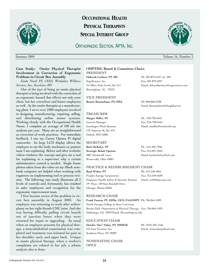

## **OCCUPATIONAL HEALTH PHYSICAL THERAPISTS SPECIAL INTEREST GROUP**

### ORTHOPAEDIC SECTION, APTA, INC.



#### **Case Study: Onsite Physical Therapist Involvement in Correction of Ergonomic Problems in Circuit Box Assembly**

*Linda Nicoli PT, CEES, Workplace Wellness Services, Inc., Excelsior, MN*

One of the joys of being an onsite physical therapist is being involved with the correction of an ergonomic hazard that effects not only your client, but her coworkers and future employees as well. As the onsite therapist at a manufacturing plant, I serve over 1000 employees involved in designing, manufacturing, repairing, selling, and distributing airline sensor systems. Working closely with the Occupational Health Nurse, I complete an average of 100 job site analyses per year. Many are as straightforward as correction of work practices. For immediate feedback, I use my Canon Optura Pi digital camcorder. Its large LCD display allows the employee to see the body mechanics or posture issue I am explaining. Before and after worksite videos reinforce the concept and give me a tool for explaining to a supervisor why a certain administrative control is needed. Single frame photos taken from the video on my iBook notebook computer are helpful when working with engineers on implementing tool or process revision. The following case study illustrates all 3 levels of controls and, fortunately, has resulted in safer employees and recognition for the ergonomic improvement team.

I first became aware of the problem in circuit box assembly in August 2003. An employee was returning to work after arthroplasty on her right thumb CMC joint. And she was having difficulty pulling circuit boards out of junction boxes when they were returned for repair or upgrading. As usual when an employee presents for physical therapy, a musculoskeletal examination was completed and treatment was initiated for pain in her shoulder, neck, and upper back. Unique to onsite physical therapy, when a worker's complaints are related to her job, a jobsite analysis also is done.

#### **OHPTSIG Board & Committee Chairs**

PRESIDENT **Deborah Lechner, PT, MS** Ph: 205 879-6447 ext. 204 ErgoScience, Inc Fax: 205 879-6397 Birmingham, AL 35223

VICE PRESIDENT **Bonnie Kimmelman, PT, MEd** Ph: 908-868-2938

#### TREASURER

**Margot Miller, PT** Ph: 218-728-6455 General Manager Fax: 218-728-6454 11E Superior St, Ste 370 Duluth, MN 55802

#### SECRETARY

**Barb McKelvy, PT** Ph: 614-496-7996 **Strategic Rehab Options** Fax: 614-891-3563 Westerville, Ohio 43081

15 Office Park Circle, Ste 214 Email: deborahlechner@ergoscience.com

Email: bkimmelman@sbcglobal.net

Isernhagen Work Systems Email: mmiller@workwell.com

4887 Smoketalk Lane Email: barbmckelvy@aol.com

#### PRACTICE & REIMBURSEMENT CHAIR

**Brad Wolter, PT** Ph: 312-240-4965 Peoples Energy Corporation Fax: 312-240-4609 Employee Health Safety & Security Systems Email: woltb@pecorp.com 19th Floor, 130 East Randolf Drive Chicago, Illinois 60601

#### RESEARCH CHAIR

**Frank Fearon, PT, DHSc, OCS, FAAOMPT** Ph: 706-864-1899 North Georgia College & State University Barnes Hall- Department of Physical Therapy Fax: 706-864-1493 Dahlonega, GA 30597Email: ffearon@ngcsu.edu

#### EDUCATION CHAIR

**Deirdre 'Dee" Daley, PT, MSHOE** Ph: (910) 695-1556 155 East Vermont Ave Email: kanandarqu@aol.com Southern Pines, NC 28387

NOMINATING CHAIR **OPEN** 



Summer 2004 Volume 16, Number 3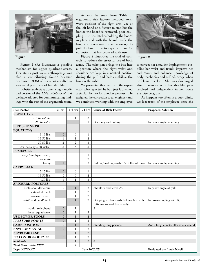

Figure 1 (R) illustrates a possible mechanism for upper quadrant stress. Her status post wrist arthroplasty was also a contributing factor because decreased ROM of her wrist resulted in awkward posturing of her shoulder.

Jobsite analysis is done using a modified version of the ANSI Z365 form<sup>1</sup> that we have adapted for communicating findings with the rest of the ergonomic team.

As can be seen from Table 1, ergonomic risk factors included awkward position of the right arm, use of the left hand as a fixture to stabilize the box as the board is removed, poor coupling with the latches holding the board in place and with the board inside the box, and excessive force necessary to pull the board due to expansion and/or corrosion that has occured with use.

Figure 2 illustrates the trial of con-**Figure 1 Figure 2** trols to reduce the stressful use of both arms. The cake pan brings the box into a position where the right wrist and shoulder are kept in a neutral position during the pull and helps stabilize the box on the table.

> We presented this picture to the supervisor who reported he had just fabricated a similar fixture for another process. He assigned the correction to an engineer and we continued working with the employee



to correct her shoulder impingement, stabilize her wrist and trunk, improve her endurance, and enhance knowledge of body mechanics and self advocacy when problems develop. She was discharged after 6 sessions with her shoulder pain resolved and independent in her home exercise program.

As happens too often in a busy clinic, we lost track of the employee once she

| <b>Risk Factor</b>          | $< 1$ hr         | $1-4$ hrs        | $>4$ hrs       | <b>Cause of Risk Factor</b>               | <b>Proposed Solution</b>                 |
|-----------------------------|------------------|------------------|----------------|-------------------------------------------|------------------------------------------|
| <b>REPETITIVE</b>           |                  |                  |                |                                           |                                          |
| >15 times/min               | $\boldsymbol{0}$ | 1                | 3              |                                           |                                          |
| >20 times/hr                | $\mathbf{0}$     | $\theta$         | $\mathbf{1}$   | Gripping and pulling                      | Improve angle, coupling                  |
| <b>LIFT (SEE NIOSH</b>      |                  |                  |                |                                           |                                          |
| <b>EQUATION)</b>            |                  |                  |                |                                           |                                          |
| 5-15 lbs.                   | $\boldsymbol{0}$ | $\overline{0}$   | 1              |                                           |                                          |
| 15-30 lbs.                  | 1                | 1                | $\overline{2}$ |                                           |                                          |
| 30-50 lbs.                  | $\,2$            | $\sqrt{2}$       | 3              |                                           |                                          |
| >50 lbs.(single lift risky) | $\overline{3}$   | 3                | 3              |                                           |                                          |
| <b>PUSH/PULL</b>            |                  |                  |                |                                           |                                          |
| easy (employee rated)       | $\boldsymbol{0}$ | $\overline{0}$   | 1              |                                           |                                          |
| moderate                    | $\mathbf{0}$     | $\mathbf{0}$     | $\sqrt{2}$     |                                           |                                          |
| heavy                       | $\mathbf{1}$     |                  | $\sqrt{3}$     | Pulling/pushing cards 15-18 lbs. of force | Improve angle, coupling                  |
| $CARRY > 10$ ft.            |                  |                  |                |                                           |                                          |
| 5-15 lbs.                   | $\overline{0}$   | $\mathbf{0}$     | 1              |                                           |                                          |
| 15-30 lbs.                  | $\boldsymbol{0}$ | $\boldsymbol{0}$ | $\,2\,$        |                                           |                                          |
| $>30$ lbs.                  | $\mathbf{1}$     | 1                | $\overline{3}$ |                                           |                                          |
| <b>AWKWARD POSTURES</b>     |                  |                  |                |                                           |                                          |
| neck, shoulder strain       | $\boldsymbol{0}$ |                  | $\sqrt{2}$     | Shoulder abducted >90                     | Improve angle of pull                    |
| extended reach              | $\boldsymbol{0}$ | 1                | $\overline{2}$ |                                           |                                          |
| forearm twisted             | $\boldsymbol{0}$ | 1                | $\overline{2}$ |                                           |                                          |
| wrist/hand bend/pinch       | $\mathbf{0}$     | 1                | $\overline{2}$ | Gripping latches, cards holding box with  | Improve coupling with R,                 |
|                             |                  |                  |                | L fixture to hold box steady              |                                          |
| trunk: twist/bend           | $\mathbf{0}$     | 1                |                | $\overline{2}$                            |                                          |
| knee: squat/kneel           | $\boldsymbol{0}$ | 1                | $\,2$          |                                           |                                          |
| <b>USE POWER TOOLS</b>      | $\boldsymbol{0}$ | 1                | $\sqrt{2}$     |                                           |                                          |
| PRESSURE POINTS             | $\overline{0}$   | 1                | $\overline{2}$ |                                           |                                          |
| <b>SAME POSITION</b>        | $\mathbf{0}$     | $\mathbf{1}$     | $\sqrt{2}$     | Standing long periods                     | Anti - fatigue mats, alternate sit/stand |
| <b>ENVIRONMENTAL</b>        | $\overline{0}$   | 1                | $\overline{2}$ |                                           |                                          |
| <b>KEYBOARD USE</b>         | $\mathbf{0}$     | 1                | $\overline{2}$ |                                           |                                          |
| NO CONTROL OF PACE          | $\Omega$         | 1                | $\overline{2}$ |                                           |                                          |
| Sub-totals                  |                  | 1                | $\overline{3}$ | $\mathbf{0}$                              |                                          |
| Total Score >10= RISK       |                  | $\overline{4}$   |                |                                           |                                          |
| Dept. XXXXXX                |                  |                  | Date 10/02/03  |                                           | Evaluated by: Linda Nicoli               |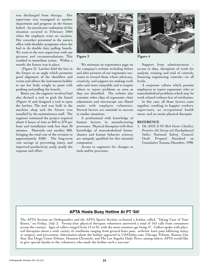was discharged from therapy. Her supervisor was reassigned to another department and progress on the fixture halted. An unwelcome realization of this situation occured in February 2004 when the employee went on vacation. Her coworker presented in the nurse's office with shoulder symptoms when she had to do double duty pulling boards. We went to the new supervisor with our pictures and recommendations. This resulted in immediate action. Within a month, the fixture was in place.

(Figure 3) Latches hold the box in the fixture at an angle which promotes good alignment of the shoulders and wrists and allows the instrument builder to use her body weight to assist with pushing and pulling the boards.

Better yet, the engineer involved had also devised a tool to grab the board (Figure 4) and designed a tool to open the latches. The tool was built in the machine shop and the fixture was installed by the maintainence staff. The engineer estimated the project required about 6 hours of time at \$60 to \$70 per hour and installation took less than 30 minutes. Materials cost another \$80, bringing the total cost of the revision to approximately \$500. The long-term cost savings in preventing injury and improved productivity easily justify the expense and effort.



We maintain an ergonomics page on the company's website including before and after pictures of our ergonomic successes to reward those whose advocacy, creativity, and support are making work safer and more enjoyable and to inspire others to report problems as soon as they are identified. The website also contains video clips of ergonomic chair adjustment and microscope use filmed onsite with employee volunteers. Several factors are essential to success in similar situations.

A professional with knowledge of human factors in manufacturing processes. Physical therapists with their knowledge of musculoskeletal biomechanics and human behavior sciences are uniquely qualified for this essential component.

Access to engineers for changes to tools and/or processes.



Support from administration – access to data, disruption of work for analysis, training and trial of controls, financing engineering controls—on all levels.

A corporate culture which permits employees to report ergonomic risks or musculoskeletal problems which may be work related without fear of retribution.

In this case, all those factors came together, resulting in happier workers, supervisors, an occupational health nurse, and an onsite physical therapist.

#### **REFERENCE**

1. *The ANSI Z-365 Risk Factor Checklist, Proactive Job Survey and Pyschophysical Tables:* National Safety Council, Draft Propsed Standard on Cumulative Trauma Disorders. 1998.

#### **APTA Hosts Busy Hotline At PT '04! '**

The APTA Section on Orthopaedics and the APTA Sports Section co-hosted a hotline called, "Taking Care of Your Knees," on Friday, July 2. Twenty-four physical therapist volunteers answered a total of 163 calls from consumers across the country. Ages of callers ranged from 14 to 95, with the most common age being 47. Callers spoke with physical therapists about a wide variety of conditions ranging from general knee pain, arthritis, knee pain following injury or surgery, and prevention. Information about the hotline appeared in USAToday.com, Chicago Tribune, Kansas City Star, San Diego Union Tribune, Houston Chronicle, and The Los Angeles Daily News, among others. APTA would like to give special thanks to the volunteers who made the hotline such a success!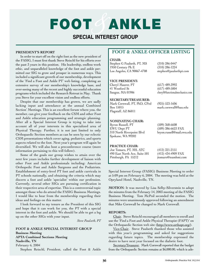# FOOT ANKLE

## **SPECIAL INTEREST GROUP**

#### **PRESIDENT'S REPORT**

In order to start off on the right foot as the new president of the FASIG, I must first thank Steve Reischl for his efforts over the past 3 years in this position. His leadership, endless work ethic, and unparalleled knowledge of the foot and ankle permitted our SIG to grow and prosper in numerous ways. This included a significant growth of our membership, development of the 'Find a Foot and Ankle PT' web listing, completing an extensive survey of our membership's knowledge base, and over-seeing many of the recent and highly successful education programs which included the Research Retreat in May. Thank you Steve for your excellent vision and endless efforts.

Despite that our membership has grown, we are sadly lacking input and attendance at the annual Combined Section' Meetings. This is an excellent forum where you, the member, can give your feedback on the CSM and other Foot and Ankle education programming and strategic planning. After all a Special Interest Group is trying to take into account all of your interests in this specialized area of Physical Therapy. Further, it is not just limited to only Orthopaedic Section members as can be seen by our eclectic CSM presentations which cover aging, pediatrics, and sports aspects related to the foot. Next year's program will again be diversified. We will also host a preconference course (more information pertaining to this will follow).

Some of the goals our group wishes to attain over the next few years includes further development of liaison with other Foot and Ankle professionals including: American Orthopedic Foot and Ankle Surgeons and the Podiatrists. Establishment of entry-level PT foot and ankle curricula in PT schools nationally, and obtaining the criteria which may discern a foot and ankle 'specialist' within our profession. Currently, several other SIGs are pursuing certification in their respective area of expertise. This is a controversial topic amongst those who do attend the FASIG Business Meetings. I would like to hear from the membership regarding their ideas and feelings on this matter.

I look forward to my tenure as the President of this SIG and hope that it can work for you, the PT with a special interest in the foot and ankle. We should be able to get a leg up on the other SIGs with your input.

*Steve Paulseth, PT*

#### **FOOT & ANKLE SPECIAL INTEREST GROUP Business Meeting APTA Combined Sections Meeting Nashville, TN** February 6, 2004

Stephen Reischl, President, called the Foot & Ankle

#### **FOOT & ANKLE OFFICER LISTING**

#### **CHAIR:**

Stephen G Paulseth, PT, MS (310) 286-0447<br>1950 Century Pk E (310) 286-1224 1950 Century Pk E Los Angeles, CA 90067-4708 stephen@paulsethpt.com

#### **VICE PRESIDENT:**

Cheryl Maurer, PT (617) 489-3993 41 Westford St (617) 489-5004

#### **SECRETARY/TREASURER:**

Mark Cornwall, PT, PhD, CPed (925) 523-1606 Box 15015 mark.cornwall@hau.edu Flagstaff, AZ 86011

#### **NOMINATING CHAIR:**

Byron Russell, PT (509) 368-6608<br>EWU Dept PT (509) 386-6623 310 North Riverpoint Blvd Spokane, WA 99202

#### **PRACTICE CHAIR:**

Joe Tomaro, PT, MS, ATC (412) 321-2151 490 East North Ave, Suite 501 (412) 434-4909 FAX Pittsburgh, PA 15212 jtomaro@teamhmi.com

Saugus, MA 01906 cheryl@functionalmechanics.com

(509) 386-6623 FAX<br>bryon.russell@mail.ewu.edu

Special Interest Group (FASIG) Business Meeting to order at 5:09 pm on February 6, 2004. The meeting was held at the Opryland Hotel, Nashville, TN.

**MOTION**: It was moved by Lisa Selby-Silverstein to adopt the minutes from the February 14, 2003 meeting of the FASIG Business Meeting. Tom McPoil seconded the motion. The minutes were unanimously approved following an amendment that Mike Cornwall be changed to Mark Cornwall.

#### **REPORTS:**

Chair. Steve Reischl encouraged all members to enroll and use the 'Find a Foot and Ankle Physical Therapist (FAPT)' on the Orthopaedic Section web site (http://www.orthopt.org/).

Vice-Chair. Steve Paulseth thanked those who assisted with this year's programming and asked for suggestions regarding future topics. The membership expressed the desire to have next year focused on the diabetic foot.

Secretary/Treasurer. Mark Cornwall reported that the budget from the Orthopaedic Section remains at \$6,000.00, which is ade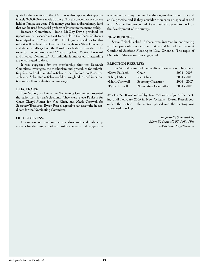quate for the operation of the SIG. It was also reported that approximately \$9,000.00 was made by the SIG at the preconference course held in Tampa last year. This money goes into a discretionary fund that can be used for special projects of interest to the membership.

Research Committee. Irene McClay-Davis provided an update on the research retreat to be held in Southern California from April 30 to May 1, 2004. The keynote speakers for this retreat will be Neil Sharkey from Pennsylvania State University and Arne Lundberg from the Karolinska Institute, Sweden. The topic for the conference will "Measuring Foot Motion: Forward and Inverse Dynamics." All individuals interested in attending are encouraged to do so.

It was suggested by the membership that the Research Committee investigate the mechanism and procedure for submitting foot and ankle related articles to the 'Hooked on Evidence' web site. Submitted articles would be weighted toward intervention rather than evaluation or anatomy.

#### **ELECTIONS:**

Tom McPoil, as chair of the Nominating Committee presented the ballot for this year's elections. They were Steve Paulseth for Chair, Cheryl Mauer for Vice Chair, and Mark Cornwall for Secretary/Treasurer. Byron Russell agreed to run as a write-in candidate for the Nominating Committee.

#### **OLD BUSINESS:**

Discussion continued on the procedure and need to develop criteria for defining a foot and ankle specialist. A suggestion was made to survey the membership again about their foot and ankle practice and if they consider themselves a specialist and why. Nancy Henderson and Steve Paulseth agreed to work on the development of the survey.

#### **NEW BUSINESS:**

Steve Reischl asked if there was interest in conducting another preconference course that would be held at the next Combined Sections Meeting in New Orleans. The topic of Orthotic Fabrication was suggested.

#### **ELECTION RESULTS:**

Tom McPoil presented the results of the election. They were:

| •Steve Paulseth | Chair                | 2004 - 2007   |
|-----------------|----------------------|---------------|
| •Cheryl Mauer   | Vice Chair           | $2004 - 2006$ |
| • Mark Cornwall | Secretary/Treasurer  | $2004 - 2007$ |
| •Byron Russell  | Nominating Committee | 2004 - 2007   |

**MOTION**: It was moved by Tom McPoil to adjourn the meeting until February 2005 in New Orleans. Byron Russell seconded the motion. The motion passed and the meeting was adjourned at 6:11pm.

> *Respectfully Submitted by, Mark W. Cornwall, PT, PhD, CPed FASIG Secretary/Treasurer*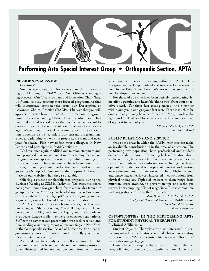

## **Performing Arts Special Interest Group • Orthopaedic Section, APTA**

#### **PRESIDENT'S MESSAGE**

#### Greetings!

Summer is upon us and I hope everyone's plans are shaping up. Planning for CSM 2005 in New Orleans is an ongoing process. Our Vice President and Education Chair, Tara Jo Manal, is busy creating more focused programming that will incorporate competencies from our Description of Advanced Clinical Practice (DACP). I believe that you will appreciate better how the DACP can direct our programming efforts this coming CSM. Your executive board has bantered around several topics that we feel are important to cover and you can be assured of comprehensive topic coverage. We will begin the task of planning for future curriculum direction as we complete our current programming. Since any planning is a work in progress, we want and need your feedback. Plan now to join your colleagues in New Orleans and participate in PASIG activities.

We have once again modified our mission statement and have proposed a vision statement in order to stay focused on the goals of our special interest group while planning for future activities. These statements have been sent to our Strategic Planning Committee for their input and will then go to the Orthopaedic Section for their approval. Look for these on our website when they're available.

Offering a student scholarship was proposed during the Business Meeting at CSM in Nashville. The executive board has agreed upon a few guidelines for this new idea from our group. Adrienne McAuley has headed up this endeavor and can be contacted at mcauley\_pt@msn.com if you, your colleagues, or your school would like more information.

PASIG's Actor's Equity involvement has gone through a few changes. Shaw Bronner, Marshall Hagins and I met once again this May with Actor's Equity and the Broadway Producer's League while they were in contract negotiations. Suffice it to say that our presentation was well received and I am sending a summary report of our meetings in New York to the Orthopaedic Section Board of Directors. For those of you wanting more information than I've briefly given here, please contact me directly.

As usual, we have only a few folks nominated to fill upcoming executive board and elected committee positions. Shaw Bronner and her nominations committee continue to

solicit anyone interested in serving within the PASIG. This is a great way to keep involved and to get to know many of your fellow PASIG members. We are only as good as our membership's involvement.

For those of you who have been actively participating, let me offer a genuine and heartfelt "thank you" from your executive board. For those just getting started, find a mentor within our group and get your feet wet. There is much to be done and as you may have heard before, "Many hands make light work!" That is all for now, so enjoy the summer and all of my best to each of you.

> *Jeffrey T. Stenback, PT, OCS President, PASIG*

#### **PUBLIC RELATIONS AND SERVICE**

One of the areas in which the PASIG members can make an invaluable contribution is in the area of education. The performing arts population, both professional and student dancer and dance parent, frequently lack information about wellness, lifestyle, risks, etc. There are many avenues to reach them with valuable information, including the development of guidelines about topics of interest and writing article disseminated in their journals. The publisher of several dance magazines is very interested in contributions from physical therapists. Topics of interest to them range from nutrition, cross training, to prevention tips and technique errors. I am compiling a list of magazines. Please contact me with suggestions or for further information.

> *Shaw Bronner, PT, MHS, EdM, OCS Analysis of Dance and Movement (ADAM) Center at Long Island University sbronner@liu.edu*

#### **OPPORTUNITIES IN THE PERFORMING ARTS FOR STUDENT PHYSICAL THERAPISTS I. Clinical Affiliations.**

Student Physical Therapists who are interested in performing arts clinical affiliations can find a list of participating sites on the PASIG website: http://www.orthopt.org/ sigs/performing\_arts\_sig/.

Generally, most require the affiliation to be in the last year, following a previous orthopaedic rotation. Some offer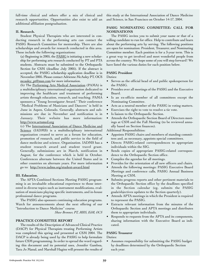full-time clinical and others offer a mix of clinical and research opportunities. Opportunities also exist to add an additional affiliation postgraduation.

#### **II. Research.**

Student Physical Therapists who are interested in conducting research in the performing arts can contact the PASIG Research Committee for mentorship. There are also scholarships and awards for research conducted in this area. These include the following organizations:

(a) Beginning in 2005, the PASIG is initiating a new scholarship for performing arts research conducted by PT and PTA students. Abstracts must be submitted to the Orthopaedic Section for CSM (deadline July 2005). If the abstract is accepted, the PASIG scholarship application deadline is in November 2005. Please contact Adrienne McAuley PT, OCS mcauley\_pt@msn.com for more information.

(b) The Performing Arts Medical Association (PAMA) is a multidisciplinary international organization dedicated to improving the healthcare and treatment of performing artists through education, research, and teaching. PAMA sponsors a "Young Investigator Award." Their conference "Medical Problems of Musicians and Dancers" is held in June in Aspen, Colorado. Generally, abstracts and submissions are due in November and notification is in January. Their website has more information: http://www.artsmed.org

(c) The International Association of Dance Medicine and Science (IADMS) is a multidisciplinary international organization created to serve as a forum for education, promotion of research, and public service in the field of dance medicine and science. Organization. IADMS has a student research award and student travel grant. Generally, submissions are in March, notification in August, for the conference which is held in October. Conferences alternate between the United States and in other countries on alternate years. For more information go to: http://www.iadms.org/student-award.html

#### **III. Education.**

The APTA Combined Sections Meeting PASIG programming is an invaluable educational experience to those interested in diverse topics such as instrument modifications, evaluation of musicians playing specific instruments, and in-house professional dance programs.

The PASIG also sponsors continuing education programs. Watch for announcements about the next offering of our "Introduction to Dance Medicine" course.

*Shaw Bronner, PT, MHS, EdM, OCS*

#### **PRACTICE COMMITTEE REPORT**

The results of the Description of Advanced Clinical Practice (DACP) for Physical Therapists treating Performing Artists was completed this spring and presented at CSM 2004. The DACP is already being used by the PASIG to help formulate future CSM programming. In order to spread the word regarding this document and its potential uses, Jennifer Gamboa, Tara Jo Manal, and Marshall Hagins will present the results of

this study at the International Association of Dance Medicine and Science, in San Francisco on October 14-17, 2004.

#### **PASIG NOMINATING COMMITTEE: CALL FOR NOMINATIONS**

The PASIG invites you to submit your name or that of a willing candidate to run for office. Help to contribute and learn about the performing arts by serving. The following positions are open for nomination: President, Treasurer, and Nominating Committee member. Each position is for a 3-year term. This is a great way to get involved and meet wonderful people from across the country. We hope some of you will step forward! We have listed the various duties for each position below.

#### **PASIG President**

Duties:

- Serves as the official head of and public spokesperson for the PASIG.
- Presides over all meetings of the PASIG and the Executive Board.
- Is an ex-officio member of all committees except the Nominating Committee.
- Acts as a neutral member of the PASIG in voting matters.
- Exercises the right to vote to resolve a tie vote.
- Is liaison to the Orthopaedic Section.
- Attends the Orthopaedic Section Board of Directors meetings at CSM and the Fall Meeting (to be reviewed annually based on Section finances).

Additional Responsibilities:

- Appoints PASIG chairs and members of standing committees and, as necessary, appoints special committees.
- Directs PASIG-related correspondences to appropriate individuals within the SIG.
- Sends copies of appropriate PASIG-related correspondence to the Orthopaedic Section office.
- Compiles the agendas for all meetings.
- Provides for the orientation of all new officers and chairs.
- Attends the following meetings: PASIG Executive Board Meetings and conference calls, PASIG Annual Business Meeting at CSM.
- Submits progress reports and other pertinent materials to the Orthopaedic Section office by the deadlines specified in the Section calendar (eg, submits the PASIG goals/objectives updates to the Section quarterly).
- Attends APTA meetings in which the President is required to represent the PASIG.
- Extracts relevant information from the minutes of the Orthopaedic Section and APTA meetings and distributes them to appropriate individuals.
- Responds to requests from the APTA and its components, sharing information with the Executive Board as indicated.

#### **PASIG Treasurer**

Duties:

Assumes responsibility for submitting the PASIG budget by deadlines determined by the Orthopaedic Section each year.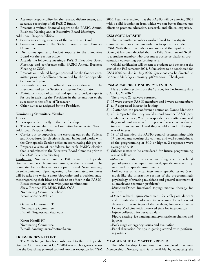- Assumes responsibility for the receipt, disbursement, and accurate recording of all PASIG funds.
- Presents a written financial report at the PASIG Annual Business Meeting and at Executive Board Meetings.

Additional Responsibilities:

- Serves as a voting member of the Executive Board.
- Serves as liaison to the Section Treasurer and Finance Committee.
- Distributes quarterly budget reports to the Executive Board via the Section office.
- Attends the following meetings: PASIG Executive Board Meetings and conference calls, PASIG Annual Business Meeting at CSM.
- Presents an updated budget proposal for the finance committee prior to deadlines determined by the Orthopaedic Section each year.
- Forwards copies of official correspondence to the President and to the Section's Program Coordinator.
- Maintains a copy of annual and quarterly budget reports for use in assisting the President in the orientation of the successor to the office of Treasurer.
- Other duties as assigned by the President.

#### **Nominating Committee Member**

Duties:

Is responsible directly to the membership.

The senior member of the Committee becomes its Chair. Additional Responsibilities:

- Carries out or supervises the carrying out of the Policies and Procedures for elections via mail ballot and works with the Orthopaedic Section office on coordinating this project.
- Prepares a slate of candidates for each PASIG election that is submitted to the Executive Board 4 months prior to the CSM Business Meeting.

**Guidelines**: Nominees must be PASIG and Orthopaedic Section members. Nominees must give their consent to be nominated before their names are put forward. Nominees may be self-nominated. Upon agreeing to be nominated, nominees will be asked to write a short biography and a position statement regarding their ideas and role as an officer in the PASIG.

Please contact any of us with your nominations: Shaw Bronner PT, MHS, EdM, OCS Nominating Committee Chair Email: sbronner@liu.edu

Gayanne Grossman PT Nominating Committee E-mail: Gngrossman@aol.com

Karen Hamill PT Nominating Committee E-mail: dancingkaren@hotmail.com

#### **TREASURER'S REPORT**

The 2005 budget has been submitted to the Orthopaedic Section. Our reception at CSM 2004 was such a great success that the Board has planned to fund another reception for CSM 2005. I am very excited that the PASIG will be entering 2005 with a solid foundation from which we can better finance our efforts to promote education, research, and clinical expertise.

#### **CSM SCHOLARSHIP**

The Committee members worked hard to investigate Jennifer Gamboa's recommendation to sponsor a student to CSM. With their invaluable assistance and the input of the Board, it has been decided that the PASIG will award \$400 to a student member who presents a poster or platform presentation concerning performing arts.

Official notification will be sent to students and schools at the start of the Fall semester 2004. Submissions to be considered for CSM 2006 are due in July 2005. Questions can be directed to Adrienne McAuley at mcauley\_pt@msn.com. Thank you.

#### **CSM MEMBERSHIP SURVEY RESULTS**

Here are the Results from the "Survey for Performing Arts SIG – CSM 2004"

There were 22 surveys returned.

- 1) 13 were current PASIG members and 9 were nonmembers
- 2) all 9 expressed interest in joining
- 3) 12 attended the preconference course on Dance Medicine
- 4) all 12 reported that they would attend another PASIG preconference course, 2 of the respondents not attending said they would not attend a future preconference course due to time and money, and 1 said they would attend if the topic was of interest
- 5) 19 of 22 attended the PASIG general programming with 17 participants scoring the content and well-roundedness of the programming at 8/10 or higher, 2 responses were average of 6/10
- 6) Subject matter to be considered for future programming was as follows:
	- ~Musician related topics including specific related pathologies at the impairment level; specific muscle group recruited for specific instruments
	- ~Full course on musical instrument specific issues (very much like the interactive section of the programming); psychology of treating musicians and general treatment of all musicians (common problems)
	- ~Musician/Dance functional taping; manual therapy for injuries
	- ~Dance related injuries/treatment for collegiate dancers and private/studio adolescents; screening for adolescent dancers; different types of dance shoes; longer course on Dance Medicine with increased time for intervention
	- ~Injury collection for research data
	- ~Figure skating, ice dancing, and gymnastic mechanics and injuries
	- ~Back stage emergency issues and evaluation
	- ~Panel discussion for tips in getting started with performing artists

#### **MEMBERSHIP COMMITTEE REPORT**

The Membership Committee has completed the new Membership Directory and it is available by contacting the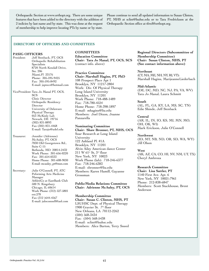Orthopaedic Section at www.orthopt.org. There are some unique features that have been added to the directory with the addition of 2 indicies by last name and by state. This was done at the request of membership to help improve locating PTs by name or by state.

Please continue to send all updated information to Susan Clinton, PT, MHS at sclint@lsuhsc.edu or to Tara Fredrickson at the Orthopaedic Section office at tfred@orthopt.org.

#### **DIRECTORY OF OFFICERS AND COMMITTEES**

#### **PASIG OFFICERS**

President: Jeff Stenback, PT, OCS Orthopedic Rehabilitation Specialists 8720 North Kendall Drive, Ste. 206 Miami,Fl 33176 Phone: 305-595-9425 Fax: 305-595-8492 E-mail: jsptocs@hotmail.com

VicePresident: Tara Jo Manal PT, OCS, SCS Clinic Director Orthopedic Residency **Director** University of Delaware Physical Therapy 053 McKinly Lab Newark, DE 19716 (302) 831-8893 Fax (302) 831-4468 E-mail: Tarajo@udel.edu

Treasurer: Jennifer (Adrienne) McAuley, PT, OCS 7830 Old Georgetown Rd., Suite C-15 Bethesda, MD 20814-2432 Work Phone: 301-656-0220 Fax: 301-654-0333 Home Phone: 301-608-9030 E-mail: mcauley\_pt@msn.com

Secretary: Julie O'Connell, PT, ATC Peforming Arts Medicine Manager AthletiCo at EastBank Club 500 N. Kingsbury Chicago, IL 60614 Work Phone: (312) 527-5801 ext.278 Fax (312 )644-4567 E-mail: juloconnell@aol.com

#### **COMMITTEES**

**Education Committee Chair: Tara Jo Manal, PT, OCS, SCS** (contact info. above)

**Practice Committee Chair: Marshall Hagins, PT, PhD** 108 Prospect Place Apt 1 Brooklyn, NY 11217-2804 Work: Div. Of Physical Therapy Long Island University Brooklyn, NY 11201 Work Phone: 718-488-1489 Fax: 718-780-4524 Home Phone: 718-398-1897 E-mail: mhagins@liu.edu Members: Joel Dixon, Joanne Panzarella

**Nominating Committee Chair: Shaw Bronner, PT, MHS, OCS** Soar Research at Long Island University 122 Ashland Pl. #1A Brooklyn, NY 11201 Alvin Ailey American dance Center  $211 \text{ W } 61$ <sup>st</sup> St,  $3^{\text{rd}}$  floor New York, NY 10023 Work Phone (lab): 718-246-6377 Fax: 718-246-6383 E-mail: sbronner@liu.edu Members: Karen Hamill, Gayanne Grossman

**Public/Media Relations Committee Chair: Adrienne McAuley, PT, OCS** 

**Membership Committee Chair: Susan C. Clinton, MHS, PT** LSUHSC Dept. of Physical Therapy 1900 Gravier St. 7<sup>th</sup> floor New Orleans, LA 70112-2262 (504) 568-3434 Fax: (504) 568-5438 E-mail: sclint@lsuhsc.edu Members: Alice Burton, Terry Sneed **Regional Directors (Subcommittee of Membership Committee) Chair: Susan Clinton, MHS, PT (See contact information above)**

**Northeast**  (CT, MA, ME, NH, NY, RI, VT): Marshall Hagins, MarijeanneLiederbach

**Mid-Atlantic** (DE, DC, MD, NC, NJ, PA, VA, WV) Tara Jo Manal, Laura Schmitt

#### **South**

(AL, FL, GA, KY, LA, MS, SC, TN) Edie Shinde, Jeff Stenback

#### **Central**

(AR, IL, IN, IO, KS, MI, MN, MO, OH, OK, WI) Mark Erickson, Julie O'Connell

**Northwest**  (ID, MT, NB, ND, OR, SD, WA, WY) Jill Olson

#### **West**

(AK, AZ, CA, CO, HI, NV, NM, UT, TX) Cheryl Ambroza

#### **Research Committee**

**Chair: Lisa Sattler, PT**  1140 First Ave. Apt. 6 New York, NY 10021-7961 Phone: 212-838-6847 Members: Scott Stackhouse, Brent Anderson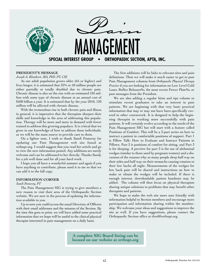

#### **PRESIDENT'S MESSAGE**

#### *Joseph A. Kleinkort, MA, PhD, PT, CIE*

As our adult population grows older (65 or higher) and lives longer, it is estimated that 35% or 50 million people are either partially or totally disabled due to chronic pain. Chronic disease is also on the rise with an estimated 105 million with some type of chronic disease at an annual cost of \$500 billion a year. It is estimated that by the year 2010, 120 million will be affected with chronic disease.

With the tremendous rise in both chronic pain and illness in general, it is imperative that the therapists sharpen their skills and knowledge in the area of addressing this population. Therapy will be more and more in demand with fewer trained to address this growing populace. It is critical that we grow in our knowledge of how to address these individuals, as we will be the main source to provide care to them.

On a lighter note, I wish to thank Sandi Pomeroy for updating our Pain Management web site found at orthopt.org. I would suggest that you read her article and go to view the new information posted. Any additions are surely welcome and can be addressed to her directly. Thanks Sandy for a job well done and for all your hard work.

I hope you all have a wonderful summer and again if you have anything to contribute, please send it to me so that we can add it to the fall copy.

#### **INFORMATION CORNER**

#### *Sandi Pomeroy, PT*

The Pain Management SIG is trying to give members a new reason to visit their area of the Orthopaedic Section website. We are now in the process of updating the information available to you.

Up to now you could access the usual Directory of Officers with their email addresses and the minutes of the Section. By the time this goes to print, we will have added some practical information that we hope will be useful to the clinical physical therapist interested in pain management on a daily basis.

The first additions will be links to relevant sites and pain definitions. Then we will make it much easier to get to past Pain Management columns from *Orthopaedic Physical Therapy Practice* if you are looking for information on Low Level Cold Laser, Reflex Releases‰, the most recent Power Plate‰, or past messages from the President.

We are also adding a regular hints and tips column to stimulate recent graduates to take an interest in pain patients. We are beginning with that very basic practical information that may or may not have been specifically covered in other coursework. It is designed to help the beginning therapist in working more successfully with pain patients. It will certainly evolve according to the needs of the Pain Management SIG but will start with a feature called Positions of Comfort. This will be a 3-part series on how to instruct a patient in comfortable positions of support. Part 1 is Pillow Talk: How to Evaluate and Instruct Patients in Pillows. Part 2 is positions of comfort for sitting, and Part 3 is for sleeping. A preview for part 3 is the use of abdominal wedges (similar to those used by pregnant women) and a discussion of the reasons why so many people sleep half way on their sides and half way on their stomachs causing rotation to their low backs all night. Measurements of the wedges for low back pain will be shared and instructions on how to make or obtain the wedges will be included. If there is enough interest, downloadable patient handouts may be added. The column will then focus on physical therapists sharing unique solutions to problems that may benefit other therapists and patients.

We hope to make the web site more user friendly with information helpful to Section members and encourage more participation and information sharing within the membership. We welcome your ideas and suggestions to improve the site as well. If you have suggestions, please contact the Orthopaedic Section office at tfred@orthopt.org.

**A complete SIG Board listing can be located on our website at orthopt.org**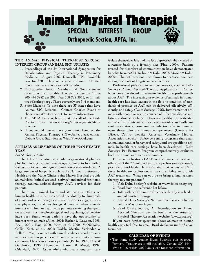

#### **THE ANIMAL PHYSICAL THERAPIST SPECIAL INTEREST GROUP (ANIMAL SIG) UPDATE:**

- 1. Proceedings of the 2nd International Symposium for Rehabilitation and Physical Therapy in Veterinary Medicine – August 2002, Knoxville, TN. Available now for \$20. They are a great resource. Contact David Levine at david-levine@utc.edu.
- 2. Orthopaedic Section Member and Non- member directories are available through the Section Office 800-444-3982 ext 203, Fax: 608-788-3965, or E-mail: tfred@orthopt.org . There currently are 544 members.
- 3. State Liaisons: To date there are 33 states that have Animal SIG Liaisons. Contact Charles Evans at chazzzevans@netscape.net for more information.
- 4. The APTA has a web site that lists all of the State Practice Acts: www.apta.org/advocacy/state/statepractice.
- 5. If you would like to have your clinic listed on the Animal Physical Therapy SIG website, please contact Debbie Gross Saunders at WizofPaws@aol.com.

#### **ANIMALS AS MEMBERS OF THE HUMAN HEALTH TEAM**

#### *Brad Jackson, PT, MS*

The Eden Alternative, a popular organizational philosophy for nursing centers, encourages animals to live within the facility to facilitate regular interactions with residents. A large number of hospitals, such as the National Institutes of Health and the Mayo Clinics Saint Mary's Hospital provide animal visits (animal-assisted- activity) and animal facilitated therapy (animal-assisted-therapy, AAT) services for their patients.

The human-animal bond and its positive effects on human health have been recorded anecdotally for hundreds of years and recent analytical research studies suggest positive physiologic and psychological benefits when animals interact with human health care patients receiving therapeutic services. Positive physiological and psychological benefits have been found when patients have the opportunity to interact with animals (Allen, 2001; Barker & Dawson, 1998; Beck, 2001; Hart, 2000, Marr, et al. 2000; McNicholas, Collis, Kent, et al., 2001; Walsh, Mertin, Verlander & Pollard, 1995). Contact with animals reduces blood pressure and heart rate in patients in the intensive care unit and lowers cortisol levels in anxious patients (Barba, 1995; Cole & Gawlinski, 1995; Nagengast, Baum, & Megel, 1997; Odendaal, 1999). Older adults who are in long-term care

isolate themselves less and are less depressed when visited on a regular basis by a friendly dog (Fine, 2000). Patients treated for disorders of communication have demonstrated benefits from AAT (Harbour & Kahn, 2002; Mosier & Kahn, 2000). The AAT sessions were shown to decrease loneliness among residents of long-term care facilities.

Professional publications and coursework, such as Delta Society's Animal-Assisted-Therapy Applications 1 Course, have been developed to educate health care professionals about AAT. The increasing prevalence of animals in human health care has lead leaders in the field to establish of standards of practice so AAT can be delivered effectively, efficiently, and safely (Delta Society, 1996). Involvement of animals with people raises the concern of infectious disease and biting and/or scratching. However, healthy, domesticated animals, free of internal and external parasites, and with current vaccinations, pose minimal infection risk to humans, even those who are immunocompromised (Centers for Disease Control website; American Veterinary Medical Association website). Safety screening programs that exam animal and handler behavioral safety, and are specific to animals in health care settings, have been developed. Delta Society's Pet Partners Program comprehensively evaluates both the animal and its owner/handler.

Universal utilization of AAT could enhance the treatment offerings of the 7.5 million healthcare professionals currently practicing worldwide. It is estimated that as few as 1% of these healthcare professionals have the ability to provide AAT treatment. What can you do to bring animal assisted therapy to your patients?

- 1. Visit Delta Society's website at www.deltasociety.org.
- 2. Read from the reference list below.
- 3. Talk with health care professionals already involved in animal assisted therapy.
- 4. Attend Delta Society's National Conference, which is held in May of each year.
- 5. Read Brad's lecture, An Introduction to Animal Assisted Therapy, can be found at the American Physical Therapy Association website (www.apta.org).

If you have further questions about animals in human health care, feel free to email Brad Jackson: umdtp@chartermi.net

#### **CALENDAR OF EVENTS**

• The home study course **BASIC SCIENCE FOR ANIMAL** PHYSICAL THERAPISTS is still available. Contact 800-444- 3982 x 216 or 608-788-3982 x 216 for more information.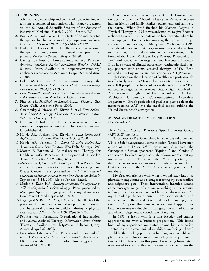#### **REFERENCES**

- 1. Allen K. Dog ownership and control of borderline hypertension: a controlled randomized trial. Paper presented at: the 22nd Annual Scientific Sessions of the Society of Behavioral Medicine; March 24, 2001; Seattle, WA.
- 2. Banks MR, Banks WA. The effects of animal assisted therapy on loneliness in an elderly population in longterm care. *J Gerontol.* 2002;57A(7):M428-M432.
- 3. Barker SB, Dawson KS. The effects of animal-assisted therapy on anxiety ratings of hospitalized psychiatric patients. *Psychiatric Services*. 1998;49:797-801.
- 4. Caring for Pets of Immunocompromised Persons. *American Veterinary Medical Association Website– NOAH Resource Center.* Available at: http://www.avma.org/ noah/resources/zoonosis/znimmpet.asp**.** Accessed June 2, 2002.
- 5. Cole KM, Gawlinski A: Animal-assisted therapy: the human-animal bond. *Critical Issues in Critical Care Nursing-Clinical Issues*. 2000;1(1):139-149.
- 6. *Delta Society-Standards of Practice in Animal Assisted Activity and Therapy.* Renton, WA: Delta Society; 1996.
- 7. Fine A, ed.. *Handbook on Animal-Assisted Therapy*. San Diego, Calif. Academic Press; 2000.
- 8. Gammonley J, Howie AR, Kirwin S, et al. *Delta Society-Animal-Assisted Therapy–Therapeutic Interventions:* Renton, WA: Delta Society; 1997.
- 9. Harbour C, Kahn HJ. The effectiveness of animalassisted- therapy on communication function in dementia*.* Unpublished data*.*
- 10.Howie AR, Jackson BA, Kirwin S. *Delta Society-AAT Applications 1*. Renton, WA: Delta Society; 2000.
- 11.Howie AR, Jainchill N, Davis V. *Delta Society*-*Site Assessment Course Book.* Renton, WA: Delta Society; 1996.
- 12.Martin F, Farnum J. Animal-assisted Therapy for Children with Pervasive Developmental Disorder. *Western J Nurs Res.* 2002; 24(6): 657-670.
- 13.McNicholas J, Collis GM, Kent C, et al. The Role of Pets in the Support Networks of People Recovering from Breast Cancer*. Paper presented at: the 9th International Conference on Human-Animal Interactions, People and Animals.* September 13-15, 2001; Rio de Janeiro, Brazil.
- 14.Mosier S, Kahn HJ. *Eliciting communicative responses in children using animal- assisted-therapy.* Paper presented at: Michigan Speech-Language-and-Hearing Association Conference; Grand Rapids, MI, 2000
- 15.Nagengast S, Baun M, Megel M, et al: The effects of the presence of a companion animal on physiologic arousal and behavioral distress in children during a physical examination. *J Pediatrc Nurs.* 1997;12(6):323-330.
- 16.Pet Partners Information, Organizational Information, and Animal Assisted Therapy Information. *Delta Society Website*. Available at: http://www.deltasociety.org**.** Accessed April 22, 2002.
- 17.Preventing Infections from Pets–a guide to individuals with HIV. *Centers for Disease Control Website.* Available at: http://www.cdc.gov/hiv/pubs/brochure/oi\_pets.htm. Accessed May 2, 2002.

Over the course of several years Brad Jackson noticed the positive effect his Chocolate Labrador Retriever *Boomer* had on friends and family. Smiles, excitement, and fun were the norm. When Brad finished his Masters Degree in Physical Therapy in 1994, it was only natural to give Boomer a chance to work with patients at the local hospital where he was employed. Boomer's tail wagging therapy was a huge success. Upon moving to Marquette, Michigan in 1996, Brad decided a community organization was needed to foster the integration of dogs into health care settings. He founded the Upper Michigan Dog Therapy Partnership in 1997 and serves as the organizations Executive Director. Brad has 8 years of clinical experience treating physical therapy patients with animal assisted therapy (AAT). Brad assisted in writing an instructional course, *AAT Applications 1,* which focuses on the education of health care professionals to effectively utilize AAT, and has presented this course to over 100 people. He has spoken on the subject of AAT at national and regional conferences. Brad is highly involved in AAT research through his collaborative work with Northern Michigan University's Communications Disorders Department. Brad's professional goal is to play a role in the mainstreaming AAT into the medical model guiding the United States health care system.

#### **MESSAGE FROM THE VICE PRESIDENT** *Steve Strunk, PT*

Dear Animal Physical Therapist Special Interest Group (APT SIG) members:

Since most APT SIG members have no idea who the new VP is, a brief background seems in order. Those I have met, either at the 1<sup>st</sup> or 2<sup>nd</sup> International Symposia, the Orthopaedic Section sponsored "Equine 1" and "Canine 1" courses or elsewhere, may also wish to know more about my involvement with PT for animals. Most importantly, to describe my experiences in order to determine how I can best contribute to the APT SIG and serve you, the SIG members.

My first experiences with what I would later know as physical therapy came as a teenager treating my own family's and neighbor's pets. These interventions included wound care, massage, range of motion, stretching, other manual techniques, and exercise. When I became educated as a PT, my knowledge became much more sophisticated and advanced with these and other realms of human physical therapy. Adapting this knowledge for animal applications became extremely valuable in managing the myriad injuries and chronic degenerative conditions of my dog.

In 1995, a friend who is a dog breeder and trainer approached me with a business proposition. This friend knew of my experience and stated he and his veterinarian wanted to start a small animal rehabilitation facility where I would be the working partner. A building was available and plans were made for extensive remodeling and equipping of this facility. However, as this project was being formulated, it occurred to me that this venture might not be within the